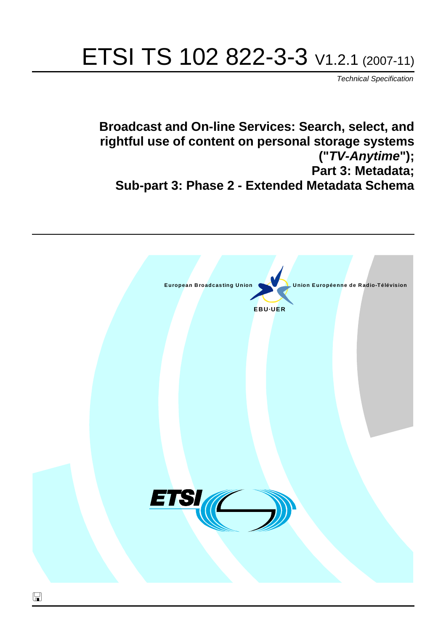# ETSI TS 102 822-3-3 V1.2.1 (2007-11)

*Technical Specification*

**Broadcast and On-line Services: Search, select, and rightful use of content on personal storage systems ("***TV-Anytime***"); Part 3: Metadata; Sub-part 3: Phase 2 - Extended Metadata Schema**

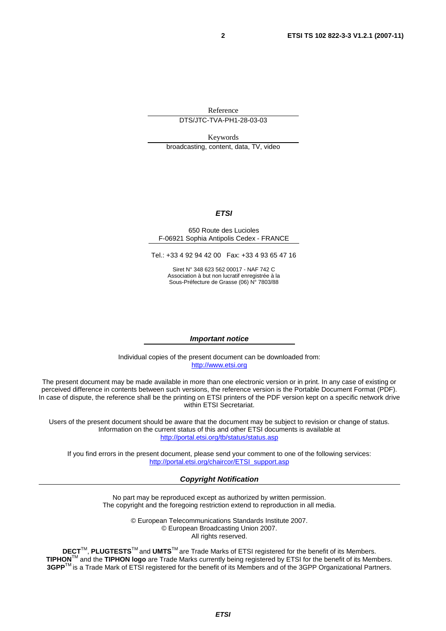Reference DTS/JTC-TVA-PH1-28-03-03

Keywords

broadcasting, content, data, TV, video

#### *ETSI*

#### 650 Route des Lucioles F-06921 Sophia Antipolis Cedex - FRANCE

Tel.: +33 4 92 94 42 00 Fax: +33 4 93 65 47 16

Siret N° 348 623 562 00017 - NAF 742 C Association à but non lucratif enregistrée à la Sous-Préfecture de Grasse (06) N° 7803/88

#### *Important notice*

Individual copies of the present document can be downloaded from: [http://www.etsi.org](http://www.etsi.org/)

The present document may be made available in more than one electronic version or in print. In any case of existing or perceived difference in contents between such versions, the reference version is the Portable Document Format (PDF). In case of dispute, the reference shall be the printing on ETSI printers of the PDF version kept on a specific network drive within ETSI Secretariat.

Users of the present document should be aware that the document may be subject to revision or change of status. Information on the current status of this and other ETSI documents is available at <http://portal.etsi.org/tb/status/status.asp>

If you find errors in the present document, please send your comment to one of the following services: [http://portal.etsi.org/chaircor/ETSI\\_support.asp](http://portal.etsi.org/chaircor/ETSI_support.asp)

#### *Copyright Notification*

No part may be reproduced except as authorized by written permission. The copyright and the foregoing restriction extend to reproduction in all media.

> © European Telecommunications Standards Institute 2007. © European Broadcasting Union 2007. All rights reserved.

**DECT**TM, **PLUGTESTS**TM and **UMTS**TM are Trade Marks of ETSI registered for the benefit of its Members. **TIPHON**TM and the **TIPHON logo** are Trade Marks currently being registered by ETSI for the benefit of its Members. **3GPP**TM is a Trade Mark of ETSI registered for the benefit of its Members and of the 3GPP Organizational Partners.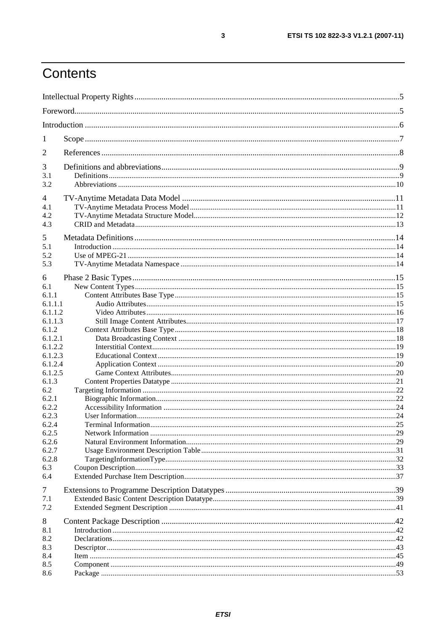# Contents

| 1                  |  |  |  |
|--------------------|--|--|--|
| 2                  |  |  |  |
| 3                  |  |  |  |
| 3.1                |  |  |  |
| 3.2                |  |  |  |
| 4                  |  |  |  |
| 4.1                |  |  |  |
| 4.2                |  |  |  |
| 4.3                |  |  |  |
| 5                  |  |  |  |
| 5.1                |  |  |  |
| 5.2                |  |  |  |
| 5.3                |  |  |  |
| 6                  |  |  |  |
| 6.1                |  |  |  |
| 6.1.1              |  |  |  |
| 6.1.1.1            |  |  |  |
| 6.1.1.2            |  |  |  |
| 6.1.1.3            |  |  |  |
| 6.1.2              |  |  |  |
| 6.1.2.1<br>6.1.2.2 |  |  |  |
| 6.1.2.3            |  |  |  |
| 6.1.2.4            |  |  |  |
| 6.1.2.5            |  |  |  |
| 6.1.3              |  |  |  |
| 6.2                |  |  |  |
| 6.2.1              |  |  |  |
| 6.2.2              |  |  |  |
| 6.2.3              |  |  |  |
| 6.2.4              |  |  |  |
| 6.2.5              |  |  |  |
| 6.2.6<br>6.2.7     |  |  |  |
| 6.2.8              |  |  |  |
| 6.3                |  |  |  |
| 6.4                |  |  |  |
| 7                  |  |  |  |
| 7.1                |  |  |  |
| 7.2                |  |  |  |
|                    |  |  |  |
| 8                  |  |  |  |
| 8.1                |  |  |  |
| 8.2                |  |  |  |
| 8.3                |  |  |  |
| 8.4<br>8.5         |  |  |  |
| 8.6                |  |  |  |
|                    |  |  |  |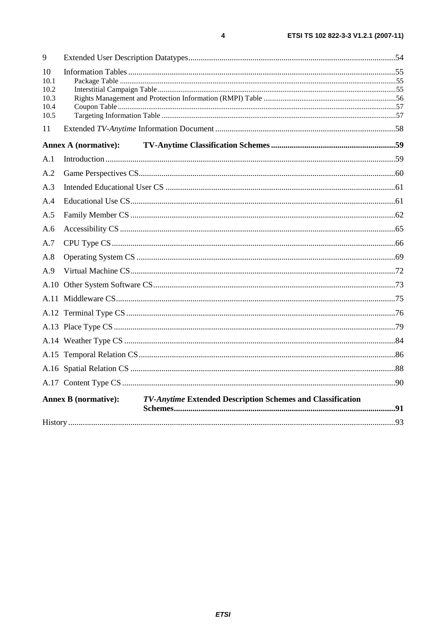| 9            |                             |                                                            |      |
|--------------|-----------------------------|------------------------------------------------------------|------|
| 10           |                             |                                                            |      |
| 10.1<br>10.2 |                             |                                                            |      |
| 10.3         |                             |                                                            |      |
| 10.4         |                             |                                                            |      |
| 10.5         |                             |                                                            |      |
| 11           |                             |                                                            |      |
|              | <b>Annex A (normative):</b> |                                                            |      |
| A.1          |                             |                                                            |      |
| A.2          |                             |                                                            |      |
| A.3          |                             |                                                            |      |
| A.4          |                             |                                                            |      |
| A.5          |                             |                                                            |      |
| A.6          |                             |                                                            |      |
| A.7          |                             |                                                            |      |
| A.8          |                             |                                                            |      |
| A.9          |                             |                                                            |      |
|              |                             |                                                            |      |
|              |                             |                                                            |      |
|              |                             |                                                            |      |
|              |                             |                                                            |      |
|              |                             |                                                            |      |
|              |                             |                                                            |      |
|              |                             |                                                            |      |
|              |                             |                                                            |      |
|              | <b>Annex B</b> (normative): | TV-Anytime Extended Description Schemes and Classification |      |
|              |                             |                                                            |      |
| History.     |                             |                                                            | . 93 |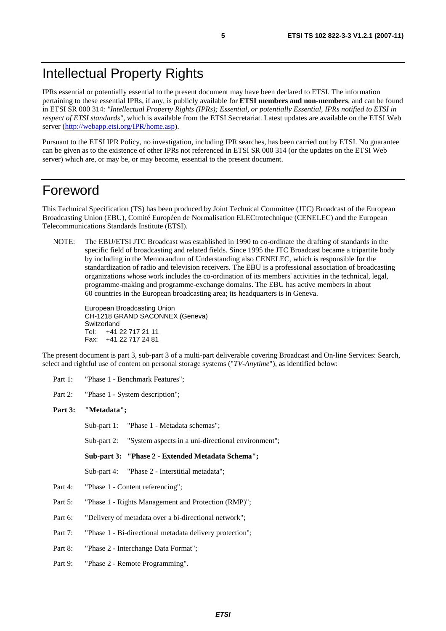# Intellectual Property Rights

IPRs essential or potentially essential to the present document may have been declared to ETSI. The information pertaining to these essential IPRs, if any, is publicly available for **ETSI members and non-members**, and can be found in ETSI SR 000 314: *"Intellectual Property Rights (IPRs); Essential, or potentially Essential, IPRs notified to ETSI in respect of ETSI standards"*, which is available from the ETSI Secretariat. Latest updates are available on the ETSI Web server ([http://webapp.etsi.org/IPR/home.asp\)](http://webapp.etsi.org/IPR/home.asp).

Pursuant to the ETSI IPR Policy, no investigation, including IPR searches, has been carried out by ETSI. No guarantee can be given as to the existence of other IPRs not referenced in ETSI SR 000 314 (or the updates on the ETSI Web server) which are, or may be, or may become, essential to the present document.

### Foreword

This Technical Specification (TS) has been produced by Joint Technical Committee (JTC) Broadcast of the European Broadcasting Union (EBU), Comité Européen de Normalisation ELECtrotechnique (CENELEC) and the European Telecommunications Standards Institute (ETSI).

NOTE: The EBU/ETSI JTC Broadcast was established in 1990 to co-ordinate the drafting of standards in the specific field of broadcasting and related fields. Since 1995 the JTC Broadcast became a tripartite body by including in the Memorandum of Understanding also CENELEC, which is responsible for the standardization of radio and television receivers. The EBU is a professional association of broadcasting organizations whose work includes the co-ordination of its members' activities in the technical, legal, programme-making and programme-exchange domains. The EBU has active members in about 60 countries in the European broadcasting area; its headquarters is in Geneva.

European Broadcasting Union CH-1218 GRAND SACONNEX (Geneva) Switzerland Tel: +41 22 717 21 11 Fax: +41 22 717 24 81

The present document is part 3, sub-part 3 of a multi-part deliverable covering Broadcast and On-line Services: Search, select and rightful use of content on personal storage systems ("*TV-Anytime*"), as identified below:

Part 1: "Phase 1 - Benchmark Features";

Part 2: "Phase 1 - System description";

#### **Part 3: "Metadata";**

Sub-part 1: "Phase 1 - Metadata schemas";

Sub-part 2: "System aspects in a uni-directional environment";

**Sub-part 3: "Phase 2 - Extended Metadata Schema";** 

Sub-part 4: "Phase 2 - Interstitial metadata";

- Part 4: "Phase 1 Content referencing";
- Part 5: "Phase 1 Rights Management and Protection (RMP)";
- Part 6: "Delivery of metadata over a bi-directional network";
- Part 7: "Phase 1 Bi-directional metadata delivery protection";
- Part 8: "Phase 2 Interchange Data Format";
- Part 9: "Phase 2 Remote Programming".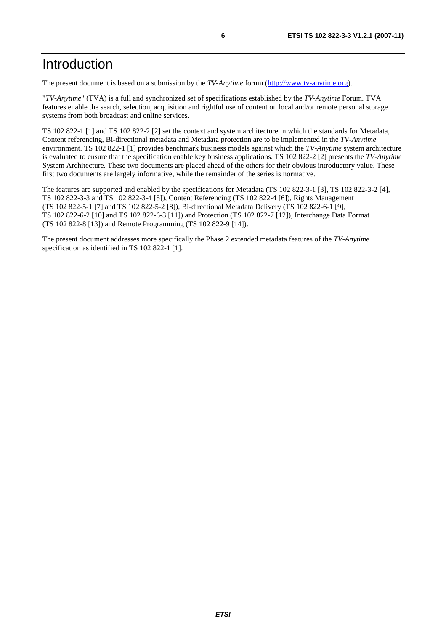# Introduction

The present document is based on a submission by the *TV-Anytime* forum ([http://www.tv-anytime.org](http://www.tv-anytime.org/)).

"*TV-Anytime*" (TVA) is a full and synchronized set of specifications established by the *TV-Anytime* Forum. TVA features enable the search, selection, acquisition and rightful use of content on local and/or remote personal storage systems from both broadcast and online services.

TS 102 822-1 [1] and TS 102 822-2 [2] set the context and system architecture in which the standards for Metadata, Content referencing, Bi-directional metadata and Metadata protection are to be implemented in the *TV-Anytime* environment. TS 102 822-1 [1] provides benchmark business models against which the *TV-Anytime* system architecture is evaluated to ensure that the specification enable key business applications. TS 102 822-2 [2] presents the *TV-Anytime* System Architecture. These two documents are placed ahead of the others for their obvious introductory value. These first two documents are largely informative, while the remainder of the series is normative.

The features are supported and enabled by the specifications for Metadata (TS 102 822-3-1 [3], TS 102 822-3-2 [4], TS 102 822-3-3 and TS 102 822-3-4 [5]), Content Referencing (TS 102 822-4 [6]), Rights Management (TS 102 822-5-1 [7] and TS 102 822-5-2 [8]), Bi-directional Metadata Delivery (TS 102 822-6-1 [9], TS 102 822-6-2 [10] and TS 102 822-6-3 [11]) and Protection (TS 102 822-7 [12]), Interchange Data Format (TS 102 822-8 [13]) and Remote Programming (TS 102 822-9 [14]).

The present document addresses more specifically the Phase 2 extended metadata features of the *TV-Anytime* specification as identified in TS 102 822-1 [1].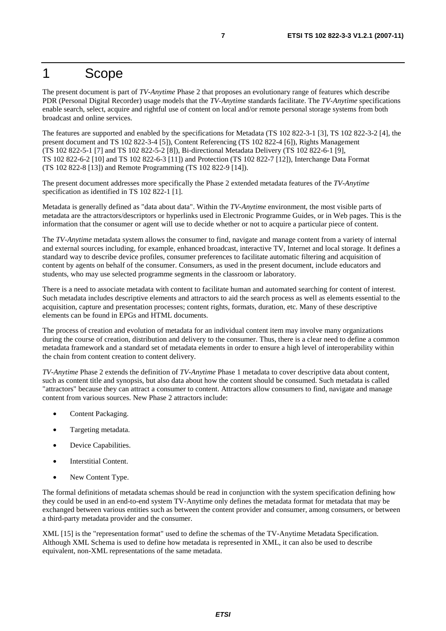### 1 Scope

The present document is part of *TV-Anytime* Phase 2 that proposes an evolutionary range of features which describe PDR (Personal Digital Recorder) usage models that the *TV-Anytime* standards facilitate. The *TV-Anytime* specifications enable search, select, acquire and rightful use of content on local and/or remote personal storage systems from both broadcast and online services.

The features are supported and enabled by the specifications for Metadata (TS 102 822-3-1 [3], TS 102 822-3-2 [4], the present document and TS 102 822-3-4 [5]), Content Referencing (TS 102 822-4 [6]), Rights Management (TS 102 822-5-1 [7] and TS 102 822-5-2 [8]), Bi-directional Metadata Delivery (TS 102 822-6-1 [9], TS 102 822-6-2 [10] and TS 102 822-6-3 [11]) and Protection (TS 102 822-7 [12]), Interchange Data Format (TS 102 822-8 [13]) and Remote Programming (TS 102 822-9 [14]).

The present document addresses more specifically the Phase 2 extended metadata features of the *TV-Anytime* specification as identified in TS 102 822-1 [1].

Metadata is generally defined as "data about data". Within the *TV-Anytime* environment, the most visible parts of metadata are the attractors/descriptors or hyperlinks used in Electronic Programme Guides, or in Web pages. This is the information that the consumer or agent will use to decide whether or not to acquire a particular piece of content.

The *TV-Anytime* metadata system allows the consumer to find, navigate and manage content from a variety of internal and external sources including, for example, enhanced broadcast, interactive TV, Internet and local storage. It defines a standard way to describe device profiles, consumer preferences to facilitate automatic filtering and acquisition of content by agents on behalf of the consumer. Consumers, as used in the present document, include educators and students, who may use selected programme segments in the classroom or laboratory.

There is a need to associate metadata with content to facilitate human and automated searching for content of interest. Such metadata includes descriptive elements and attractors to aid the search process as well as elements essential to the acquisition, capture and presentation processes; content rights, formats, duration, etc. Many of these descriptive elements can be found in EPGs and HTML documents.

The process of creation and evolution of metadata for an individual content item may involve many organizations during the course of creation, distribution and delivery to the consumer. Thus, there is a clear need to define a common metadata framework and a standard set of metadata elements in order to ensure a high level of interoperability within the chain from content creation to content delivery.

*TV-Anytime* Phase 2 extends the definition of *TV-Anytime* Phase 1 metadata to cover descriptive data about content, such as content title and synopsis, but also data about how the content should be consumed. Such metadata is called "attractors" because they can attract a consumer to content. Attractors allow consumers to find, navigate and manage content from various sources. New Phase 2 attractors include:

- Content Packaging.
- Targeting metadata.
- Device Capabilities.
- Interstitial Content.
- New Content Type.

The formal definitions of metadata schemas should be read in conjunction with the system specification defining how they could be used in an end-to-end system TV-Anytime only defines the metadata format for metadata that may be exchanged between various entities such as between the content provider and consumer, among consumers, or between a third-party metadata provider and the consumer.

XML [15] is the "representation format" used to define the schemas of the TV-Anytime Metadata Specification. Although XML Schema is used to define how metadata is represented in XML, it can also be used to describe equivalent, non-XML representations of the same metadata.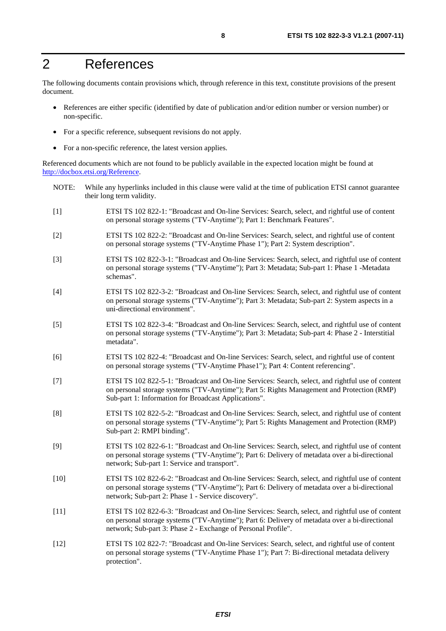# 2 References

The following documents contain provisions which, through reference in this text, constitute provisions of the present document.

- References are either specific (identified by date of publication and/or edition number or version number) or non-specific.
- For a specific reference, subsequent revisions do not apply.
- For a non-specific reference, the latest version applies.

Referenced documents which are not found to be publicly available in the expected location might be found at <http://docbox.etsi.org/Reference>.

- NOTE: While any hyperlinks included in this clause were valid at the time of publication ETSI cannot guarantee their long term validity.
- [1] ETSI TS 102 822-1: "Broadcast and On-line Services: Search, select, and rightful use of content on personal storage systems ("TV-Anytime"); Part 1: Benchmark Features".
- [2] ETSI TS 102 822-2: "Broadcast and On-line Services: Search, select, and rightful use of content on personal storage systems ("TV-Anytime Phase 1"); Part 2: System description".
- [3] ETSI TS 102 822-3-1: "Broadcast and On-line Services: Search, select, and rightful use of content on personal storage systems ("TV-Anytime"); Part 3: Metadata; Sub-part 1: Phase 1 -Metadata schemas".
- [4] ETSI TS 102 822-3-2: "Broadcast and On-line Services: Search, select, and rightful use of content on personal storage systems ("TV-Anytime"); Part 3: Metadata; Sub-part 2: System aspects in a uni-directional environment".
- [5] ETSI TS 102 822-3-4: "Broadcast and On-line Services: Search, select, and rightful use of content on personal storage systems ("TV-Anytime"); Part 3: Metadata; Sub-part 4: Phase 2 - Interstitial metadata".
- [6] ETSI TS 102 822-4: "Broadcast and On-line Services: Search, select, and rightful use of content on personal storage systems ("TV-Anytime Phase1"); Part 4: Content referencing".
- [7] ETSI TS 102 822-5-1: "Broadcast and On-line Services: Search, select, and rightful use of content on personal storage systems ("TV-Anytime"); Part 5: Rights Management and Protection (RMP) Sub-part 1: Information for Broadcast Applications".
- [8] ETSI TS 102 822-5-2: "Broadcast and On-line Services: Search, select, and rightful use of content on personal storage systems ("TV-Anytime"); Part 5: Rights Management and Protection (RMP) Sub-part 2: RMPI binding".
- [9] ETSI TS 102 822-6-1: "Broadcast and On-line Services: Search, select, and rightful use of content on personal storage systems ("TV-Anytime"); Part 6: Delivery of metadata over a bi-directional network; Sub-part 1: Service and transport".
- [10] ETSI TS 102 822-6-2: "Broadcast and On-line Services: Search, select, and rightful use of content on personal storage systems ("TV-Anytime"); Part 6: Delivery of metadata over a bi-directional network; Sub-part 2: Phase 1 - Service discovery".
- [11] ETSI TS 102 822-6-3: "Broadcast and On-line Services: Search, select, and rightful use of content on personal storage systems ("TV-Anytime"); Part 6: Delivery of metadata over a bi-directional network; Sub-part 3: Phase 2 - Exchange of Personal Profile".
- [12] ETSI TS 102 822-7: "Broadcast and On-line Services: Search, select, and rightful use of content on personal storage systems ("TV-Anytime Phase 1"); Part 7: Bi-directional metadata delivery protection".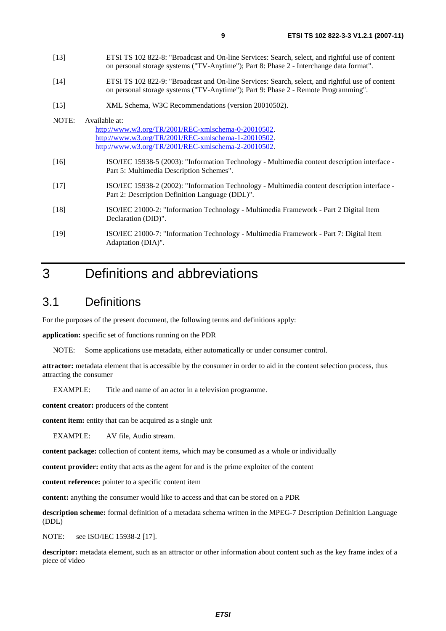- [13] ETSI TS 102 822-8: "Broadcast and On-line Services: Search, select, and rightful use of content on personal storage systems ("TV-Anytime"); Part 8: Phase 2 - Interchange data format".
- [14] ETSI TS 102 822-9: "Broadcast and On-line Services: Search, select, and rightful use of content on personal storage systems ("TV-Anytime"); Part 9: Phase 2 - Remote Programming".
- [15] XML Schema, W3C Recommendations (version 20010502).

#### NOTE: Available at: <http://www.w3.org/TR/2001/REC-xmlschema-0-20010502>. <http://www.w3.org/TR/2001/REC-xmlschema-1-20010502>. [http://www.w3.org/TR/2001/REC-xmlschema-2-20010502](http://www.w3.org/XML/Schema).

- [16] ISO/IEC 15938-5 (2003): "Information Technology Multimedia content description interface Part 5: Multimedia Description Schemes".
- [17] ISO/IEC 15938-2 (2002): "Information Technology Multimedia content description interface Part 2: Description Definition Language (DDL)".
- [18] ISO/IEC 21000-2: "Information Technology Multimedia Framework Part 2 Digital Item Declaration (DID)".
- [19] ISO/IEC 21000-7: "Information Technology Multimedia Framework Part 7: Digital Item Adaptation (DIA)".

# 3 Definitions and abbreviations

### 3.1 Definitions

For the purposes of the present document, the following terms and definitions apply:

**application:** specific set of functions running on the PDR

NOTE: Some applications use metadata, either automatically or under consumer control.

**attractor:** metadata element that is accessible by the consumer in order to aid in the content selection process, thus attracting the consumer

EXAMPLE: Title and name of an actor in a television programme.

**content creator:** producers of the content

**content item:** entity that can be acquired as a single unit

EXAMPLE: AV file, Audio stream.

**content package:** collection of content items, which may be consumed as a whole or individually

**content provider:** entity that acts as the agent for and is the prime exploiter of the content

**content reference:** pointer to a specific content item

**content:** anything the consumer would like to access and that can be stored on a PDR

**description scheme:** formal definition of a metadata schema written in the MPEG-7 Description Definition Language (DDL)

NOTE: see ISO/IEC 15938-2 [17].

**descriptor:** metadata element, such as an attractor or other information about content such as the key frame index of a piece of video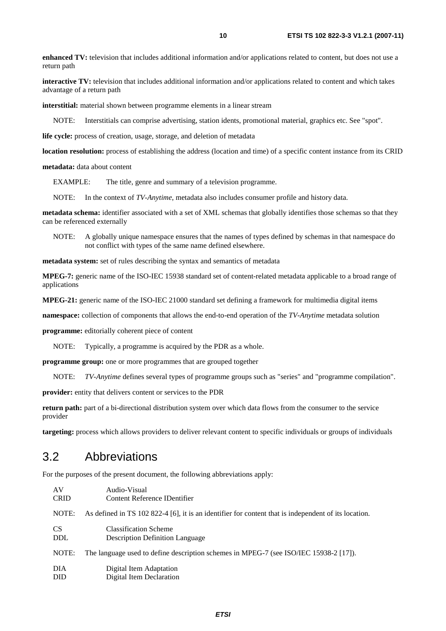**enhanced TV:** television that includes additional information and/or applications related to content, but does not use a return path

**interactive TV:** television that includes additional information and/or applications related to content and which takes advantage of a return path

**interstitial:** material shown between programme elements in a linear stream

NOTE: Interstitials can comprise advertising, station idents, promotional material, graphics etc. See "spot".

life cycle: process of creation, usage, storage, and deletion of metadata

**location resolution:** process of establishing the address (location and time) of a specific content instance from its CRID

**metadata:** data about content

EXAMPLE: The title, genre and summary of a television programme.

NOTE: In the context of *TV-Anytime*, metadata also includes consumer profile and history data.

**metadata schema:** identifier associated with a set of XML schemas that globally identifies those schemas so that they can be referenced externally

NOTE: A globally unique namespace ensures that the names of types defined by schemas in that namespace do not conflict with types of the same name defined elsewhere.

**metadata system:** set of rules describing the syntax and semantics of metadata

**MPEG-7:** generic name of the ISO-IEC 15938 standard set of content-related metadata applicable to a broad range of applications

**MPEG-21:** generic name of the ISO-IEC 21000 standard set defining a framework for multimedia digital items

**namespace:** collection of components that allows the end-to-end operation of the *TV-Anytime* metadata solution

**programme:** editorially coherent piece of content

NOTE: Typically, a programme is acquired by the PDR as a whole.

**programme group:** one or more programmes that are grouped together

NOTE: *TV-Anytime* defines several types of programme groups such as "series" and "programme compilation".

**provider:** entity that delivers content or services to the PDR

**return path:** part of a bi-directional distribution system over which data flows from the consumer to the service provider

**targeting:** process which allows providers to deliver relevant content to specific individuals or groups of individuals

### 3.2 Abbreviations

For the purposes of the present document, the following abbreviations apply:

| AV          | Audio-Visual                                                                                         |  |
|-------------|------------------------------------------------------------------------------------------------------|--|
| <b>CRID</b> | Content Reference IDentifier                                                                         |  |
| NOTE:       | As defined in TS 102 822-4 [6], it is an identifier for content that is independent of its location. |  |
| CS.         | <b>Classification Scheme</b>                                                                         |  |
| <b>DDL</b>  | <b>Description Definition Language</b>                                                               |  |
| NOTE:       | The language used to define description schemes in MPEG-7 (see ISO/IEC 15938-2 [17]).                |  |
| DIA         | Digital Item Adaptation                                                                              |  |
| <b>DID</b>  | Digital Item Declaration                                                                             |  |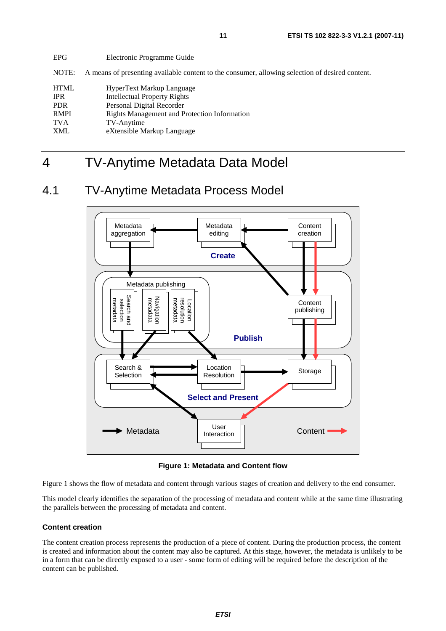EPG Electronic Programme Guide

NOTE: A means of presenting available content to the consumer, allowing selection of desired content.

| <b>HTML</b> | HyperText Markup Language                    |
|-------------|----------------------------------------------|
| <b>IPR</b>  | <b>Intellectual Property Rights</b>          |
| <b>PDR</b>  | Personal Digital Recorder                    |
| <b>RMPI</b> | Rights Management and Protection Information |
| <b>TVA</b>  | TV-Anytime                                   |
| <b>XML</b>  | eXtensible Markup Language                   |

# 4 TV-Anytime Metadata Data Model

### 4.1 TV-Anytime Metadata Process Model



**Figure 1: Metadata and Content flow** 

Figure 1 shows the flow of metadata and content through various stages of creation and delivery to the end consumer.

This model clearly identifies the separation of the processing of metadata and content while at the same time illustrating the parallels between the processing of metadata and content.

#### **Content creation**

The content creation process represents the production of a piece of content. During the production process, the content is created and information about the content may also be captured. At this stage, however, the metadata is unlikely to be in a form that can be directly exposed to a user - some form of editing will be required before the description of the content can be published.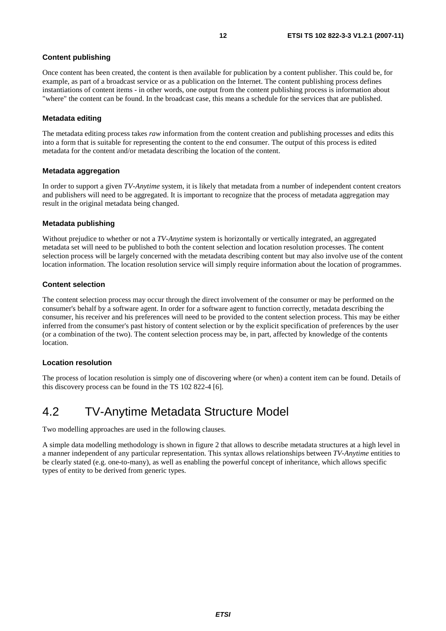#### **Content publishing**

Once content has been created, the content is then available for publication by a content publisher. This could be, for example, as part of a broadcast service or as a publication on the Internet. The content publishing process defines instantiations of content items - in other words, one output from the content publishing process is information about "where" the content can be found. In the broadcast case, this means a schedule for the services that are published.

#### **Metadata editing**

The metadata editing process takes *raw* information from the content creation and publishing processes and edits this into a form that is suitable for representing the content to the end consumer. The output of this process is edited metadata for the content and/or metadata describing the location of the content.

#### **Metadata aggregation**

In order to support a given *TV-Anytime* system, it is likely that metadata from a number of independent content creators and publishers will need to be aggregated. It is important to recognize that the process of metadata aggregation may result in the original metadata being changed.

#### **Metadata publishing**

Without prejudice to whether or not a *TV-Anytime* system is horizontally or vertically integrated, an aggregated metadata set will need to be published to both the content selection and location resolution processes. The content selection process will be largely concerned with the metadata describing content but may also involve use of the content location information. The location resolution service will simply require information about the location of programmes.

#### **Content selection**

The content selection process may occur through the direct involvement of the consumer or may be performed on the consumer's behalf by a software agent. In order for a software agent to function correctly, metadata describing the consumer, his receiver and his preferences will need to be provided to the content selection process. This may be either inferred from the consumer's past history of content selection or by the explicit specification of preferences by the user (or a combination of the two). The content selection process may be, in part, affected by knowledge of the contents location.

#### **Location resolution**

The process of location resolution is simply one of discovering where (or when) a content item can be found. Details of this discovery process can be found in the TS 102 822-4 [6].

### 4.2 TV-Anytime Metadata Structure Model

Two modelling approaches are used in the following clauses.

A simple data modelling methodology is shown in figure 2 that allows to describe metadata structures at a high level in a manner independent of any particular representation. This syntax allows relationships between *TV-Anytime* entities to be clearly stated (e.g. one-to-many), as well as enabling the powerful concept of inheritance, which allows specific types of entity to be derived from generic types.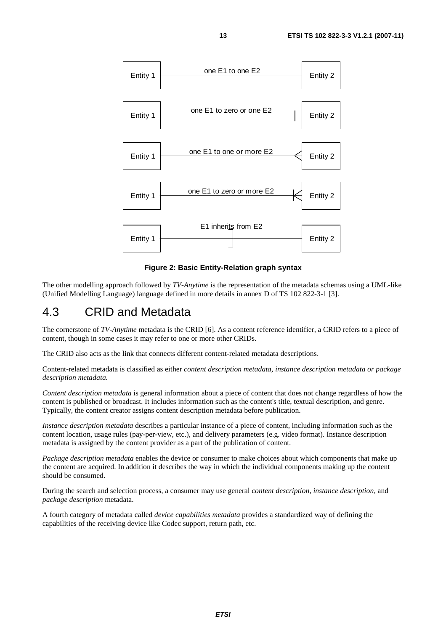

**Figure 2: Basic Entity-Relation graph syntax** 

The other modelling approach followed by *TV-Anytime* is the representation of the metadata schemas using a UML-like (Unified Modelling Language) language defined in more details in annex D of TS 102 822-3-1 [3].

### 4.3 CRID and Metadata

The cornerstone of *TV-Anytime* metadata is the CRID [6]. As a content reference identifier, a CRID refers to a piece of content, though in some cases it may refer to one or more other CRIDs.

The CRID also acts as the link that connects different content-related metadata descriptions.

Content-related metadata is classified as either *content description metadata, instance description metadata or package description metadata.*

*Content description metadata* is general information about a piece of content that does not change regardless of how the content is published or broadcast. It includes information such as the content's title, textual description, and genre. Typically, the content creator assigns content description metadata before publication.

*Instance description metadata* describes a particular instance of a piece of content, including information such as the content location, usage rules (pay-per-view, etc.), and delivery parameters (e.g. video format). Instance description metadata is assigned by the content provider as a part of the publication of content.

*Package description metadata* enables the device or consumer to make choices about which components that make up the content are acquired. In addition it describes the way in which the individual components making up the content should be consumed.

During the search and selection process, a consumer may use general *content description*, *instance description*, and *package description* metadata.

A fourth category of metadata called *device capabilities metadata* provides a standardized way of defining the capabilities of the receiving device like Codec support, return path, etc.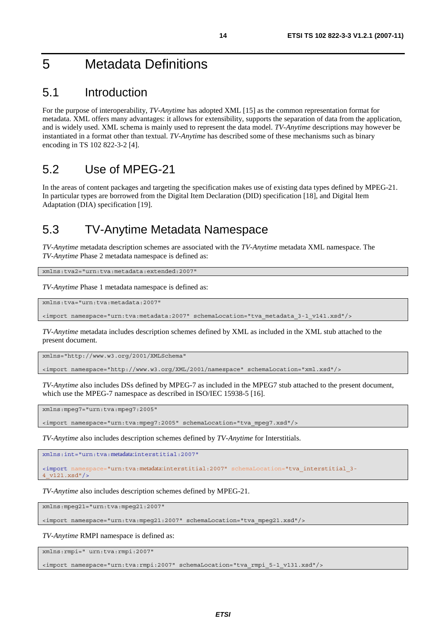# 5 Metadata Definitions

### 5.1 Introduction

For the purpose of interoperability, *TV-Anytime* has adopted XML [15] as the common representation format for metadata. XML offers many advantages: it allows for extensibility, supports the separation of data from the application, and is widely used. XML schema is mainly used to represent the data model. *TV-Anytime* descriptions may however be instantiated in a format other than textual. *TV-Anytime* has described some of these mechanisms such as binary encoding in TS 102 822-3-2 [4].

### 5.2 Use of MPEG-21

In the areas of content packages and targeting the specification makes use of existing data types defined by MPEG-21. In particular types are borrowed from the Digital Item Declaration (DID) specification [18], and Digital Item Adaptation (DIA) specification [19].

### 5.3 TV-Anytime Metadata Namespace

*TV-Anytime* metadata description schemes are associated with the *TV-Anytime* metadata XML namespace. The *TV-Anytime* Phase 2 metadata namespace is defined as:

xmlns:tva2="urn:tva:metadata:extended:2007"

*TV-Anytime* Phase 1 metadata namespace is defined as:

xmlns:tva="urn:tva:metadata:2007"

<import namespace="urn:tva:metadata:2007" schemaLocation="tva\_metadata\_3-1\_v141.xsd"/>

*TV-Anytime* metadata includes description schemes defined by XML as included in the XML stub attached to the present document.

xmlns="http://www.w3.org/2001/XMLSchema"

<import namespace="http://www.w3.org/XML/2001/namespace" schemaLocation="xml.xsd"/>

*TV-Anytime* also includes DSs defined by MPEG-7 as included in the MPEG7 stub attached to the present document, which use the MPEG-7 namespace as described in ISO/IEC 15938-5 [16].

xmlns:mpeg7="urn:tva:mpeg7:2005"

<import namespace="urn:tva:mpeg7:2005" schemaLocation="tva\_mpeg7.xsd"/>

*TV-Anytime* also includes description schemes defined by *TV-Anytime* for Interstitials.

xmlns:int="urn:tva:metadata:interstitial:2007"

<import namespace="urn:tva:metadata:interstitial:2007" schemaLocation="tva\_interstitial\_3- 4\_v121.xsd"/>

*TV-Anytime* also includes description schemes defined by MPEG-21.

xmlns:mpeg21="urn:tva:mpeg21:2007"

<import namespace="urn:tva:mpeg21:2007" schemaLocation="tva\_mpeg21.xsd"/>

*TV-Anytime* RMPI namespace is defined as:

xmlns:rmpi=" urn:tva:rmpi:2007"

<import namespace="urn:tva:rmpi:2007" schemaLocation="tva\_rmpi\_5-1\_v131.xsd"/>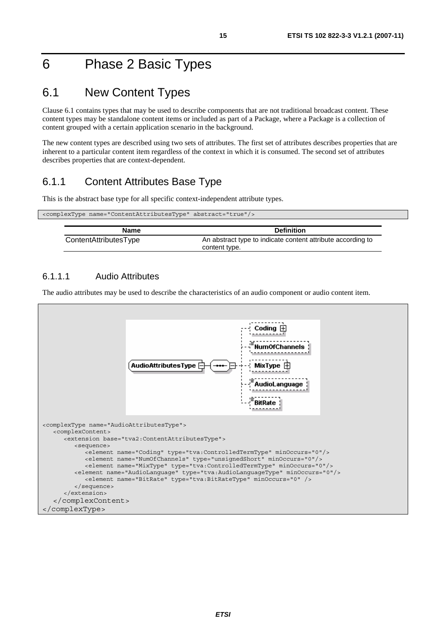# 6 Phase 2 Basic Types

# 6.1 New Content Types

Clause 6.1 contains types that may be used to describe components that are not traditional broadcast content. These content types may be standalone content items or included as part of a Package, where a Package is a collection of content grouped with a certain application scenario in the background.

The new content types are described using two sets of attributes. The first set of attributes describes properties that are inherent to a particular content item regardless of the context in which it is consumed. The second set of attributes describes properties that are context-dependent.

### 6.1.1 Content Attributes Base Type

This is the abstract base type for all specific context-independent attribute types.

| <complextype abstract="true" name="ContentAttributesType"></complextype> |                                                             |  |
|--------------------------------------------------------------------------|-------------------------------------------------------------|--|
|                                                                          |                                                             |  |
| Name                                                                     | <b>Definition</b>                                           |  |
| ContentAttributesType                                                    | An abstract type to indicate content attribute according to |  |
|                                                                          | content type.                                               |  |

#### 6.1.1.1 Audio Attributes

The audio attributes may be used to describe the characteristics of an audio component or audio content item.

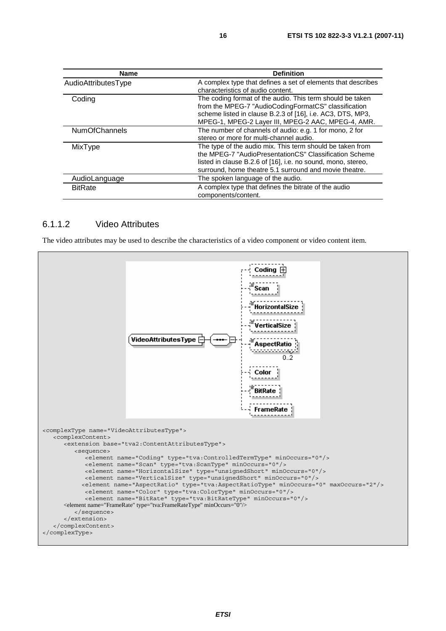| <b>Name</b>          | <b>Definition</b>                                                                                                                                                                                                                             |
|----------------------|-----------------------------------------------------------------------------------------------------------------------------------------------------------------------------------------------------------------------------------------------|
| AudioAttributesType  | A complex type that defines a set of elements that describes<br>characteristics of audio content.                                                                                                                                             |
| Coding               | The coding format of the audio. This term should be taken<br>from the MPEG-7 "AudioCodingFormatCS" classification<br>scheme listed in clause B.2.3 of [16], i.e. AC3, DTS, MP3,<br>MPEG-1, MPEG-2 Layer III, MPEG-2 AAC, MPEG-4, AMR.         |
| <b>NumOfChannels</b> | The number of channels of audio: e.g. 1 for mono, 2 for<br>stereo or more for multi-channel audio.                                                                                                                                            |
| MixType              | The type of the audio mix. This term should be taken from<br>the MPEG-7 "AudioPresentationCS" Classification Scheme<br>listed in clause B.2.6 of [16], i.e. no sound, mono, stereo,<br>surround, home theatre 5.1 surround and movie theatre. |
| AudioLanguage        | The spoken language of the audio.                                                                                                                                                                                                             |
| <b>BitRate</b>       | A complex type that defines the bitrate of the audio<br>components/content.                                                                                                                                                                   |

#### 6.1.1.2 Video Attributes

The video attributes may be used to describe the characteristics of a video component or video content item.

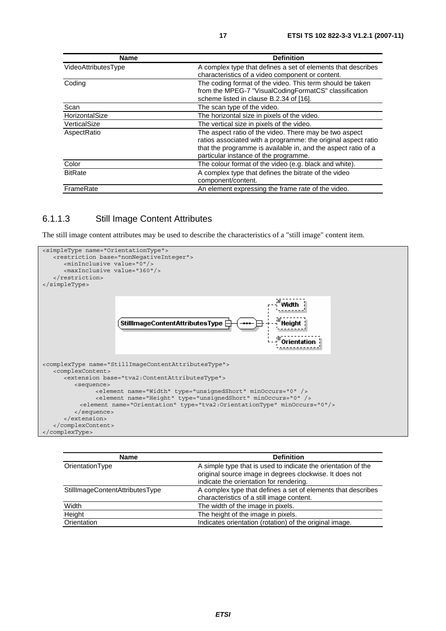| <b>Name</b>         | <b>Definition</b>                                             |
|---------------------|---------------------------------------------------------------|
| VideoAttributesType | A complex type that defines a set of elements that describes  |
|                     | characteristics of a video component or content.              |
| Coding              | The coding format of the video. This term should be taken     |
|                     | from the MPEG-7 "VisualCodingFormatCS" classification         |
|                     | scheme listed in clause B.2.34 of [16].                       |
| Scan                | The scan type of the video.                                   |
| HorizontalSize      | The horizontal size in pixels of the video.                   |
| VerticalSize        | The vertical size in pixels of the video.                     |
| AspectRatio         | The aspect ratio of the video. There may be two aspect        |
|                     | ratios associated with a programme: the original aspect ratio |
|                     | that the programme is available in, and the aspect ratio of a |
|                     | particular instance of the programme.                         |
| Color               | The colour format of the video (e.g. black and white).        |
| <b>BitRate</b>      | A complex type that defines the bitrate of the video          |
|                     | component/content.                                            |
| FrameRate           | An element expressing the frame rate of the video.            |

#### 6.1.1.3 Still Image Content Attributes

The still image content attributes may be used to describe the characteristics of a "still image" content item.



| <b>Name</b>                     | <b>Definition</b>                                             |
|---------------------------------|---------------------------------------------------------------|
| OrientationType                 | A simple type that is used to indicate the orientation of the |
|                                 | original source image in degrees clockwise. It does not       |
|                                 | indicate the orientation for rendering.                       |
| StillImageContentAttributesType | A complex type that defines a set of elements that describes  |
|                                 | characteristics of a still image content.                     |
| Width                           | The width of the image in pixels.                             |
| Height                          | The height of the image in pixels.                            |
| Orientation                     | Indicates orientation (rotation) of the original image.       |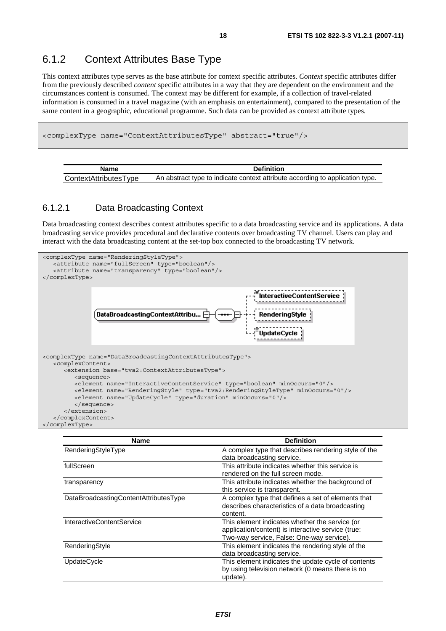### 6.1.2 Context Attributes Base Type

This context attributes type serves as the base attribute for context specific attributes. *Context* specific attributes differ from the previously described *content* specific attributes in a way that they are dependent on the environment and the circumstances content is consumed. The context may be different for example, if a collection of travel-related information is consumed in a travel magazine (with an emphasis on entertainment), compared to the presentation of the same content in a geographic, educational programme. Such data can be provided as context attribute types.

```
<complexType name="ContextAttributesType" abstract="true"/>
```

| Name                  | <b>Definition</b>                                                             |
|-----------------------|-------------------------------------------------------------------------------|
| ContextAttributesType | An abstract type to indicate context attribute according to application type. |

#### 6.1.2.1 Data Broadcasting Context

Data broadcasting context describes context attributes specific to a data broadcasting service and its applications. A data broadcasting service provides procedural and declarative contents over broadcasting TV channel. Users can play and interact with the data broadcasting content at the set-top box connected to the broadcasting TV network.



| <b>Name</b>                           | <b>Definition</b>                                                                                                                                 |
|---------------------------------------|---------------------------------------------------------------------------------------------------------------------------------------------------|
| RenderingStyleType                    | A complex type that describes rendering style of the<br>data broadcasting service.                                                                |
| fullScreen                            | This attribute indicates whether this service is<br>rendered on the full screen mode.                                                             |
| transparency                          | This attribute indicates whether the background of<br>this service is transparent.                                                                |
| DataBroadcastingContentAttributesType | A complex type that defines a set of elements that<br>describes characteristics of a data broadcasting<br>content.                                |
| <b>InteractiveContentService</b>      | This element indicates whether the service (or<br>application/content) is interactive service (true:<br>Two-way service, False: One-way service). |
| RenderingStyle                        | This element indicates the rendering style of the<br>data broadcasting service.                                                                   |
| <b>UpdateCycle</b>                    | This element indicates the update cycle of contents<br>by using television network (0 means there is no<br>update).                               |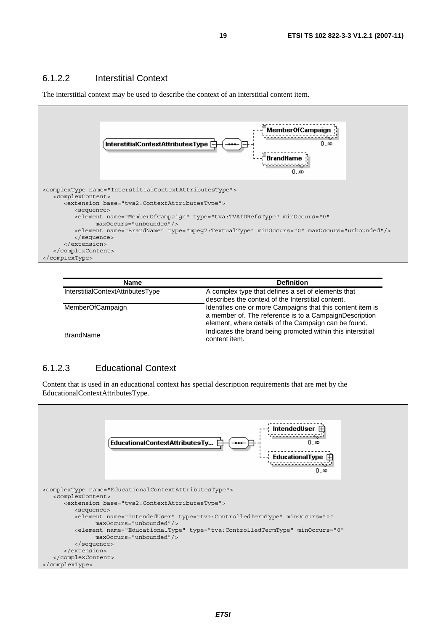#### 6.1.2.2 Interstitial Context

The interstitial context may be used to describe the context of an interstitial content item.



| <b>Name</b>                       | <b>Definition</b>                                                                                                                                                            |
|-----------------------------------|------------------------------------------------------------------------------------------------------------------------------------------------------------------------------|
| InterstitialContextAttributesType | A complex type that defines a set of elements that<br>describes the context of the Interstitial content.                                                                     |
| <b>MemberOfCampaign</b>           | Identifies one or more Campaigns that this content item is<br>a member of. The reference is to a CampaignDescription<br>element, where details of the Campaign can be found. |
| <b>BrandName</b>                  | Indicates the brand being promoted within this interstitial<br>content item.                                                                                                 |

#### 6.1.2.3 Educational Context

Content that is used in an educational context has special description requirements that are met by the EducationalContextAttributesType.

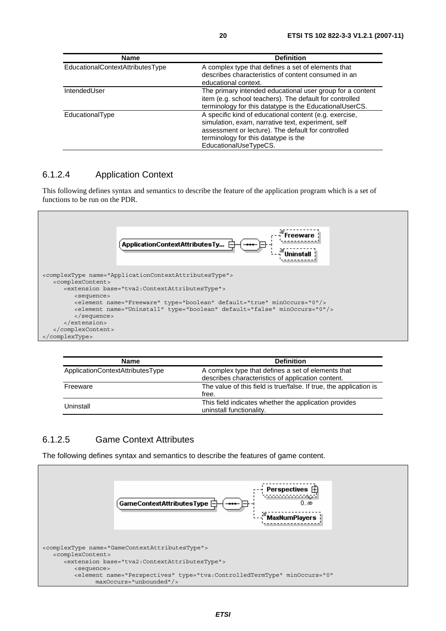| <b>Name</b>                      | <b>Definition</b>                                                                                                                                                                                                                   |
|----------------------------------|-------------------------------------------------------------------------------------------------------------------------------------------------------------------------------------------------------------------------------------|
| EducationalContextAttributesType | A complex type that defines a set of elements that<br>describes characteristics of content consumed in an<br>educational context.                                                                                                   |
| IntendedUser                     | The primary intended educational user group for a content<br>item (e.g. school teachers). The default for controlled<br>terminology for this datatype is the EducationalUserCS.                                                     |
| EducationalType                  | A specific kind of educational content (e.g. exercise,<br>simulation, exam, narrative text, experiment, self<br>assessment or lecture). The default for controlled<br>terminology for this datatype is the<br>EducationalUseTypeCS. |

#### 6.1.2.4 Application Context

This following defines syntax and semantics to describe the feature of the application program which is a set of functions to be run on the PDR.



| Name                             | <b>Definition</b>                                                                                       |
|----------------------------------|---------------------------------------------------------------------------------------------------------|
| ApplicationContextAttributesType | A complex type that defines a set of elements that<br>describes characteristics of application content. |
| Freeware                         | The value of this field is true/false. If true, the application is<br>free.                             |
| Uninstall                        | This field indicates whether the application provides<br>uninstall functionality.                       |

#### 6.1.2.5 Game Context Attributes

The following defines syntax and semantics to describe the features of game content.

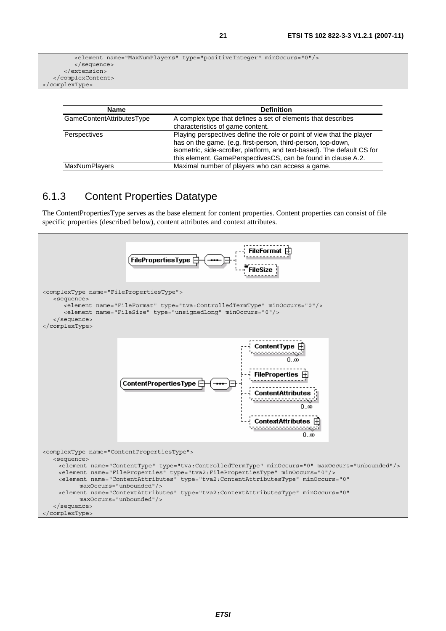```
 <element name="MaxNumPlayers" type="positiveInteger" minOccurs="0"/> 
          </sequence> 
       </extension> 
    </complexContent> 
</complexType>
```

| <b>Name</b>                      | <b>Definition</b>                                                                                                                                                                                                                                                                 |
|----------------------------------|-----------------------------------------------------------------------------------------------------------------------------------------------------------------------------------------------------------------------------------------------------------------------------------|
| <b>GameContentAttributesType</b> | A complex type that defines a set of elements that describes<br>characteristics of game content.                                                                                                                                                                                  |
| Perspectives                     | Playing perspectives define the role or point of view that the player<br>has on the game. (e.g. first-person, third-person, top-down,<br>isometric, side-scroller, platform, and text-based). The default CS for<br>this element, GamePerspectivesCS, can be found in clause A.2. |
| <b>MaxNumPlayers</b>             | Maximal number of players who can access a game.                                                                                                                                                                                                                                  |

### 6.1.3 Content Properties Datatype

The ContentPropertiesType serves as the base element for content properties. Content properties can consist of file specific properties (described below), content attributes and context attributes.

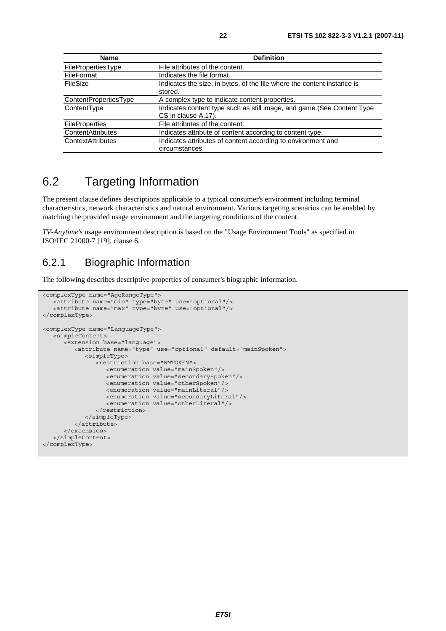| <b>Name</b>              | <b>Definition</b>                                                                              |  |
|--------------------------|------------------------------------------------------------------------------------------------|--|
| FilePropertiesType       | File attributes of the content.                                                                |  |
| <b>FileFormat</b>        | Indicates the file format.                                                                     |  |
| FileSize                 | Indicates the size, in bytes, of the file where the content instance is<br>stored.             |  |
| ContentPropertiesType    | A complex type to indicate content properties.                                                 |  |
| ContentType              | Indicates content type such as still image, and game. (See Content Type<br>CS in clause A.17). |  |
| <b>FileProperties</b>    | File attributes of the content.                                                                |  |
| <b>ContentAttributes</b> | Indicates attribute of content according to content type.                                      |  |
| ContextAttributes        | Indicates attributes of content according to environment and<br>circumstances.                 |  |

# 6.2 Targeting Information

The present clause defines descriptions applicable to a typical consumer's environment including terminal characteristics, network characteristics and natural environment. Various targeting scenarios can be enabled by matching the provided usage environment and the targeting conditions of the content.

*TV-Anytime's* usage environment description is based on the "Usage Environment Tools" as specified in ISO/IEC 21000-7 [19], clause 6.

### 6.2.1 Biographic Information

The following describes descriptive properties of consumer's biographic information.

```
<complexType name="AgeRangeType"> 
    <attribute name="min" type="byte" use="optional"/> 
    <attribute name="max" type="byte" use="optional"/> 
</complexType> 
<complexType name="LanguageType"> 
    <simpleContent> 
       <extension base="language"> 
          <attribute name="type" use="optional" default="mainSpoken"> 
             <simpleType> 
                <restriction base="NMTOKEN"> 
                    <enumeration value="mainSpoken"/> 
                    <enumeration value="secondarySpoken"/> 
                   <enumeration value="otherSpoken"/> 
                   <enumeration value="mainLiteral"/> 
                   <enumeration value="secondaryLiteral"/> 
                    <enumeration value="otherLiteral"/> 
                </restriction> 
             </simpleType> 
          </attribute> 
       </extension> 
    </simpleContent> 
</complexType>
```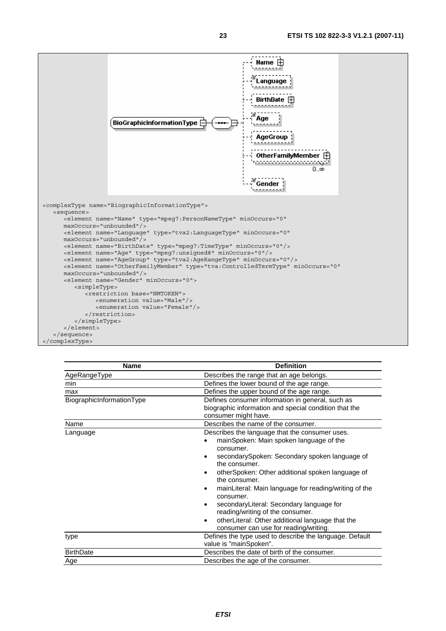

| <b>Name</b>               | <b>Definition</b>                                                                                                                                                                                                                                                                                                                                                                                                                                                                                                                                                 |  |
|---------------------------|-------------------------------------------------------------------------------------------------------------------------------------------------------------------------------------------------------------------------------------------------------------------------------------------------------------------------------------------------------------------------------------------------------------------------------------------------------------------------------------------------------------------------------------------------------------------|--|
| AgeRangeType              | Describes the range that an age belongs.                                                                                                                                                                                                                                                                                                                                                                                                                                                                                                                          |  |
| min                       | Defines the lower bound of the age range.                                                                                                                                                                                                                                                                                                                                                                                                                                                                                                                         |  |
| max                       | Defines the upper bound of the age range.                                                                                                                                                                                                                                                                                                                                                                                                                                                                                                                         |  |
| BiographicInformationType | Defines consumer information in general, such as<br>biographic information and special condition that the<br>consumer might have.                                                                                                                                                                                                                                                                                                                                                                                                                                 |  |
| Name                      | Describes the name of the consumer.                                                                                                                                                                                                                                                                                                                                                                                                                                                                                                                               |  |
| Language                  | Describes the language that the consumer uses.<br>mainSpoken: Main spoken language of the<br>consumer.<br>secondarySpoken: Secondary spoken language of<br>$\bullet$<br>the consumer.<br>otherSpoken: Other additional spoken language of<br>$\bullet$<br>the consumer.<br>mainLiteral: Main language for reading/writing of the<br>$\bullet$<br>consumer.<br>secondaryLiteral: Secondary language for<br>$\bullet$<br>reading/writing of the consumer.<br>otherLiteral: Other additional language that the<br>$\bullet$<br>consumer can use for reading/writing. |  |
| type                      | Defines the type used to describe the language. Default<br>value is "mainSpoken".                                                                                                                                                                                                                                                                                                                                                                                                                                                                                 |  |
| <b>BirthDate</b>          | Describes the date of birth of the consumer.                                                                                                                                                                                                                                                                                                                                                                                                                                                                                                                      |  |
| Age                       | Describes the age of the consumer.                                                                                                                                                                                                                                                                                                                                                                                                                                                                                                                                |  |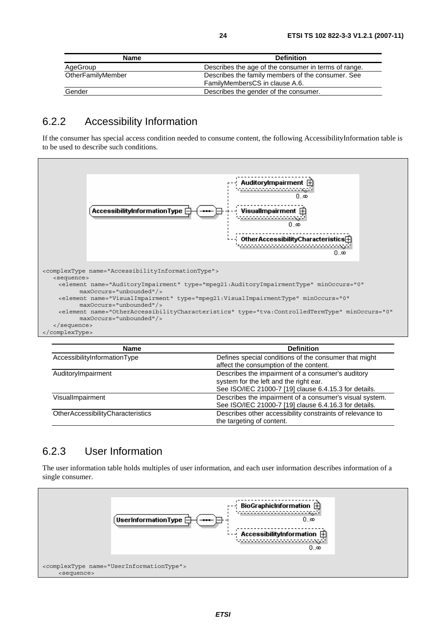| <b>Name</b>       | <b>Definition</b>                                                                   |
|-------------------|-------------------------------------------------------------------------------------|
| AgeGroup          | Describes the age of the consumer in terms of range.                                |
| OtherFamilyMember | Describes the family members of the consumer. See<br>FamilyMembersCS in clause A.6. |
| Gender            | Describes the gender of the consumer.                                               |

### 6.2.2 Accessibility Information

If the consumer has special access condition needed to consume content, the following AccessibilityInformation table is to be used to describe such conditions.



| <b>Name</b>                       | <b>Definition</b>                                                                                                                                    |
|-----------------------------------|------------------------------------------------------------------------------------------------------------------------------------------------------|
| AccessibilityInformationType      | Defines special conditions of the consumer that might<br>affect the consumption of the content.                                                      |
| AuditoryImpairment                | Describes the impairment of a consumer's auditory<br>system for the left and the right ear.<br>See ISO/IEC 21000-7 [19] clause 6.4.15.3 for details. |
| VisualImpairment                  | Describes the impairment of a consumer's visual system.<br>See ISO/IEC 21000-7 [19] clause 6.4.16.3 for details.                                     |
| OtherAccessibilityCharacteristics | Describes other accessibility constraints of relevance to<br>the targeting of content.                                                               |

### 6.2.3 User Information

The user information table holds multiples of user information, and each user information describes information of a single consumer.

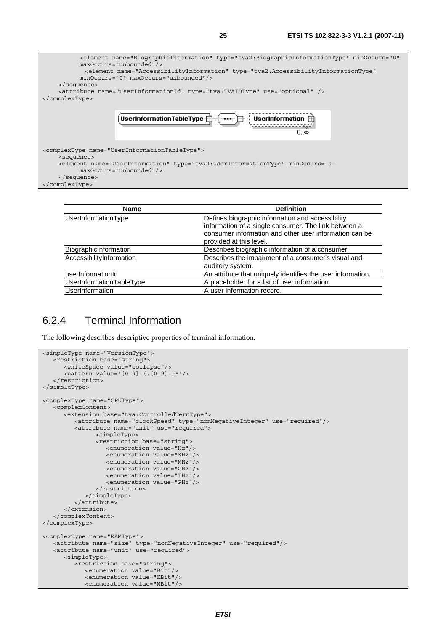

| <b>Name</b>              | <b>Definition</b>                                                                                                                                                                             |
|--------------------------|-----------------------------------------------------------------------------------------------------------------------------------------------------------------------------------------------|
| UserInformationType      | Defines biographic information and accessibility<br>information of a single consumer. The link between a<br>consumer information and other user information can be<br>provided at this level. |
| BiographicInformation    | Describes biographic information of a consumer.                                                                                                                                               |
| AccessibilityInformation | Describes the impairment of a consumer's visual and                                                                                                                                           |
|                          | auditory system.                                                                                                                                                                              |
| userInformationId        | An attribute that uniquely identifies the user information.                                                                                                                                   |
| UserInformationTableType | A placeholder for a list of user information.                                                                                                                                                 |
| UserInformation          | A user information record.                                                                                                                                                                    |

### 6.2.4 Terminal Information

The following describes descriptive properties of terminal information.

```
<simpleType name="VersionType"> 
   <restriction base="string"> 
       <whiteSpace value="collapse"/> 
       <pattern value="[0-9]+(.[0-9]+)*"/> 
    </restriction> 
</simpleType> 
<complexType name="CPUType"> 
    <complexContent> 
       <extension base="tva:ControlledTermType"> 
 <attribute name="clockSpeed" type="nonNegativeInteger" use="required"/> 
 <attribute name="unit" use="required"> 
                <simpleType> 
                <restriction base="string"> 
                   <enumeration value="Hz"/> 
                   <enumeration value="KHz"/> 
                   <enumeration value="MHz"/> 
                   <enumeration value="GHz"/> 
                   <enumeration value="THz"/> 
                   <enumeration value="PHz"/> 
                </restriction> 
             </simpleType> 
          </attribute> 
       </extension> 
    </complexContent> 
</complexType> 
<complexType name="RAMType"> 
 <attribute name="size" type="nonNegativeInteger" use="required"/> 
 <attribute name="unit" use="required"> 
       <simpleType> 
          <restriction base="string"> 
             <enumeration value="Bit"/> 
             <enumeration value="KBit"/> 
             <enumeration value="MBit"/>
```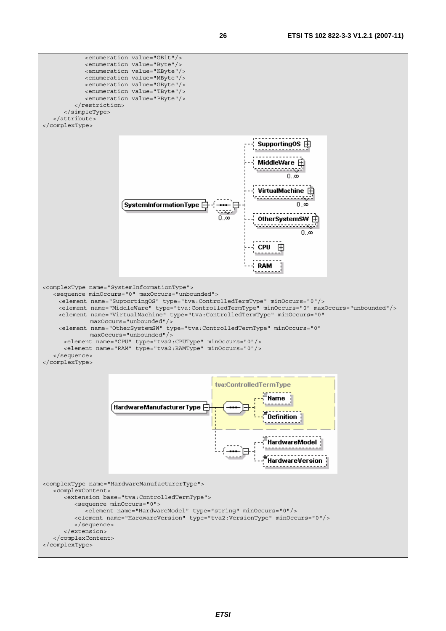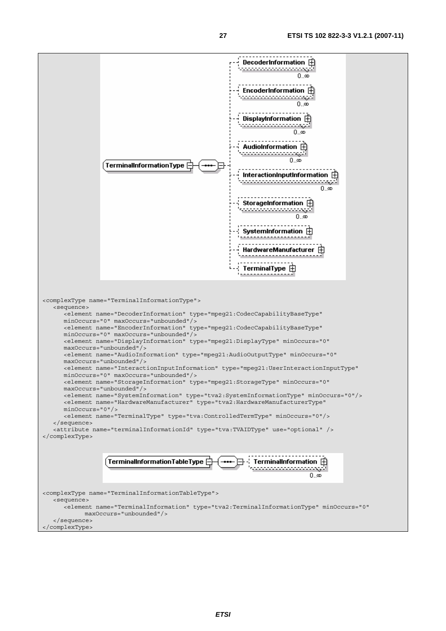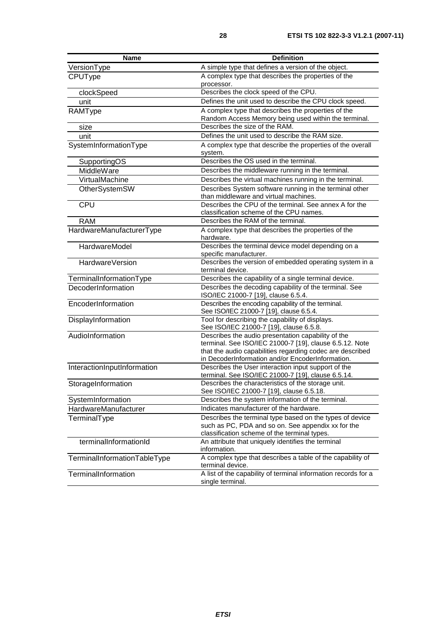| <b>Name</b>                  | <b>Definition</b>                                                                                              |  |
|------------------------------|----------------------------------------------------------------------------------------------------------------|--|
| VersionType                  | A simple type that defines a version of the object.                                                            |  |
| CPUType                      | A complex type that describes the properties of the                                                            |  |
|                              | processor.                                                                                                     |  |
| clockSpeed                   | Describes the clock speed of the CPU.                                                                          |  |
| unit                         | Defines the unit used to describe the CPU clock speed.                                                         |  |
| RAMType                      | A complex type that describes the properties of the                                                            |  |
|                              | Random Access Memory being used within the terminal.                                                           |  |
| size                         | Describes the size of the RAM.                                                                                 |  |
| unit                         | Defines the unit used to describe the RAM size.                                                                |  |
| SystemInformationType        | A complex type that describe the properties of the overall                                                     |  |
|                              | system.                                                                                                        |  |
| SupportingOS                 | Describes the OS used in the terminal.                                                                         |  |
| MiddleWare                   | Describes the middleware running in the terminal.                                                              |  |
| VirtualMachine               | Describes the virtual machines running in the terminal.                                                        |  |
| OtherSystemSW                | Describes System software running in the terminal other                                                        |  |
|                              | than middleware and virtual machines.                                                                          |  |
| CPU                          | Describes the CPU of the terminal. See annex A for the                                                         |  |
| <b>RAM</b>                   | classification scheme of the CPU names.<br>Describes the RAM of the terminal.                                  |  |
|                              |                                                                                                                |  |
| HardwareManufacturerType     | A complex type that describes the properties of the<br>hardware.                                               |  |
| HardwareModel                | Describes the terminal device model depending on a                                                             |  |
|                              | specific manufacturer.                                                                                         |  |
| HardwareVersion              | Describes the version of embedded operating system in a                                                        |  |
|                              | terminal device.                                                                                               |  |
| TerminalInformationType      | Describes the capability of a single terminal device.                                                          |  |
| DecoderInformation           | Describes the decoding capability of the terminal. See                                                         |  |
|                              | ISO/IEC 21000-7 [19], clause 6.5.4.                                                                            |  |
| EncoderInformation           | Describes the encoding capability of the terminal.                                                             |  |
|                              | See ISO/IEC 21000-7 [19], clause 6.5.4.                                                                        |  |
| DisplayInformation           | Tool for describing the capability of displays.<br>See ISO/IEC 21000-7 [19], clause 6.5.8.                     |  |
| AudioInformation             | Describes the audio presentation capability of the                                                             |  |
|                              | terminal. See ISO/IEC 21000-7 [19], clause 6.5.12. Note                                                        |  |
|                              | that the audio capabilities regarding codec are described                                                      |  |
|                              | in DecoderInformation and/or EncoderInformation.                                                               |  |
| InteractionInputInformation  | Describes the User interaction input support of the                                                            |  |
|                              | terminal. See ISO/IEC 21000-7 [19], clause 6.5.14.                                                             |  |
| StorageInformation           | Describes the characteristics of the storage unit.                                                             |  |
|                              | See ISO/IEC 21000-7 [19], clause 6.5.18.                                                                       |  |
| SystemInformation            | Describes the system information of the terminal.<br>Indicates manufacturer of the hardware.                   |  |
| HardwareManufacturer         |                                                                                                                |  |
| TerminalType                 | Describes the terminal type based on the types of device<br>such as PC, PDA and so on. See appendix xx for the |  |
|                              | classification scheme of the terminal types.                                                                   |  |
| terminalInformationId        | An attribute that uniquely identifies the terminal                                                             |  |
|                              | information.                                                                                                   |  |
| TerminalInformationTableType | A complex type that describes a table of the capability of                                                     |  |
|                              | terminal device.                                                                                               |  |
| TerminalInformation          | A list of the capability of terminal information records for a                                                 |  |
|                              | single terminal.                                                                                               |  |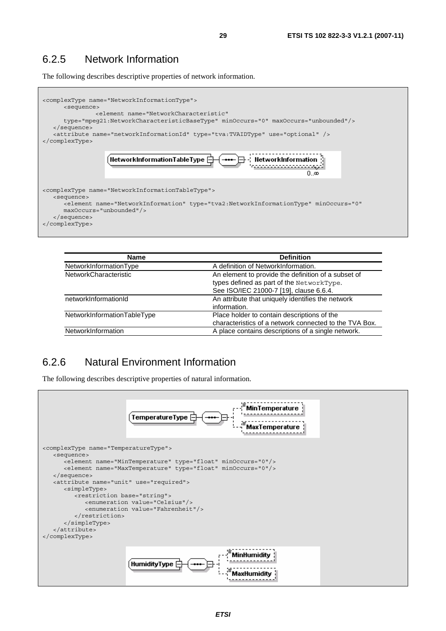### 6.2.5 Network Information

The following describes descriptive properties of network information.



| <b>Name</b>                  | <b>Definition</b>                                      |
|------------------------------|--------------------------------------------------------|
| NetworkInformationType       | A definition of NetworkInformation.                    |
| <b>NetworkCharacteristic</b> | An element to provide the definition of a subset of    |
|                              | types defined as part of the NetworkType.              |
|                              | See ISO/IEC 21000-7 [19], clause 6.6.4.                |
| networkInformationId         | An attribute that uniquely identifies the network      |
|                              | information.                                           |
| NetworkInformationTableType  | Place holder to contain descriptions of the            |
|                              | characteristics of a network connected to the TVA Box. |
| NetworkInformation           | A place contains descriptions of a single network.     |

### 6.2.6 Natural Environment Information

The following describes descriptive properties of natural information.

|                                                                                                                                                                                                                                                                                                             | ⊹ MinTemperature<br>TemperatureType<br><b>MaxTemperature</b>                                                                                                                                                                                  |
|-------------------------------------------------------------------------------------------------------------------------------------------------------------------------------------------------------------------------------------------------------------------------------------------------------------|-----------------------------------------------------------------------------------------------------------------------------------------------------------------------------------------------------------------------------------------------|
| <complextype name="TemperatureType"><br/><sequence><br/><math>\langle</math> sequence&gt;<br/><attribute name="unit" use="required"><br/><simpletype><br/><restriction base="string"><br/></restriction><br/></simpletype><br/><math>\langle</math> attribute&gt;<br/></attribute></sequence></complextype> | <element minoccurs="0" name="MinTemperature" type="float"></element><br><element minoccurs="0" name="MaxTemperature" type="float"></element><br><enumeration value="Celsius"></enumeration><br><enumeration value="Fahrenheit"></enumeration> |
|                                                                                                                                                                                                                                                                                                             | MinHumidity<br>HumidityType <b>E</b><br>MaxHumidity                                                                                                                                                                                           |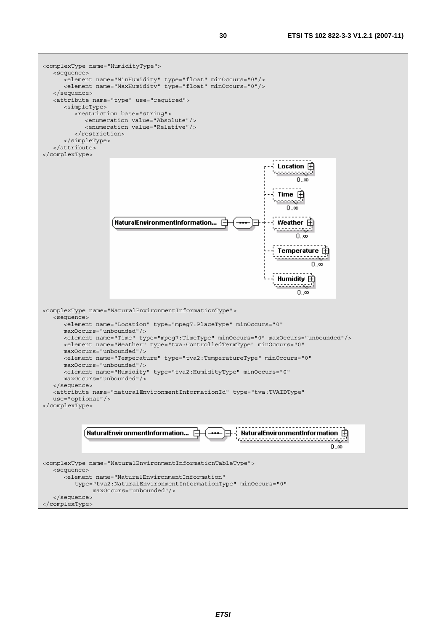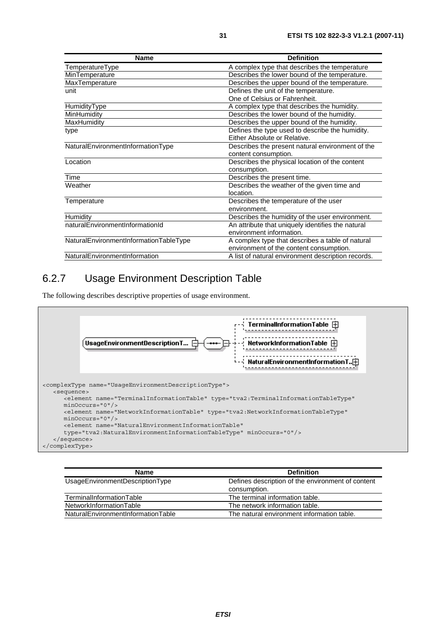| <b>Name</b>                            | <b>Definition</b>                                  |
|----------------------------------------|----------------------------------------------------|
| TemperatureType                        | A complex type that describes the temperature      |
| MinTemperature                         | Describes the lower bound of the temperature.      |
| MaxTemperature                         | Describes the upper bound of the temperature.      |
| unit                                   | Defines the unit of the temperature.               |
|                                        | One of Celsius or Fahrenheit.                      |
| HumidityType                           | A complex type that describes the humidity.        |
| MinHumidity                            | Describes the lower bound of the humidity.         |
| MaxHumidity                            | Describes the upper bound of the humidity.         |
| type                                   | Defines the type used to describe the humidity.    |
|                                        | Either Absolute or Relative.                       |
| NaturalEnvironmentInformationType      | Describes the present natural environment of the   |
|                                        | content consumption.                               |
| Location                               | Describes the physical location of the content     |
|                                        | consumption.                                       |
| Time                                   | Describes the present time.                        |
| Weather                                | Describes the weather of the given time and        |
|                                        | location.                                          |
| Temperature                            | Describes the temperature of the user              |
|                                        | environment.                                       |
| Humidity                               | Describes the humidity of the user environment.    |
| naturalEnvironmentInformationId        | An attribute that uniquely identifies the natural  |
|                                        | environment information.                           |
| NaturalEnvironmentInformationTableType | A complex type that describes a table of natural   |
|                                        | environment of the content consumption.            |
| NaturalEnvironmentInformation          | A list of natural environment description records. |

### 6.2.7 Usage Environment Description Table

The following describes descriptive properties of usage environment.



| <b>Name</b>                        | <b>Definition</b>                                                 |
|------------------------------------|-------------------------------------------------------------------|
| UsageEnvironmentDescriptionType    | Defines description of the environment of content<br>consumption. |
| TerminalInformationTable           | The terminal information table.                                   |
| NetworkInformationTable            | The network information table.                                    |
| NaturalEnvironmentInformationTable | The natural environment information table.                        |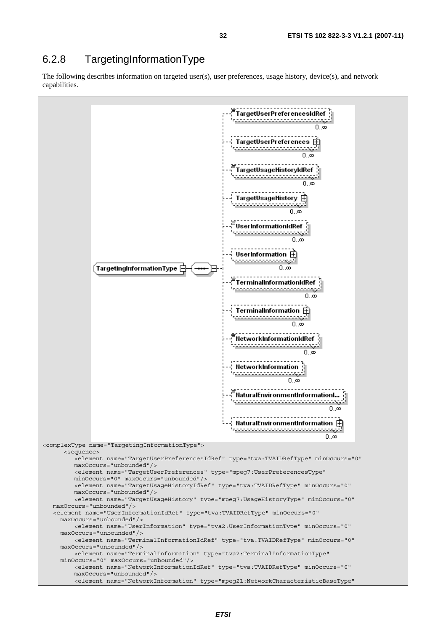### 6.2.8 TargetingInformationType

The following describes information on targeted user(s), user preferences, usage history, device(s), and network capabilities.

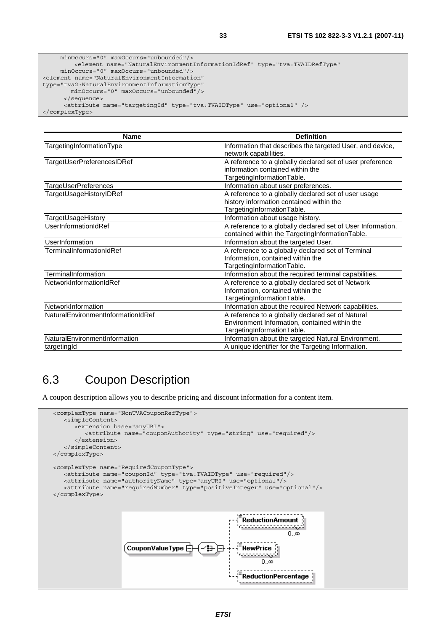| <b>Name</b>                        | <b>Definition</b>                                           |
|------------------------------------|-------------------------------------------------------------|
| TargetingInformationType           | Information that describes the targeted User, and device,   |
|                                    | network capabilities.                                       |
| TargetUserPreferencesIDRef         | A reference to a globally declared set of user preference   |
|                                    | information contained within the                            |
|                                    | TargetingInformationTable.                                  |
| TargeUserPreferences               | Information about user preferences.                         |
| TargetUsageHistoryIDRef            | A reference to a globally declared set of user usage        |
|                                    | history information contained within the                    |
|                                    | TargetingInformationTable.                                  |
| TargetUsageHistory                 | Information about usage history.                            |
| UserInformationIdRef               | A reference to a globally declared set of User Information, |
|                                    | contained within the TargetingInformationTable.             |
| <b>UserInformation</b>             | Information about the targeted User.                        |
| TerminalInformationIdRef           | A reference to a globally declared set of Terminal          |
|                                    | Information, contained within the                           |
|                                    | TargetingInformationTable.                                  |
| TerminalInformation                | Information about the required terminal capabilities.       |
| NetworkInformationIdRef            | A reference to a globally declared set of Network           |
|                                    | Information, contained within the                           |
|                                    | TargetingInformationTable.                                  |
| NetworkInformation                 | Information about the required Network capabilities.        |
| NaturalEnvironmentInformationIdRef | A reference to a globally declared set of Natural           |
|                                    | Environment Information, contained within the               |
|                                    | TargetingInformationTable.                                  |
| NaturalEnvironmentInformation      | Information about the targeted Natural Environment.         |
| targetingId                        | A unique identifier for the Targeting Information.          |

# 6.3 Coupon Description

A coupon description allows you to describe pricing and discount information for a content item.

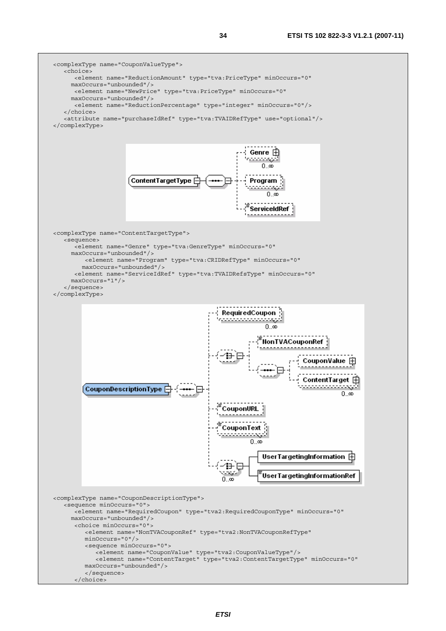

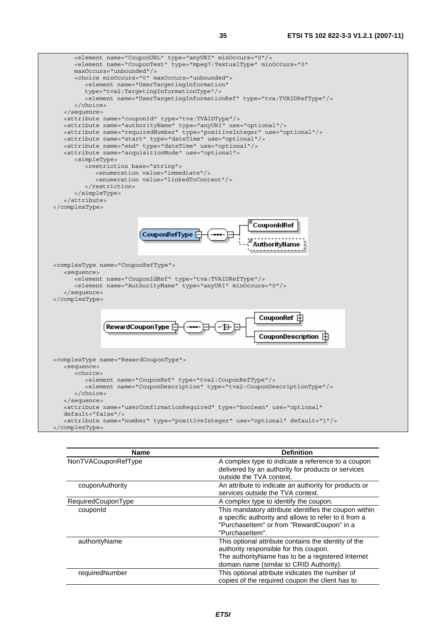

| <b>Name</b>         | <b>Definition</b>                                                                                                                                                                                |
|---------------------|--------------------------------------------------------------------------------------------------------------------------------------------------------------------------------------------------|
| NonTVACouponRefType | A complex type to indicate a reference to a coupon<br>delivered by an authority for products or services<br>outside the TVA context.                                                             |
| couponAuthority     | An attribute to indicate an authority for products or<br>services outside the TVA context.                                                                                                       |
| RequiredCouponType  | A complex type to identify the coupon.                                                                                                                                                           |
| couponid            | This mandatory attribute identifies the coupon within<br>a specific authority and allows to refer to it from a<br>"PurchaseItem" or from "RewardCoupon" in a<br>"Purchaseltem".                  |
| authorityName       | This optional attribute contains the identity of the<br>authority responsible for this coupon.<br>The authority Name has to be a registered Internet<br>domain name (similar to CRID Authority). |
| requiredNumber      | This optional attribute indicates the number of<br>copies of the required coupon the client has to                                                                                               |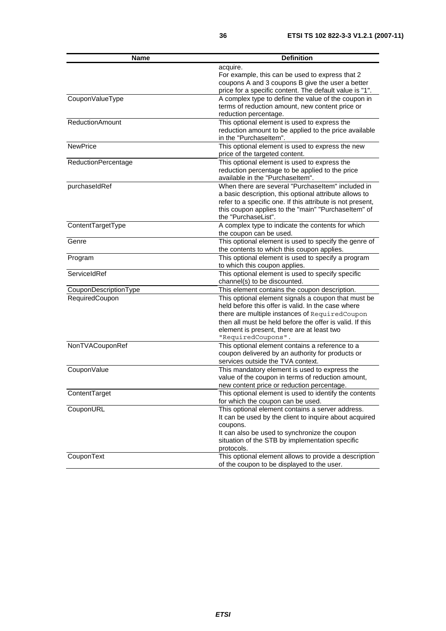| <b>Name</b>            | <b>Definition</b>                                                          |
|------------------------|----------------------------------------------------------------------------|
|                        | acquire.                                                                   |
|                        | For example, this can be used to express that 2                            |
|                        | coupons A and 3 coupons B give the user a better                           |
|                        | price for a specific content. The default value is "1".                    |
| CouponValueType        | A complex type to define the value of the coupon in                        |
|                        | terms of reduction amount, new content price or                            |
|                        | reduction percentage.                                                      |
| <b>ReductionAmount</b> | This optional element is used to express the                               |
|                        | reduction amount to be applied to the price available                      |
|                        | in the "Purchaseltem".                                                     |
| <b>NewPrice</b>        | This optional element is used to express the new                           |
|                        | price of the targeted content.                                             |
| ReductionPercentage    | This optional element is used to express the                               |
|                        | reduction percentage to be applied to the price                            |
|                        | available in the "Purchaseltem".                                           |
| purchaseIdRef          | When there are several "Purchaseltem" included in                          |
|                        | a basic description, this optional attribute allows to                     |
|                        | refer to a specific one. If this attribute is not present,                 |
|                        | this coupon applies to the "main" "Purchaseltem" of<br>the "PurchaseList". |
| ContentTargetType      | A complex type to indicate the contents for which                          |
|                        | the coupon can be used.                                                    |
| Genre                  | This optional element is used to specify the genre of                      |
|                        | the contents to which this coupon applies.                                 |
| Program                | This optional element is used to specify a program                         |
|                        | to which this coupon applies.                                              |
| ServiceIdRef           | This optional element is used to specify specific                          |
|                        | channel(s) to be discounted.                                               |
| CouponDescriptionType  | This element contains the coupon description.                              |
| RequiredCoupon         | This optional element signals a coupon that must be                        |
|                        | held before this offer is valid. In the case where                         |
|                        | there are multiple instances of RequiredCoupon                             |
|                        | then all must be held before the offer is valid. If this                   |
|                        | element is present, there are at least two                                 |
|                        | "RequiredCoupons".                                                         |
| NonTVACouponRef        | This optional element contains a reference to a                            |
|                        | coupon delivered by an authority for products or                           |
|                        | services outside the TVA context.                                          |
| CouponValue            | This mandatory element is used to express the                              |
|                        | value of the coupon in terms of reduction amount,                          |
|                        | new content price or reduction percentage.                                 |
| ContentTarget          | This optional element is used to identify the contents                     |
|                        | for which the coupon can be used.                                          |
| CouponURL              | This optional element contains a server address.                           |
|                        | It can be used by the client to inquire about acquired                     |
|                        | coupons.                                                                   |
|                        | It can also be used to synchronize the coupon                              |
|                        | situation of the STB by implementation specific                            |
|                        | protocols.                                                                 |
| CouponText             | This optional element allows to provide a description                      |
|                        | of the coupon to be displayed to the user.                                 |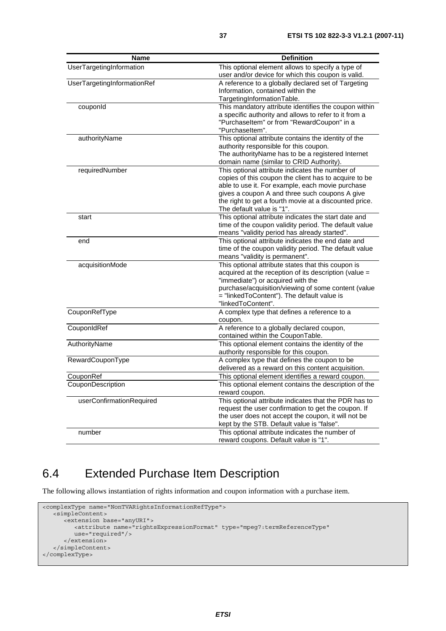| Name                        | <b>Definition</b>                                                                           |
|-----------------------------|---------------------------------------------------------------------------------------------|
| UserTargetingInformation    | This optional element allows to specify a type of                                           |
|                             | user and/or device for which this coupon is valid.                                          |
| UserTargetingInformationRef | A reference to a globally declared set of Targeting                                         |
|                             | Information, contained within the                                                           |
|                             | TargetingInformationTable.                                                                  |
| couponId                    | This mandatory attribute identifies the coupon within                                       |
|                             | a specific authority and allows to refer to it from a                                       |
|                             | "PurchaseItem" or from "RewardCoupon" in a                                                  |
|                             | "PurchaseItem".                                                                             |
| authorityName               | This optional attribute contains the identity of the                                        |
|                             | authority responsible for this coupon.<br>The authorityName has to be a registered Internet |
|                             | domain name (similar to CRID Authority).                                                    |
| requiredNumber              | This optional attribute indicates the number of                                             |
|                             | copies of this coupon the client has to acquire to be                                       |
|                             | able to use it. For example, each movie purchase                                            |
|                             | gives a coupon A and three such coupons A give                                              |
|                             | the right to get a fourth movie at a discounted price.                                      |
|                             | The default value is "1".                                                                   |
| start                       | This optional attribute indicates the start date and                                        |
|                             | time of the coupon validity period. The default value                                       |
|                             | means "validity period has already started".                                                |
| end                         | This optional attribute indicates the end date and                                          |
|                             | time of the coupon validity period. The default value                                       |
|                             | means "validity is permanent".                                                              |
| acquisitionMode             | This optional attribute states that this coupon is                                          |
|                             | acquired at the reception of its description (value =                                       |
|                             | "immediate") or acquired with the<br>purchase/acquisition/viewing of some content (value    |
|                             | = "linkedToContent"). The default value is                                                  |
|                             | "linkedToContent".                                                                          |
| CouponRefType               | A complex type that defines a reference to a                                                |
|                             | coupon.                                                                                     |
| CouponIdRef                 | A reference to a globally declared coupon,                                                  |
|                             | contained within the CouponTable.                                                           |
| AuthorityName               | This optional element contains the identity of the                                          |
|                             | authority responsible for this coupon.                                                      |
| RewardCouponType            | A complex type that defines the coupon to be                                                |
|                             | delivered as a reward on this content acquisition.                                          |
| CouponRef                   | This optional element identifies a reward coupon.                                           |
| CouponDescription           | This optional element contains the description of the                                       |
|                             | reward coupon.                                                                              |
| userConfirmationRequired    | This optional attribute indicates that the PDR has to                                       |
|                             | request the user confirmation to get the coupon. If                                         |
|                             | the user does not accept the coupon, it will not be                                         |
|                             | kept by the STB. Default value is "false".                                                  |
| number                      | This optional attribute indicates the number of                                             |
|                             | reward coupons. Default value is "1".                                                       |

### 6.4 Extended Purchase Item Description

The following allows instantiation of rights information and coupon information with a purchase item.

```
<complexType name="NonTVARightsInformationRefType"> 
    <simpleContent> 
       <extension base="anyURI"> 
          <attribute name="rightsExpressionFormat" type="mpeg7:termReferenceType" 
          use="required"/> 
       </extension> 
    </simpleContent> 
</complexType>
```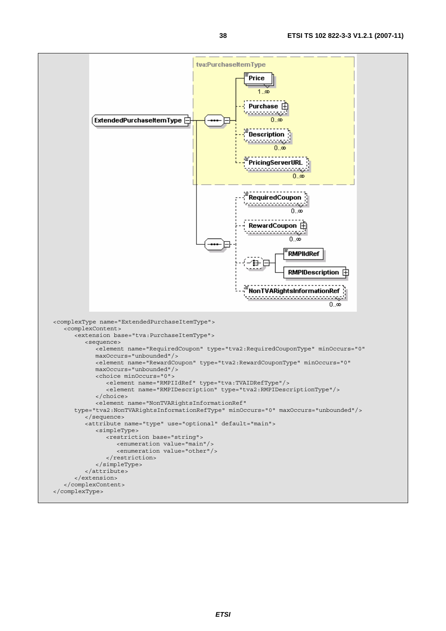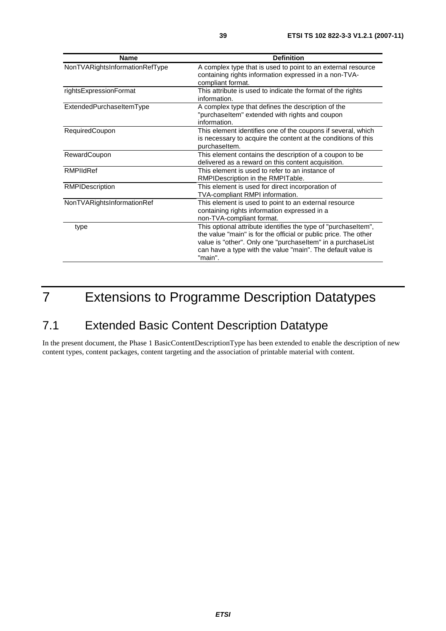| <b>Name</b>                    | <b>Definition</b>                                                                                                                                                                                                                                                          |
|--------------------------------|----------------------------------------------------------------------------------------------------------------------------------------------------------------------------------------------------------------------------------------------------------------------------|
| NonTVARightsInformationRefType | A complex type that is used to point to an external resource<br>containing rights information expressed in a non-TVA-<br>compliant format.                                                                                                                                 |
| rightsExpressionFormat         | This attribute is used to indicate the format of the rights<br>information.                                                                                                                                                                                                |
| ExtendedPurchaseItemType       | A complex type that defines the description of the<br>"purchaseltem" extended with rights and coupon<br>information.                                                                                                                                                       |
| RequiredCoupon                 | This element identifies one of the coupons if several, which<br>is necessary to acquire the content at the conditions of this<br>purchaseltem.                                                                                                                             |
| RewardCoupon                   | This element contains the description of a coupon to be<br>delivered as a reward on this content acquisition.                                                                                                                                                              |
| RMPIIdRef                      | This element is used to refer to an instance of<br>RMPIDescription in the RMPITable.                                                                                                                                                                                       |
| RMPIDescription                | This element is used for direct incorporation of<br>TVA-compliant RMPI information.                                                                                                                                                                                        |
| NonTVARightsInformationRef     | This element is used to point to an external resource<br>containing rights information expressed in a<br>non-TVA-compliant format.                                                                                                                                         |
| type                           | This optional attribute identifies the type of "purchaseltem",<br>the value "main" is for the official or public price. The other<br>value is "other". Only one "purchaseltem" in a purchaseList<br>can have a type with the value "main". The default value is<br>"main". |

# 7 Extensions to Programme Description Datatypes

### 7.1 Extended Basic Content Description Datatype

In the present document, the Phase 1 BasicContentDescriptionType has been extended to enable the description of new content types, content packages, content targeting and the association of printable material with content.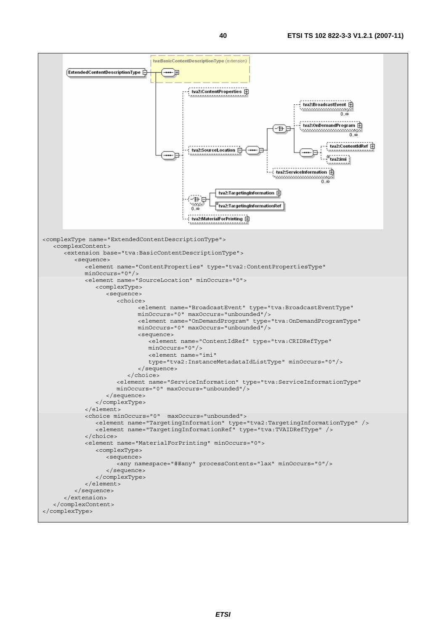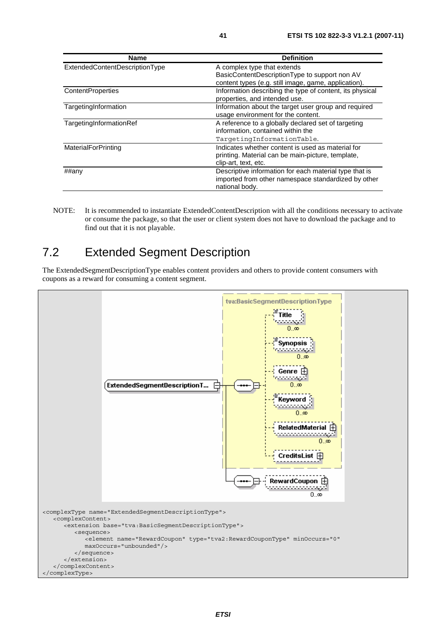| <b>Name</b>                    | <b>Definition</b>                                        |
|--------------------------------|----------------------------------------------------------|
| ExtendedContentDescriptionType | A complex type that extends                              |
|                                | BasicContentDescriptionType to support non AV            |
|                                | content types (e.g. still image, game, application).     |
| <b>ContentProperties</b>       | Information describing the type of content, its physical |
|                                | properties, and intended use.                            |
| TargetingInformation           | Information about the target user group and required     |
|                                | usage environment for the content.                       |
| TargetingInformationRef        | A reference to a globally declared set of targeting      |
|                                | information, contained within the                        |
|                                | TargetingInformationTable.                               |
| MaterialForPrinting            | Indicates whether content is used as material for        |
|                                | printing. Material can be main-picture, template,        |
|                                | clip-art, text, etc.                                     |
| ##any                          | Descriptive information for each material type that is   |
|                                | imported from other namespace standardized by other      |
|                                | national body.                                           |

NOTE: It is recommended to instantiate ExtendedContentDescription with all the conditions necessary to activate or consume the package, so that the user or client system does not have to download the package and to find out that it is not playable.

### 7.2 Extended Segment Description

The ExtendedSegmentDescriptionType enables content providers and others to provide content consumers with coupons as a reward for consuming a content segment.

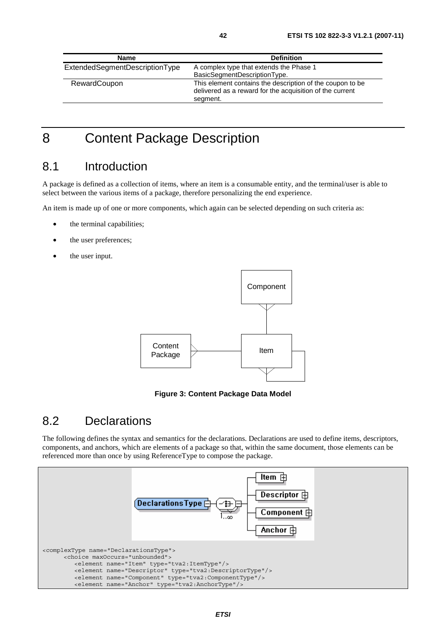| <b>Name</b>                    | <b>Definition</b>                                         |
|--------------------------------|-----------------------------------------------------------|
| ExtendedSegmentDescriptionType | A complex type that extends the Phase 1                   |
|                                | BasicSegmentDescriptionType.                              |
| RewardCoupon                   | This element contains the description of the coupon to be |
|                                | delivered as a reward for the acquisition of the current  |
|                                | segment.                                                  |

### 8 Content Package Description

#### 8.1 Introduction

A package is defined as a collection of items, where an item is a consumable entity, and the terminal/user is able to select between the various items of a package, therefore personalizing the end experience.

An item is made up of one or more components, which again can be selected depending on such criteria as:

- the terminal capabilities;
- the user preferences;
- the user input.



#### **Figure 3: Content Package Data Model**

#### 8.2 Declarations

The following defines the syntax and semantics for the declarations. Declarations are used to define items, descriptors, components, and anchors, which are elements of a package so that, within the same document, those elements can be referenced more than once by using ReferenceType to compose the package.

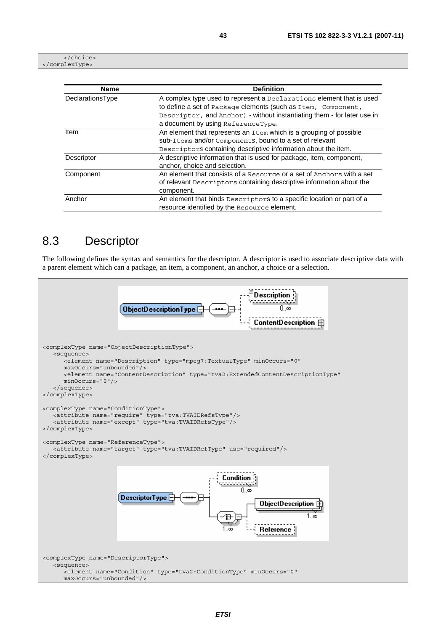</choice> </complexType>

| <b>Name</b>      | <b>Definition</b>                                                                                                                             |  |
|------------------|-----------------------------------------------------------------------------------------------------------------------------------------------|--|
| DeclarationsType | A complex type used to represent a Declarations element that is used<br>to define a set of Package elements (such as Item, Component,         |  |
|                  | Descriptor, and Anchor) - without instantiating them - for later use in                                                                       |  |
|                  | a document by using ReferenceType.                                                                                                            |  |
| Item             | An element that represents an Item which is a grouping of possible                                                                            |  |
|                  | sub-Items and/or Components, bound to a set of relevant                                                                                       |  |
|                  | Descriptors containing descriptive information about the item.                                                                                |  |
| Descriptor       | A descriptive information that is used for package, item, component,<br>anchor, choice and selection.                                         |  |
| Component        | An element that consists of a Resource or a set of Anchors with a set<br>of relevant Descriptors containing descriptive information about the |  |
|                  | component.                                                                                                                                    |  |
| Anchor           | An element that binds Descriptors to a specific location or part of a                                                                         |  |
|                  | resource identified by the Resource element.                                                                                                  |  |

#### 8.3 Descriptor

The following defines the syntax and semantics for the descriptor. A descriptor is used to associate descriptive data with a parent element which can a package, an item, a component, an anchor, a choice or a selection.

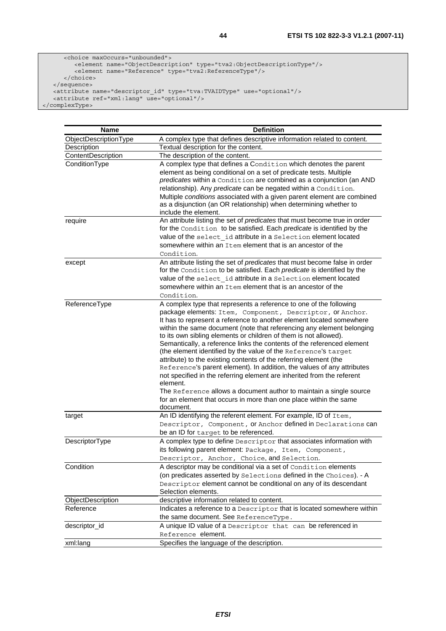```
 <choice maxOccurs="unbounded"> 
 <element name="ObjectDescription" type="tva2:ObjectDescriptionType"/> 
 <element name="Reference" type="tva2:ReferenceType"/> 
      </choice> 
 </sequence> 
 <attribute name="descriptor_id" type="tva:TVAIDType" use="optional"/> 
 <attribute ref="xml:lang" use="optional"/> 
</complexType>
```

| <b>Name</b>           | <b>Definition</b>                                                                                                                                                                                                                                                                                                                                                                                                                                                                                                                                                                                                                                                                                                                                                                                                                                                                             |
|-----------------------|-----------------------------------------------------------------------------------------------------------------------------------------------------------------------------------------------------------------------------------------------------------------------------------------------------------------------------------------------------------------------------------------------------------------------------------------------------------------------------------------------------------------------------------------------------------------------------------------------------------------------------------------------------------------------------------------------------------------------------------------------------------------------------------------------------------------------------------------------------------------------------------------------|
| ObjectDescriptionType | A complex type that defines descriptive information related to content.                                                                                                                                                                                                                                                                                                                                                                                                                                                                                                                                                                                                                                                                                                                                                                                                                       |
| Description           | Textual description for the content.                                                                                                                                                                                                                                                                                                                                                                                                                                                                                                                                                                                                                                                                                                                                                                                                                                                          |
| ContentDescription    | The description of the content.                                                                                                                                                                                                                                                                                                                                                                                                                                                                                                                                                                                                                                                                                                                                                                                                                                                               |
| ConditionType         | A complex type that defines a Condition which denotes the parent<br>element as being conditional on a set of predicate tests. Multiple<br>predicates within a Condition are combined as a conjunction (an AND<br>relationship). Any predicate can be negated within a Condition.<br>Multiple conditions associated with a given parent element are combined<br>as a disjunction (an OR relationship) when determining whether to<br>include the element.                                                                                                                                                                                                                                                                                                                                                                                                                                      |
| require               | An attribute listing the set of predicates that must become true in order<br>for the Condition to be satisfied. Each predicate is identified by the<br>value of the select id attribute in a Selection element located<br>somewhere within an Item element that is an ancestor of the<br>Condition.                                                                                                                                                                                                                                                                                                                                                                                                                                                                                                                                                                                           |
| except                | An attribute listing the set of predicates that must become false in order<br>for the Condition to be satisfied. Each predicate is identified by the<br>value of the select id attribute in a Selection element located<br>somewhere within an Item element that is an ancestor of the<br>Condition.                                                                                                                                                                                                                                                                                                                                                                                                                                                                                                                                                                                          |
| ReferenceType         | A complex type that represents a reference to one of the following<br>package elements: Item, Component, Descriptor, or Anchor.<br>It has to represent a reference to another element located somewhere<br>within the same document (note that referencing any element belonging<br>to its own sibling elements or children of them is not allowed).<br>Semantically, a reference links the contents of the referenced element<br>(the element identified by the value of the Reference's target<br>attribute) to the existing contents of the referring element (the<br>Reference's parent element). In addition, the values of any attributes<br>not specified in the referring element are inherited from the referent<br>element.<br>The Reference allows a document author to maintain a single source<br>for an element that occurs in more than one place within the same<br>document. |
| target                | An ID identifying the referent element. For example, ID of Item,<br>Descriptor, Component, or Anchor defined in Declarations can<br>be an ID for target to be referenced.                                                                                                                                                                                                                                                                                                                                                                                                                                                                                                                                                                                                                                                                                                                     |
| DescriptorType        | A complex type to define Descriptor that associates information with<br>its following parent element: Package, Item, Component,<br>Descriptor, Anchor, Choice, and Selection.                                                                                                                                                                                                                                                                                                                                                                                                                                                                                                                                                                                                                                                                                                                 |
| Condition             | A descriptor may be conditional via a set of Condition elements<br>(on predicates asserted by Selections defined in the Choices). - A<br>Descriptor element cannot be conditional on any of its descendant<br>Selection elements.                                                                                                                                                                                                                                                                                                                                                                                                                                                                                                                                                                                                                                                             |
| ObjectDescription     | descriptive information related to content.                                                                                                                                                                                                                                                                                                                                                                                                                                                                                                                                                                                                                                                                                                                                                                                                                                                   |
| Reference             | Indicates a reference to a Descriptor that is located somewhere within                                                                                                                                                                                                                                                                                                                                                                                                                                                                                                                                                                                                                                                                                                                                                                                                                        |
|                       | the same document. See ReferenceType.                                                                                                                                                                                                                                                                                                                                                                                                                                                                                                                                                                                                                                                                                                                                                                                                                                                         |
| descriptor_id         | A unique ID value of a Descriptor that can be referenced in<br>Reference element.                                                                                                                                                                                                                                                                                                                                                                                                                                                                                                                                                                                                                                                                                                                                                                                                             |
| xml:lang              | Specifies the language of the description.                                                                                                                                                                                                                                                                                                                                                                                                                                                                                                                                                                                                                                                                                                                                                                                                                                                    |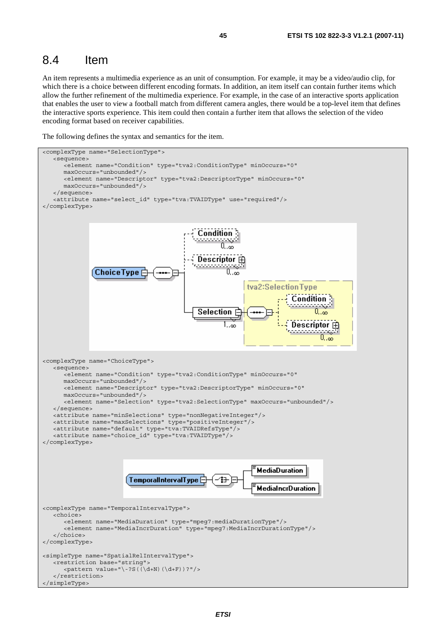#### 8.4 Item

An item represents a multimedia experience as an unit of consumption. For example, it may be a video/audio clip, for which there is a choice between different encoding formats. In addition, an item itself can contain further items which allow the further refinement of the multimedia experience. For example, in the case of an interactive sports application that enables the user to view a football match from different camera angles, there would be a top-level item that defines the interactive sports experience. This item could then contain a further item that allows the selection of the video encoding format based on receiver capabilities.

The following defines the syntax and semantics for the item.

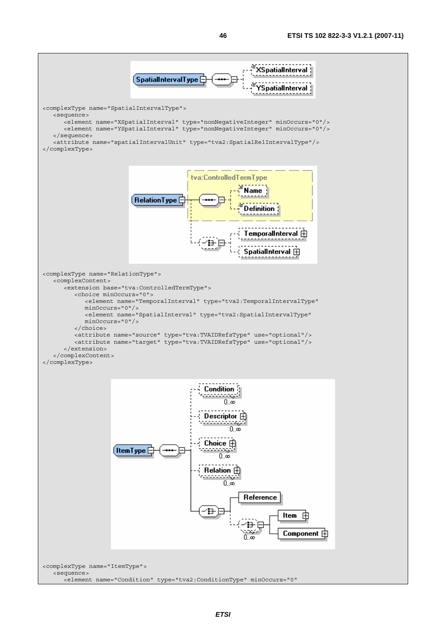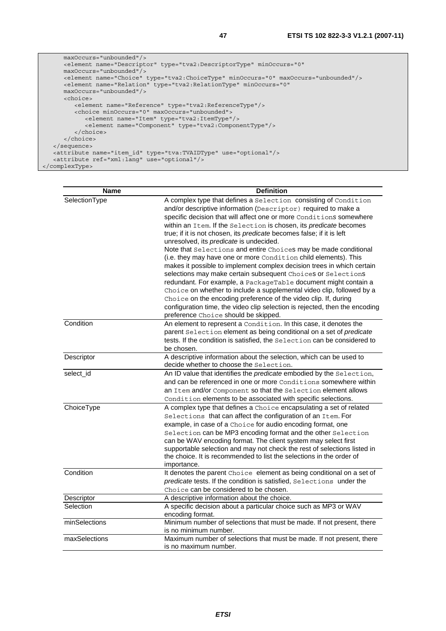```
 maxOccurs="unbounded"/> 
      <element name="Descriptor" type="tva2:DescriptorType" minOccurs="0" 
      maxOccurs="unbounded"/> 
      <element name="Choice" type="tva2:ChoiceType" minOccurs="0" maxOccurs="unbounded"/> 
      <element name="Relation" type="tva2:RelationType" minOccurs="0" 
      maxOccurs="unbounded"/> 
      <choice> 
         <element name="Reference" type="tva2:ReferenceType"/> 
         <choice minOccurs="0" maxOccurs="unbounded"> 
            <element name="Item" type="tva2:ItemType"/> 
             <element name="Component" type="tva2:ComponentType"/> 
         </choice> 
      </choice> 
   </sequence> 
 <attribute name="item_id" type="tva:TVAIDType" use="optional"/> 
 <attribute ref="xml:lang" use="optional"/> 
</complexType>
```

| <b>Name</b>   | <b>Definition</b>                                                                                                                                                                                                                                                                                                                                                                                                                                                                                                                                                                                                                                                                                                                                                                                                                                                                                                                                                               |
|---------------|---------------------------------------------------------------------------------------------------------------------------------------------------------------------------------------------------------------------------------------------------------------------------------------------------------------------------------------------------------------------------------------------------------------------------------------------------------------------------------------------------------------------------------------------------------------------------------------------------------------------------------------------------------------------------------------------------------------------------------------------------------------------------------------------------------------------------------------------------------------------------------------------------------------------------------------------------------------------------------|
| SelectionType | A complex type that defines a Selection consisting of Condition<br>and/or descriptive information (Descriptor) required to make a<br>specific decision that will affect one or more Conditions somewhere<br>within an Item. If the Selection is chosen, its predicate becomes<br>true; if it is not chosen, its predicate becomes false; if it is left<br>unresolved, its predicate is undecided.<br>Note that Selections and entire Choices may be made conditional<br>(i.e. they may have one or more Condition child elements). This<br>makes it possible to implement complex decision trees in which certain<br>selections may make certain subsequent Choices or Selections<br>redundant. For example, a PackageTable document might contain a<br>Choice on whether to include a supplemental video clip, followed by a<br>Choice on the encoding preference of the video clip. If, during<br>configuration time, the video clip selection is rejected, then the encoding |
|               | preference Choice should be skipped.                                                                                                                                                                                                                                                                                                                                                                                                                                                                                                                                                                                                                                                                                                                                                                                                                                                                                                                                            |
| Condition     | An element to represent a Condition. In this case, it denotes the<br>parent Selection element as being conditional on a set of predicate<br>tests. If the condition is satisfied, the Selection can be considered to<br>be chosen.                                                                                                                                                                                                                                                                                                                                                                                                                                                                                                                                                                                                                                                                                                                                              |
| Descriptor    | A descriptive information about the selection, which can be used to<br>decide whether to choose the Selection.                                                                                                                                                                                                                                                                                                                                                                                                                                                                                                                                                                                                                                                                                                                                                                                                                                                                  |
| select id     | An ID value that identifies the <i>predicate</i> embodied by the Selection,<br>and can be referenced in one or more Conditions somewhere within<br>an Item and/or Component so that the Selection element allows<br>Condition elements to be associated with specific selections.                                                                                                                                                                                                                                                                                                                                                                                                                                                                                                                                                                                                                                                                                               |
| ChoiceType    | A complex type that defines a Choice encapsulating a set of related<br>Selections that can affect the configuration of an Item. For<br>example, in case of a Choice for audio encoding format, one<br>Selection can be MP3 encoding format and the other Selection<br>can be WAV encoding format. The client system may select first<br>supportable selection and may not check the rest of selections listed in<br>the choice. It is recommended to list the selections in the order of<br>importance.                                                                                                                                                                                                                                                                                                                                                                                                                                                                         |
| Condition     | It denotes the parent Choice element as being conditional on a set of<br>predicate tests. If the condition is satisfied, Selections under the<br>Choice can be considered to be chosen.                                                                                                                                                                                                                                                                                                                                                                                                                                                                                                                                                                                                                                                                                                                                                                                         |
| Descriptor    | A descriptive information about the choice.                                                                                                                                                                                                                                                                                                                                                                                                                                                                                                                                                                                                                                                                                                                                                                                                                                                                                                                                     |
| Selection     | A specific decision about a particular choice such as MP3 or WAV<br>encoding format.                                                                                                                                                                                                                                                                                                                                                                                                                                                                                                                                                                                                                                                                                                                                                                                                                                                                                            |
| minSelections | Minimum number of selections that must be made. If not present, there<br>is no minimum number.                                                                                                                                                                                                                                                                                                                                                                                                                                                                                                                                                                                                                                                                                                                                                                                                                                                                                  |
| maxSelections | Maximum number of selections that must be made. If not present, there<br>is no maximum number.                                                                                                                                                                                                                                                                                                                                                                                                                                                                                                                                                                                                                                                                                                                                                                                                                                                                                  |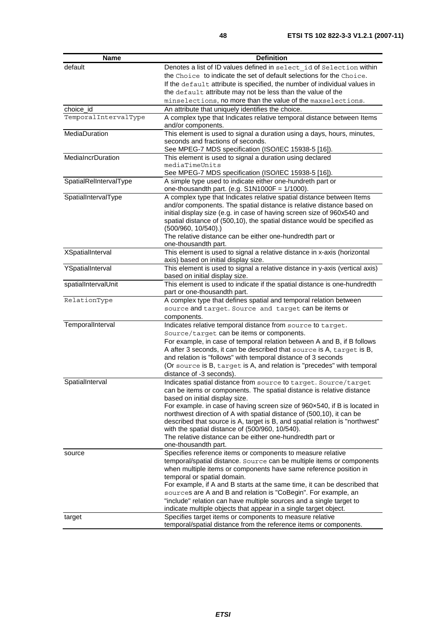| <b>Name</b>              | <b>Definition</b>                                                                                                                       |
|--------------------------|-----------------------------------------------------------------------------------------------------------------------------------------|
| default                  | Denotes a list of ID values defined in select id of Selection within                                                                    |
|                          | the Choice to indicate the set of default selections for the Choice.                                                                    |
|                          | If the default attribute is specified, the number of individual values in                                                               |
|                          | the default attribute may not be less than the value of the                                                                             |
|                          | minselections, no more than the value of the maxselections.                                                                             |
| choice id                | An attribute that uniquely identifies the choice.                                                                                       |
| TemporalIntervalType     | A complex type that Indicates relative temporal distance between Items                                                                  |
| MediaDuration            | and/or components.<br>This element is used to signal a duration using a days, hours, minutes,                                           |
|                          | seconds and fractions of seconds.                                                                                                       |
|                          | See MPEG-7 MDS specification (ISO/IEC 15938-5 [16]).                                                                                    |
| <b>MediaIncrDuration</b> | This element is used to signal a duration using declared                                                                                |
|                          | mediaTimeUnits                                                                                                                          |
|                          | See MPEG-7 MDS specification (ISO/IEC 15938-5 [16]).                                                                                    |
| SpatialRelIntervalType   | A simple type used to indicate either one-hundreth part or<br>one-thousandth part. (e.g. $S1N1000F = 1/1000$ ).                         |
| SpatialIntervalType      | A complex type that Indicates relative spatial distance between Items                                                                   |
|                          | and/or components. The spatial distance is relative distance based on                                                                   |
|                          | initial display size (e.g. in case of having screen size of 960x540 and                                                                 |
|                          | spatial distance of (500,10), the spatial distance would be specified as                                                                |
|                          | $(500/960, 10/540)$ .)<br>The relative distance can be either one-hundredth part or                                                     |
|                          | one-thousandth part.                                                                                                                    |
| <b>XSpatialInterval</b>  | This element is used to signal a relative distance in x-axis (horizontal                                                                |
|                          | axis) based on initial display size.                                                                                                    |
| YSpatialInterval         | This element is used to signal a relative distance in y-axis (vertical axis)                                                            |
|                          | based on initial display size.                                                                                                          |
| spatialIntervalUnit      | This element is used to indicate if the spatial distance is one-hundredth                                                               |
|                          | part or one-thousandth part.                                                                                                            |
| RelationType             | A complex type that defines spatial and temporal relation between                                                                       |
|                          | source and target. Source and target can be items or                                                                                    |
|                          | components.                                                                                                                             |
| TemporalInterval         | Indicates relative temporal distance from source to target.                                                                             |
|                          | Source/target can be items or components.                                                                                               |
|                          | For example, in case of temporal relation between A and B, if B follows                                                                 |
|                          | A after 3 seconds, it can be described that source is A, target is B,                                                                   |
|                          | and relation is "follows" with temporal distance of 3 seconds<br>(Or source is B, target is A, and relation is "precedes" with temporal |
|                          | distance of -3 seconds).                                                                                                                |
| SpatialInterval          | Indicates spatial distance from source to target. Source/target                                                                         |
|                          | can be items or components. The spatial distance is relative distance                                                                   |
|                          | based on initial display size.                                                                                                          |
|                          | For example. in case of having screen size of 960x540, if B is located in                                                               |
|                          | northwest direction of A with spatial distance of (500,10), it can be                                                                   |
|                          | described that source is A, target is B, and spatial relation is "northwest"                                                            |
|                          | with the spatial distance of (500/960, 10/540).                                                                                         |
|                          | The relative distance can be either one-hundredth part or                                                                               |
|                          | one-thousandth part.                                                                                                                    |
| source                   | Specifies reference items or components to measure relative                                                                             |
|                          | temporal/spatial distance. Source can be multiple items or components                                                                   |
|                          | when multiple items or components have same reference position in<br>temporal or spatial domain.                                        |
|                          | For example, if A and B starts at the same time, it can be described that                                                               |
|                          | sources are A and B and relation is "CoBegin". For example, an                                                                          |
|                          | "include" relation can have multiple sources and a single target to                                                                     |
|                          | indicate multiple objects that appear in a single target object.                                                                        |
| target                   | Specifies target items or components to measure relative                                                                                |
|                          | temporal/spatial distance from the reference items or components.                                                                       |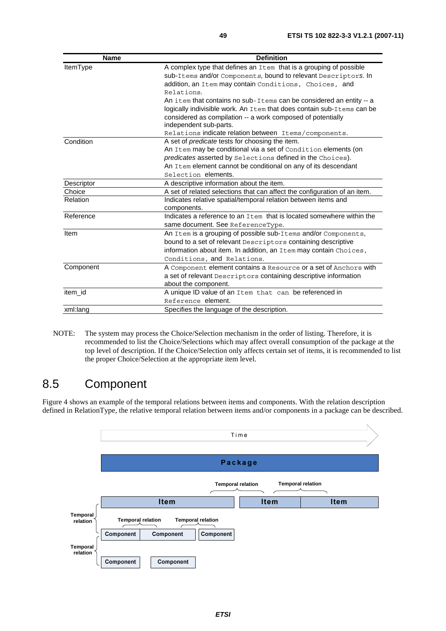| <b>Name</b>     | <b>Definition</b>                                                         |
|-----------------|---------------------------------------------------------------------------|
| ItemType        | A complex type that defines an Item that is a grouping of possible        |
|                 | sub-Items and/or Components, bound to relevant Descriptors. In            |
|                 | addition, an Item may contain Conditions, Choices, and                    |
|                 | Relations.                                                                |
|                 | An item that contains no sub-Items can be considered an entity -- a       |
|                 | logically indivisible work. An Item that does contain sub-Items can be    |
|                 | considered as compilation -- a work composed of potentially               |
|                 | independent sub-parts.                                                    |
|                 | Relations indicate relation between Items/components.                     |
| Condition       | A set of <i>predicate</i> tests for choosing the item.                    |
|                 | An Item may be conditional via a set of Condition elements (on            |
|                 | predicates asserted by Selections defined in the Choices).                |
|                 | An Item element cannot be conditional on any of its descendant            |
|                 | Selection elements.                                                       |
| Descriptor      | A descriptive information about the item.                                 |
| Choice          | A set of related selections that can affect the configuration of an item. |
| <b>Relation</b> | Indicates relative spatial/temporal relation between items and            |
|                 | components.                                                               |
| Reference       | Indicates a reference to an Item that is located somewhere within the     |
|                 | same document. See ReferenceType.                                         |
| Item            | An Item is a grouping of possible sub-Items and/or Components,            |
|                 | bound to a set of relevant Descriptors containing descriptive             |
|                 | information about item. In addition, an Item may contain Choices,         |
|                 | Conditions, and Relations.                                                |
| Component       | A Component element contains a Resource or a set of Anchors with          |
|                 | a set of relevant Descriptors containing descriptive information          |
|                 | about the component.                                                      |
| item id         | A unique ID value of an Item that can be referenced in                    |
|                 | Reference element.                                                        |
| xml:lang        | Specifies the language of the description.                                |

NOTE: The system may process the Choice/Selection mechanism in the order of listing. Therefore, it is recommended to list the Choice/Selections which may affect overall consumption of the package at the top level of description. If the Choice/Selection only affects certain set of items, it is recommended to list the proper Choice/Selection at the appropriate item level.

### 8.5 Component

Figure 4 shows an example of the temporal relations between items and components. With the relation description defined in RelationType, the relative temporal relation between items and/or components in a package can be described.

|                      |                                       |             |                                       | Time        |                          |  |
|----------------------|---------------------------------------|-------------|---------------------------------------|-------------|--------------------------|--|
|                      |                                       |             |                                       |             |                          |  |
|                      |                                       |             |                                       | Package     |                          |  |
|                      |                                       |             | <b>Temporal relation</b>              |             | <b>Temporal relation</b> |  |
|                      |                                       | <b>Item</b> |                                       | <b>Item</b> | <b>Item</b>              |  |
| Temporal<br>relation | <b>Temporal relation</b><br>Component | Component   | <b>Temporal relation</b><br>Component |             |                          |  |
| Temporal<br>relation | Component                             | Component   |                                       |             |                          |  |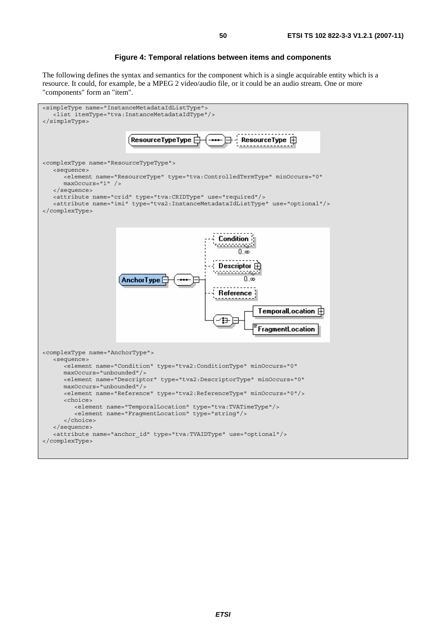#### **Figure 4: Temporal relations between items and components**

The following defines the syntax and semantics for the component which is a single acquirable entity which is a resource. It could, for example, be a MPEG 2 video/audio file, or it could be an audio stream. One or more "components" form an "item".

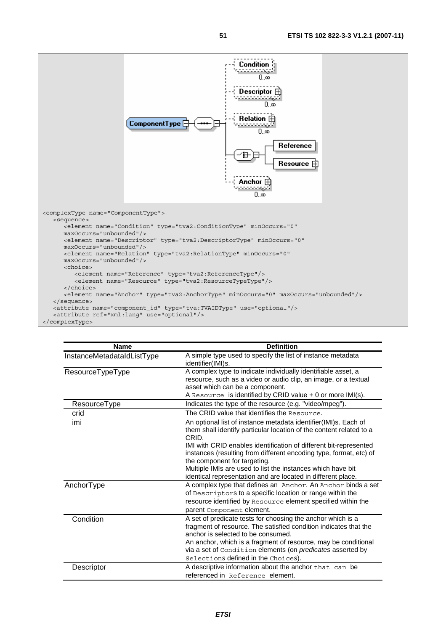

| <b>Name</b>                | <b>Definition</b>                                                                                                                                                                                                                                                                                                                            |
|----------------------------|----------------------------------------------------------------------------------------------------------------------------------------------------------------------------------------------------------------------------------------------------------------------------------------------------------------------------------------------|
| InstanceMetadataIdListType | A simple type used to specify the list of instance metadata<br>identifier(IMI)s.                                                                                                                                                                                                                                                             |
| ResourceTypeType           | A complex type to indicate individually identifiable asset, a<br>resource, such as a video or audio clip, an image, or a textual<br>asset which can be a component.<br>A Resource is identified by CRID value + 0 or more IMI(s).                                                                                                            |
| ResourceType               | Indicates the type of the resource (e.g. "video/mpeg").                                                                                                                                                                                                                                                                                      |
| crid                       | The CRID value that identifies the Resource.                                                                                                                                                                                                                                                                                                 |
| imi                        | An optional list of instance metadata identifier(IMI)s. Each of<br>them shall identify particular location of the content related to a<br>CRID.                                                                                                                                                                                              |
|                            | IMI with CRID enables identification of different bit-represented<br>instances (resulting from different encoding type, format, etc) of<br>the component for targeting.<br>Multiple IMIs are used to list the instances which have bit                                                                                                       |
| AnchorType                 | identical representation and are located in different place.<br>A complex type that defines an Anchor. An Anchor binds a set<br>of Descriptors to a specific location or range within the<br>resource identified by Resource element specified within the<br>parent Component element.                                                       |
| Condition                  | A set of predicate tests for choosing the anchor which is a<br>fragment of resource. The satisfied condition indicates that the<br>anchor is selected to be consumed.<br>An anchor, which is a fragment of resource, may be conditional<br>via a set of Condition elements (on predicates asserted by<br>Selections defined in the Choices). |
| Descriptor                 | A descriptive information about the anchor that can be<br>referenced in Reference element.                                                                                                                                                                                                                                                   |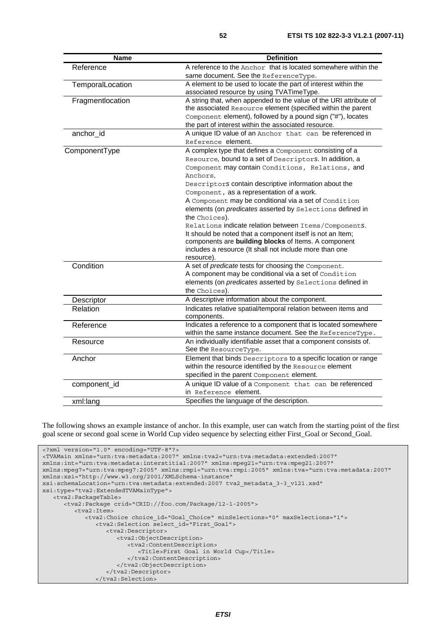| <b>Name</b>      | <b>Definition</b>                                                                                             |
|------------------|---------------------------------------------------------------------------------------------------------------|
| Reference        | A reference to the Anchor that is located somewhere within the                                                |
|                  | same document. See the ReferenceType.                                                                         |
| TemporalLocation | A element to be used to locate the part of interest within the                                                |
|                  | associated resource by using TVATimeType.                                                                     |
| Fragmentlocation | A string that, when appended to the value of the URI attribute of                                             |
|                  | the associated Resource element (specified within the parent                                                  |
|                  | Component element), followed by a pound sign ("#"), locates                                                   |
|                  | the part of interest within the associated resource.                                                          |
| anchor id        | A unique ID value of an Anchor that can be referenced in                                                      |
|                  | Reference element.                                                                                            |
| ComponentType    | A complex type that defines a Component consisting of a                                                       |
|                  | Resource, bound to a set of Descriptors. In addition, a                                                       |
|                  | Component may contain Conditions, Relations, and                                                              |
|                  | Anchors,                                                                                                      |
|                  | Descriptors contain descriptive information about the                                                         |
|                  | Component, as a representation of a work.                                                                     |
|                  | A Component may be conditional via a set of Condition                                                         |
|                  | elements (on predicates asserted by Selections defined in                                                     |
|                  | the Choices).                                                                                                 |
|                  | Relations indicate relation between Items/Components.                                                         |
|                  | It should be noted that a component itself is not an Item;                                                    |
|                  | components are building blocks of Items. A component                                                          |
|                  | includes a resource (It shall not include more than one                                                       |
|                  | resource).                                                                                                    |
| Condition        | A set of predicate tests for choosing the Component.<br>A component may be conditional via a set of Condition |
|                  | elements (on predicates asserted by Selections defined in                                                     |
|                  | the Choices).                                                                                                 |
|                  |                                                                                                               |
| Descriptor       | A descriptive information about the component.                                                                |
| Relation         | Indicates relative spatial/temporal relation between items and                                                |
|                  | components.<br>Indicates a reference to a component that is located somewhere                                 |
| Reference        | within the same instance document. See the ReferenceType.                                                     |
|                  | An individually identifiable asset that a component consists of.                                              |
| Resource         | See the ResourceType.                                                                                         |
| Anchor           | Element that binds Descriptors to a specific location or range                                                |
|                  | within the resource identified by the Resource element                                                        |
|                  | specified in the parent Component element.                                                                    |
|                  |                                                                                                               |
| component_id     | A unique ID value of a Component that can be referenced                                                       |
|                  | in Reference element.                                                                                         |
| xml:lang         | Specifies the language of the description.                                                                    |

The following shows an example instance of anchor. In this example, user can watch from the starting point of the first goal scene or second goal scene in World Cup video sequence by selecting either First\_Goal or Second\_Goal.

```
<?xml version="1.0" encoding="UTF-8"?> 
<TVAMain xmlns="urn:tva:metadata:2007" xmlns:tva2="urn:tva:metadata:extended:2007" 
xmlns:int="urn:tva:metadata:interstitial:2007" xmlns:mpeg21="urn:tva:mpeg21:2007" 
xmlns:mpeg7="urn:tva:mpeg7:2005" xmlns:rmpi="urn:tva:rmpi:2005" xmlns:tva="urn:tva:metadata:2007" 
xmlns:xsi="http://www.w3.org/2001/XMLSchema-instance" 
xsi:schemaLocation="urn:tva:metadata:extended:2007 tva2_metadata_3-3_v121.xsd" 
xsi:type="tva2:ExtendedTVAMainType"> 
    <tva2:PackageTable> 
       <tva2:Package crid="CRID://foo.com/Package/12-1-2005"> 
          <tva2:Item> 
             <tva2:Choice choice_id="Goal_Choice" minSelections="0" maxSelections="1"> 
                <tva2:Selection select_id="First_Goal"> 
                   <tva2:Descriptor> 
                      <tva2:ObjectDescription> 
                         <tva2:ContentDescription> 
                             <Title>First Goal in World Cup</Title> 
                         </tva2:ContentDescription> 
                      </tva2:ObjectDescription> 
                   </tva2:Descriptor> 
                </tva2:Selection>
```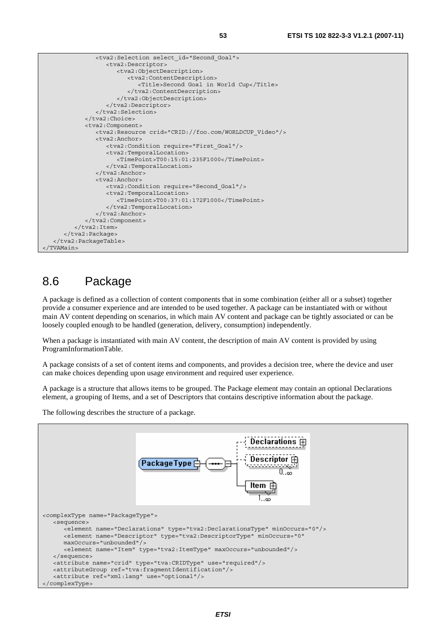```
 <tva2:Selection select_id="Second_Goal"> 
                    <tva2:Descriptor> 
                       <tva2:ObjectDescription> 
                          <tva2:ContentDescription> 
                             <Title>Second Goal in World Cup</Title> 
                          </tva2:ContentDescription> 
                       </tva2:ObjectDescription> 
                    </tva2:Descriptor> 
                </tva2:Selection> 
             </tva2:Choice> 
             <tva2:Component> 
                <tva2:Resource crid="CRID://foo.com/WORLDCUP_Video"/> 
                <tva2:Anchor> 
                    <tva2:Condition require="First_Goal"/> 
                    <tva2:TemporalLocation> 
                       <TimePoint>T00:15:01:235F1000</TimePoint> 
                    </tva2:TemporalLocation> 
               </tva2:Anchor>
                <tva2:Anchor> 
                    <tva2:Condition require="Second_Goal"/> 
                    <tva2:TemporalLocation> 
                       <TimePoint>T00:37:01:172F1000</TimePoint> 
                    </tva2:TemporalLocation> 
               </tva2:Anchor>
             </tva2:Component> 
         </tva2:Item>
       </tva2:Package> 
    </tva2:PackageTable> 
</TVAMain>
```
#### 8.6 Package

A package is defined as a collection of content components that in some combination (either all or a subset) together provide a consumer experience and are intended to be used together. A package can be instantiated with or without main AV content depending on scenarios, in which main AV content and package can be tightly associated or can be loosely coupled enough to be handled (generation, delivery, consumption) independently.

When a package is instantiated with main AV content, the description of main AV content is provided by using ProgramInformationTable.

A package consists of a set of content items and components, and provides a decision tree, where the device and user can make choices depending upon usage environment and required user experience.

A package is a structure that allows items to be grouped. The Package element may contain an optional Declarations element, a grouping of Items, and a set of Descriptors that contains descriptive information about the package.

The following describes the structure of a package.

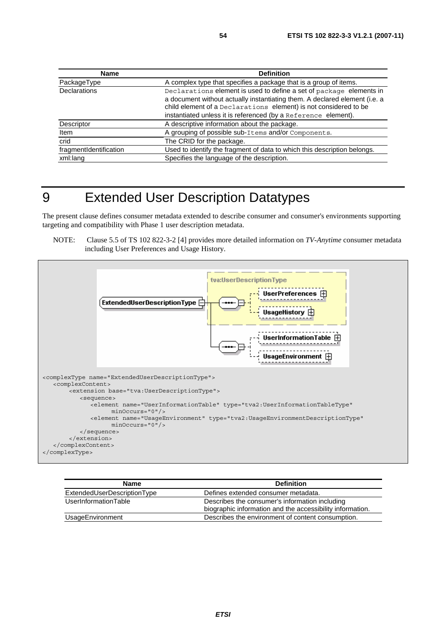| Name                   | <b>Definition</b>                                                                                                                                                                                                                                                                       |
|------------------------|-----------------------------------------------------------------------------------------------------------------------------------------------------------------------------------------------------------------------------------------------------------------------------------------|
| PackageType            | A complex type that specifies a package that is a group of items.                                                                                                                                                                                                                       |
| <b>Declarations</b>    | Declarations element is used to define a set of package elements in<br>a document without actually instantiating them. A declared element (i.e. a<br>child element of a Declarations element) is not considered to be<br>instantiated unless it is referenced (by a Reference element). |
| Descriptor             | A descriptive information about the package.                                                                                                                                                                                                                                            |
| Item                   | A grouping of possible sub-Items and/or Components.                                                                                                                                                                                                                                     |
| crid                   | The CRID for the package.                                                                                                                                                                                                                                                               |
| fragmentIdentification | Used to identify the fragment of data to which this description belongs.                                                                                                                                                                                                                |
| xml:lang               | Specifies the language of the description.                                                                                                                                                                                                                                              |

### 9 Extended User Description Datatypes

The present clause defines consumer metadata extended to describe consumer and consumer's environments supporting targeting and compatibility with Phase 1 user description metadata.

NOTE: Clause 5.5 of TS 102 822-3-2 [4] provides more detailed information on *TV-Anytime* consumer metadata including User Preferences and Usage History.



| <b>Name</b>                 | <b>Definition</b>                                         |
|-----------------------------|-----------------------------------------------------------|
| ExtendedUserDescriptionType | Defines extended consumer metadata.                       |
| UserInformationTable        | Describes the consumer's information including            |
|                             | biographic information and the accessibility information. |
| UsageEnvironment            | Describes the environment of content consumption.         |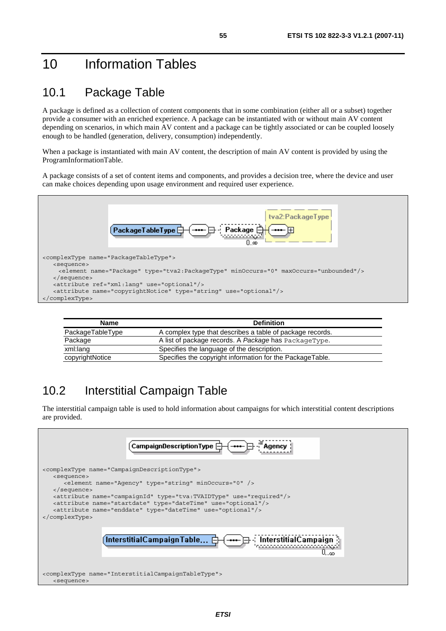### 10 Information Tables

#### 10.1 Package Table

A package is defined as a collection of content components that in some combination (either all or a subset) together provide a consumer with an enriched experience. A package can be instantiated with or without main AV content depending on scenarios, in which main AV content and a package can be tightly associated or can be coupled loosely enough to be handled (generation, delivery, consumption) independently.

When a package is instantiated with main AV content, the description of main AV content is provided by using the ProgramInformationTable.

A package consists of a set of content items and components, and provides a decision tree, where the device and user can make choices depending upon usage environment and required user experience.



| <b>Name</b>      | <b>Definition</b>                                         |  |
|------------------|-----------------------------------------------------------|--|
| PackageTableType | A complex type that describes a table of package records. |  |
| Package          | A list of package records. A Package has PackageType.     |  |
| xml:lang         | Specifies the language of the description.                |  |
| copyrightNotice  | Specifies the copyright information for the PackageTable. |  |

### 10.2 Interstitial Campaign Table

The interstitial campaign table is used to hold information about campaigns for which interstitial content descriptions are provided.

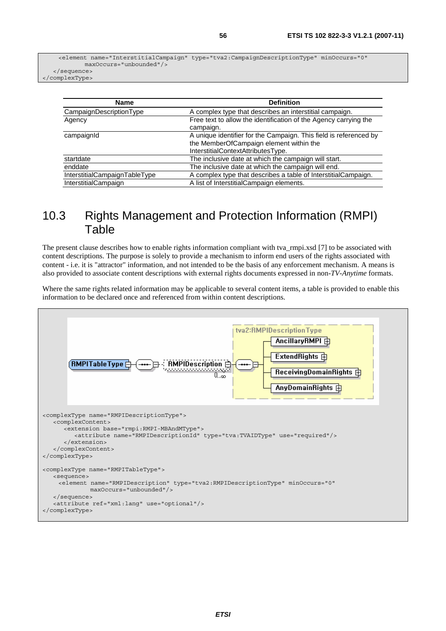<element name="InterstitialCampaign" type="tva2:CampaignDescriptionType" minOccurs="0" maxOccurs="unbounded"/> </sequence>

</complexType>

| <b>Name</b>                   | <b>Definition</b>                                                 |
|-------------------------------|-------------------------------------------------------------------|
| CampaignDescriptionType       | A complex type that describes an interstitial campaign.           |
| Agency                        | Free text to allow the identification of the Agency carrying the  |
|                               | campaign.                                                         |
| campaignId                    | A unique identifier for the Campaign. This field is referenced by |
|                               | the MemberOfCampaign element within the                           |
|                               | InterstitialContextAttributesType.                                |
| startdate                     | The inclusive date at which the campaign will start.              |
| enddate                       | The inclusive date at which the campaign will end.                |
| InterstitialCampaignTableType | A complex type that describes a table of InterstitialCampaign.    |
| <b>InterstitialCampaign</b>   | A list of InterstitialCampaign elements.                          |

#### 10.3 Rights Management and Protection Information (RMPI) **Table**

The present clause describes how to enable rights information compliant with tva\_rmpi.xsd [7] to be associated with content descriptions. The purpose is solely to provide a mechanism to inform end users of the rights associated with content - i.e. it is "attractor" information, and not intended to be the basis of any enforcement mechanism. A means is also provided to associate content descriptions with external rights documents expressed in non-*TV-Anytime* formats.

Where the same rights related information may be applicable to several content items, a table is provided to enable this information to be declared once and referenced from within content descriptions.

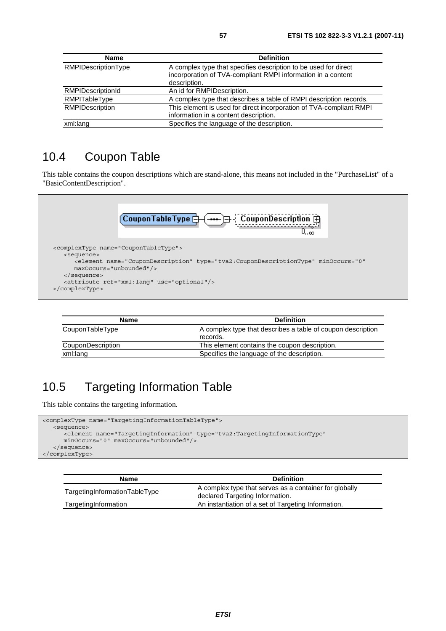| <b>Name</b>                | <b>Definition</b>                                                                                                                               |
|----------------------------|-------------------------------------------------------------------------------------------------------------------------------------------------|
| <b>RMPIDescriptionType</b> | A complex type that specifies description to be used for direct<br>incorporation of TVA-compliant RMPI information in a content<br>description. |
| <b>RMPIDescriptionId</b>   | An id for RMPIDescription.                                                                                                                      |
| RMPITableType              | A complex type that describes a table of RMPI description records.                                                                              |
| RMPIDescription            | This element is used for direct incorporation of TVA-compliant RMPI<br>information in a content description.                                    |
| xml:lang                   | Specifies the language of the description.                                                                                                      |

#### 10.4 Coupon Table

This table contains the coupon descriptions which are stand-alone, this means not included in the "PurchaseList" of a "BasicContentDescription".



| <b>Name</b>       | <b>Definition</b>                                                       |
|-------------------|-------------------------------------------------------------------------|
| CouponTableType   | A complex type that describes a table of coupon description<br>records. |
| CouponDescription | This element contains the coupon description.                           |
| xml:lang          | Specifies the language of the description.                              |

### 10.5 Targeting Information Table

This table contains the targeting information.

```
<complexType name="TargetingInformationTableType"> 
   <sequence> 
       <element name="TargetingInformation" type="tva2:TargetingInformationType" 
      minOccurs="0" maxOccurs="unbounded"/> 
    </sequence> 
</complexType>
```

| <b>Name</b>                   | <b>Definition</b>                                                                         |
|-------------------------------|-------------------------------------------------------------------------------------------|
| TargetingInformationTableType | A complex type that serves as a container for globally<br>declared Targeting Information. |
| TargetingInformation          | An instantiation of a set of Targeting Information.                                       |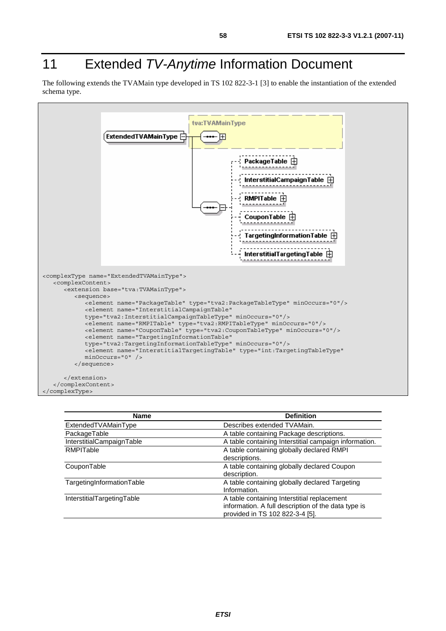### 11 Extended *TV-Anytime* Information Document

The following extends the TVAMain type developed in TS 102 822-3-1 [3] to enable the instantiation of the extended schema type.



| <b>Name</b>                | <b>Definition</b>                                     |
|----------------------------|-------------------------------------------------------|
| ExtendedTVAMainType        | Describes extended TVAMain.                           |
| PackageTable               | A table containing Package descriptions.              |
| InterstitialCampaignTable  | A table containing Interstitial campaign information. |
| <b>RMPITable</b>           | A table containing globally declared RMPI             |
|                            | descriptions.                                         |
| CouponTable                | A table containing globally declared Coupon           |
|                            | description.                                          |
| TargetingInformationTable  | A table containing globally declared Targeting        |
|                            | Information.                                          |
| InterstitialTargetingTable | A table containing Interstitial replacement           |
|                            | information. A full description of the data type is   |
|                            | provided in TS 102 822-3-4 [5].                       |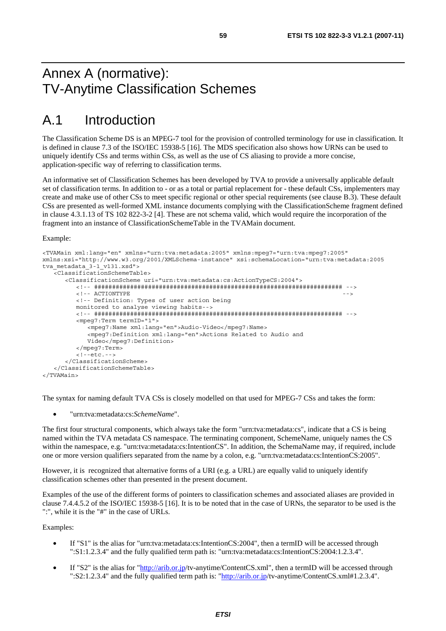### Annex A (normative): TV-Anytime Classification Schemes

### A.1 Introduction

The Classification Scheme DS is an MPEG-7 tool for the provision of controlled terminology for use in classification. It is defined in clause 7.3 of the ISO/IEC 15938-5 [16]. The MDS specification also shows how URNs can be used to uniquely identify CSs and terms within CSs, as well as the use of CS aliasing to provide a more concise, application-specific way of referring to classification terms.

An informative set of Classification Schemes has been developed by TVA to provide a universally applicable default set of classification terms. In addition to - or as a total or partial replacement for - these default CSs, implementers may create and make use of other CSs to meet specific regional or other special requirements (see clause B.3). These default CSs are presented as well-formed XML instance documents complying with the ClassificationScheme fragment defined in clause 4.3.1.13 of TS 102 822-3-2 [4]. These are not schema valid, which would require the incorporation of the fragment into an instance of ClassificationSchemeTable in the TVAMain document.

Example:

```
<TVAMain xml:lang="en" xmlns="urn:tva:metadata:2005" xmlns:mpeg7="urn:tva:mpeg7:2005" 
xmlns:xsi="http://www.w3.org/2001/XMLSchema-instance" xsi:schemaLocation="urn:tva:metadata:2005 
tva metadata 3-1 v131.xsd">
    <ClassificationSchemeTable> 
       <ClassificationScheme uri="urn:tva:metadata:cs:ActionTypeCS:2004"> 
           <!-- ##################################################################### --> 
          <!-- ACTIONTYPE
           <!-- Definition: Types of user action being 
          monitored to analyse viewing habits--> 
           <!-- ##################################################################### --> 
           <mpeg7:Term termID="1"> 
              <mpeg7:Name xml:lang="en">Audio-Video</mpeg7:Name> 
              <mpeg7:Definition xml:lang="en">Actions Related to Audio and 
              Video</mpeg7:Definition> 
           </mpeg7:Term> 
           <!--etc.--> 
       </ClassificationScheme> 
    </ClassificationSchemeTable>
```

```
</TVAMain>
```
The syntax for naming default TVA CSs is closely modelled on that used for MPEG-7 CSs and takes the form:

• "urn:tva:metadata:cs:*SchemeName*".

The first four structural components, which always take the form "urn:tva:metadata:cs", indicate that a CS is being named within the TVA metadata CS namespace. The terminating component, SchemeName, uniquely names the CS within the namespace, e.g. "urn:tva:metadata:cs:IntentionCS". In addition, the SchemaName may, if required, include one or more version qualifiers separated from the name by a colon, e.g. "urn:tva:metadata:cs:IntentionCS:2005".

However, it is recognized that alternative forms of a URI (e.g. a URL) are equally valid to uniquely identify classification schemes other than presented in the present document.

Examples of the use of the different forms of pointers to classification schemes and associated aliases are provided in clause 7.4.4.5.2 of the ISO/IEC 15938-5 [16]. It is to be noted that in the case of URNs, the separator to be used is the ":", while it is the "#" in the case of URLs.

Examples:

- If "S1" is the alias for "urn:tva:metadata:cs:IntentionCS:2004", then a termID will be accessed through ":S1:1.2.3.4" and the fully qualified term path is: "urn:tva:metadata:cs:IntentionCS:2004:1.2.3.4".
- If "S2" is the alias for ["http://arib.or.jp](http://arib.or.jp/)/tv-anytime/ContentCS.xml", then a termID will be accessed through ":S2:1.2.3.4" and the fully qualified term path is: ["http://arib.or.jp](http://arib.or.jp/)/tv-anytime/ContentCS.xml#1.2.3.4".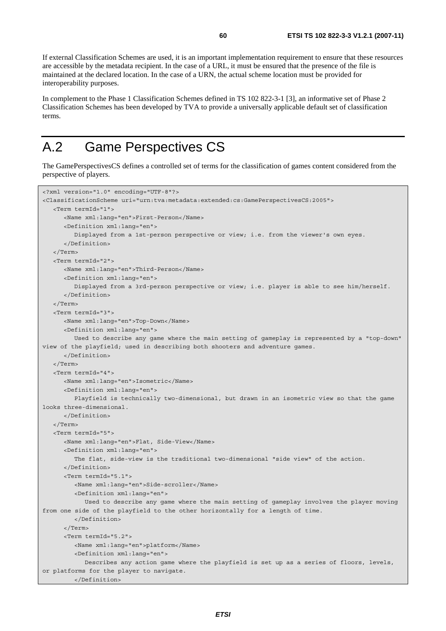If external Classification Schemes are used, it is an important implementation requirement to ensure that these resources are accessible by the metadata recipient. In the case of a URL, it must be ensured that the presence of the file is maintained at the declared location. In the case of a URN, the actual scheme location must be provided for interoperability purposes.

In complement to the Phase 1 Classification Schemes defined in TS 102 822-3-1 [3], an informative set of Phase 2 Classification Schemes has been developed by TVA to provide a universally applicable default set of classification terms.

### A.2 Game Perspectives CS

The GamePerspectivesCS defines a controlled set of terms for the classification of games content considered from the perspective of players.

```
<?xml version="1.0" encoding="UTF-8"?> 
<ClassificationScheme uri="urn:tva:metadata:extended:cs:GamePerspectivesCS:2005"> 
    <Term termId="1"> 
       <Name xml:lang="en">First-Person</Name> 
       <Definition xml:lang="en"> 
          Displayed from a 1st-person perspective or view; i.e. from the viewer's own eyes. 
       </Definition> 
    </Term> 
    <Term termId="2"> 
       <Name xml:lang="en">Third-Person</Name> 
       <Definition xml:lang="en"> 
          Displayed from a 3rd-person perspective or view; i.e. player is able to see him/herself. 
       </Definition> 
    </Term> 
    <Term termId="3"> 
       <Name xml:lang="en">Top-Down</Name> 
       <Definition xml:lang="en"> 
          Used to describe any game where the main setting of gameplay is represented by a "top-down" 
view of the playfield; used in describing both shooters and adventure games. 
       </Definition> 
    </Term> 
    <Term termId="4"> 
       <Name xml:lang="en">Isometric</Name> 
       <Definition xml:lang="en"> 
          Playfield is technically two-dimensional, but drawn in an isometric view so that the game 
looks three-dimensional. 
       </Definition> 
    </Term> 
    <Term termId="5"> 
       <Name xml:lang="en">Flat, Side-View</Name> 
       <Definition xml:lang="en"> 
          The flat, side-view is the traditional two-dimensional "side view" of the action. 
       </Definition> 
       <Term termId="5.1"> 
          <Name xml:lang="en">Side-scroller</Name> 
          <Definition xml:lang="en"> 
             Used to describe any game where the main setting of gameplay involves the player moving 
from one side of the playfield to the other horizontally for a length of time. 
          </Definition> 
       </Term> 
       <Term termId="5.2"> 
          <Name xml:lang="en">platform</Name> 
          <Definition xml:lang="en"> 
             Describes any action game where the playfield is set up as a series of floors, levels, 
or platforms for the player to navigate. 
          </Definition>
```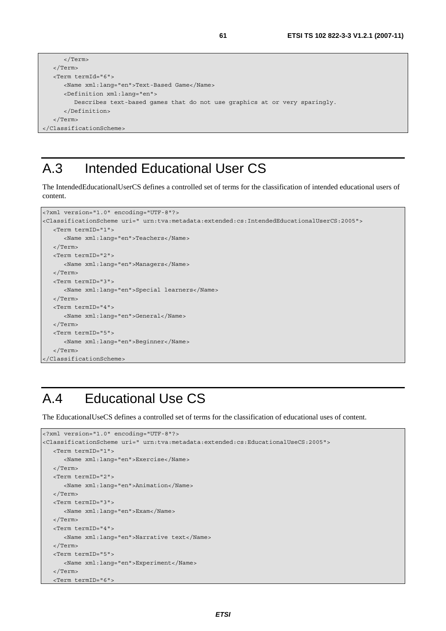```
 </Term> 
   </Term> 
   <Term termId="6"> 
      <Name xml:lang="en">Text-Based Game</Name> 
       <Definition xml:lang="en"> 
         Describes text-based games that do not use graphics at or very sparingly. 
       </Definition> 
    </Term> 
</ClassificationScheme>
```
### A.3 Intended Educational User CS

The IntendedEducationalUserCS defines a controlled set of terms for the classification of intended educational users of content.

```
<?xml version="1.0" encoding="UTF-8"?> 
<ClassificationScheme uri=" urn:tva:metadata:extended:cs:IntendedEducationalUserCS:2005"> 
   <Term termID="1"> 
      <Name xml:lang="en">Teachers</Name> 
   </Term> 
   <Term termID="2"> 
      <Name xml:lang="en">Managers</Name> 
   </Term> 
   <Term termID="3"> 
      <Name xml:lang="en">Special learners</Name> 
   </Term> 
   <Term termID="4"> 
      <Name xml:lang="en">General</Name> 
   </Term> 
   <Term termID="5"> 
      <Name xml:lang="en">Beginner</Name> 
   </Term> 
</ClassificationScheme>
```
### A.4 Educational Use CS

The EducationalUseCS defines a controlled set of terms for the classification of educational uses of content.

```
<?xml version="1.0" encoding="UTF-8"?> 
<ClassificationScheme uri=" urn:tva:metadata:extended:cs:EducationalUseCS:2005"> 
   <Term termID="1"> 
      <Name xml:lang="en">Exercise</Name> 
    </Term> 
    <Term termID="2"> 
      <Name xml:lang="en">Animation</Name> 
   </Term> 
   <Term termID="3"> 
      <Name xml:lang="en">Exam</Name> 
   </Term> 
   <Term termID="4"> 
      <Name xml:lang="en">Narrative text</Name> 
   </Term> 
    <Term termID="5"> 
      <Name xml:lang="en">Experiment</Name> 
    </Term> 
    <Term termID="6">
```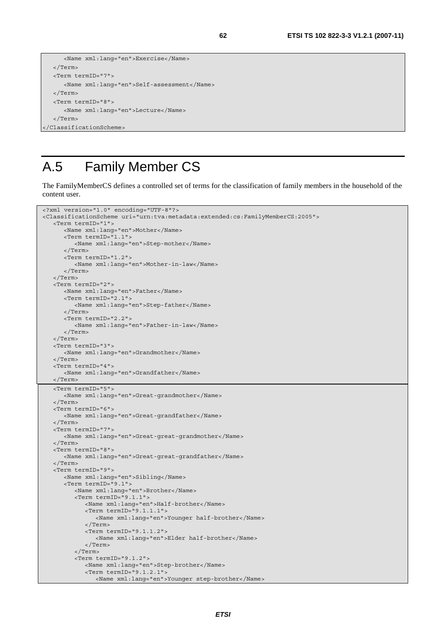```
 <Name xml:lang="en">Exercise</Name> 
   </Term> 
   <Term termID="7"> 
      <Name xml:lang="en">Self-assessment</Name> 
   </Term> 
   <Term termID="8"> 
      <Name xml:lang="en">Lecture</Name> 
   </Term> 
</ClassificationScheme>
```
### A.5 Family Member CS

The FamilyMemberCS defines a controlled set of terms for the classification of family members in the household of the content user.

```
<?xml version="1.0" encoding="UTF-8"?> 
<ClassificationScheme uri="urn:tva:metadata:extended:cs:FamilyMemberCS:2005"> 
    <Term termID="1"> 
       <Name xml:lang="en">Mother</Name> 
       <Term termID="1.1"> 
          <Name xml:lang="en">Step-mother</Name> 
       </Term> 
       <Term termID="1.2"> 
          <Name xml:lang="en">Mother-in-law</Name> 
       </Term> 
    </Term> 
    <Term termID="2"> 
       <Name xml:lang="en">Father</Name> 
       <Term termID="2.1"> 
          <Name xml:lang="en">Step-father</Name> 
       </Term> 
       <Term termID="2.2"> 
          <Name xml:lang="en">Father-in-law</Name> 
       </Term> 
    </Term> 
    <Term termID="3"> 
       <Name xml:lang="en">Grandmother</Name> 
    </Term> 
    <Term termID="4"> 
      <Name xml:lang="en">Grandfather</Name> 
    </Term> 
   <Term termID="5"> 
       <Name xml:lang="en">Great-grandmother</Name> 
    </Term> 
    <Term termID="6"> 
       <Name xml:lang="en">Great-grandfather</Name> 
    </Term> 
    <Term termID="7"> 
       <Name xml:lang="en">Great-great-grandmother</Name> 
    </Term> 
    <Term termID="8"> 
       <Name xml:lang="en">Great-great-grandfather</Name> 
    </Term> 
    <Term termID="9"> 
       <Name xml:lang="en">Sibling</Name> 
       <Term termID="9.1"> 
          <Name xml:lang="en">Brother</Name> 
          <Term termID="9.1.1"> 
             <Name xml:lang="en">Half-brother</Name> 
              <Term termID="9.1.1.1"> 
                 <Name xml:lang="en">Younger half-brother</Name> 
             </Term> 
             <Term termID="9.1.1.2"> 
                 <Name xml:lang="en">Elder half-brother</Name> 
             </Term> 
          </Term> 
          <Term termID="9.1.2"> 
             <Name xml:lang="en">Step-brother</Name> 
             <Term termID="9.1.2.1"> 
                <Name xml:lang="en">Younger step-brother</Name>
```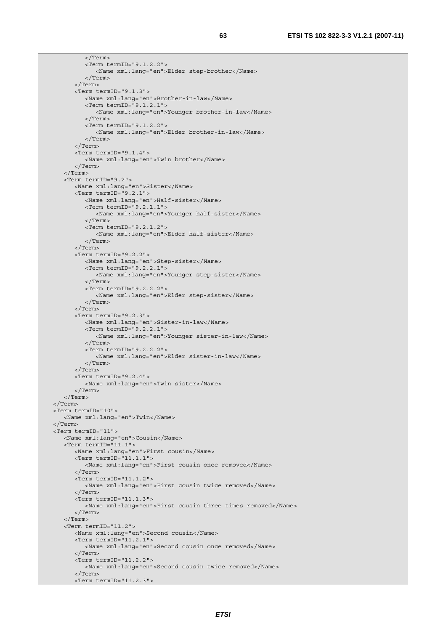</Term>

```
 <Term termID="9.1.2.2"> 
              <Name xml:lang="en">Elder step-brother</Name> 
          </Term> 
       </Term> 
       <Term termID="9.1.3"> 
          <Name xml:lang="en">Brother-in-law</Name> 
          <Term termID="9.1.2.1"> 
             <Name xml:lang="en">Younger brother-in-law</Name> 
          </Term> 
          <Term termID="9.1.2.2"> 
             <Name xml:lang="en">Elder brother-in-law</Name> 
          </Term> 
       </Term> 
       <Term termID="9.1.4"> 
          <Name xml:lang="en">Twin brother</Name> 
       </Term> 
    </Term> 
    <Term termID="9.2"> 
       <Name xml:lang="en">Sister</Name> 
       <Term termID="9.2.1"> 
          <Name xml:lang="en">Half-sister</Name> 
          <Term termID="9.2.1.1"> 
             <Name xml:lang="en">Younger half-sister</Name> 
          </Term> 
          <Term termID="9.2.1.2"> 
             <Name xml:lang="en">Elder half-sister</Name> 
          </Term> 
       </Term> 
       <Term termID="9.2.2"> 
          <Name xml:lang="en">Step-sister</Name> 
          <Term termID="9.2.2.1"> 
             <Name xml:lang="en">Younger step-sister</Name> 
          </Term> 
          <Term termID="9.2.2.2"> 
             <Name xml:lang="en">Elder step-sister</Name> 
          </Term> 
       </Term> 
       <Term termID="9.2.3"> 
          <Name xml:lang="en">Sister-in-law</Name> 
          <Term termID="9.2.2.1"> 
             <Name xml:lang="en">Younger sister-in-law</Name> 
          </Term> 
          <Term termID="9.2.2.2"> 
             <Name xml:lang="en">Elder sister-in-law</Name> 
          </Term> 
       </Term> 
       <Term termID="9.2.4"> 
          <Name xml:lang="en">Twin sister</Name> 
       </Term> 
    </Term> 
 </Term> 
 <Term termID="10"> 
    <Name xml:lang="en">Twin</Name> 
 </Term> 
 <Term termID="11"> 
    <Name xml:lang="en">Cousin</Name> 
    <Term termID="11.1"> 
       <Name xml:lang="en">First cousin</Name> 
       <Term termID="11.1.1"> 
          <Name xml:lang="en">First cousin once removed</Name> 
       </Term> 
       <Term termID="11.1.2"> 
          <Name xml:lang="en">First cousin twice removed</Name> 
       </Term> 
       <Term termID="11.1.3"> 
          <Name xml:lang="en">First cousin three times removed</Name> 
       </Term> 
   \langleTerm> <Term termID="11.2"> 
       <Name xml:lang="en">Second cousin</Name> 
       <Term termID="11.2.1"> 
          <Name xml:lang="en">Second cousin once removed</Name> 
       </Term> 
       <Term termID="11.2.2"> 
          <Name xml:lang="en">Second cousin twice removed</Name> 
       </Term> 
       <Term termID="11.2.3">
```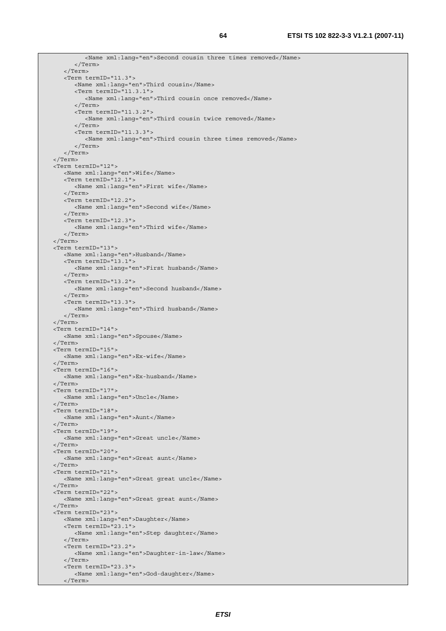<Name xml:lang="en">Second cousin three times removed</Name> </Term> </Term> <Term termID="11.3"> <Name xml:lang="en">Third cousin</Name> <Term termID="11.3.1"> <Name xml:lang="en">Third cousin once removed</Name> </Term> <Term termID="11.3.2"> <Name xml:lang="en">Third cousin twice removed</Name> </Term> <Term termID="11.3.3"> <Name xml:lang="en">Third cousin three times removed</Name> </Term> </Term> </Term> <Term termID="12"> <Name xml:lang="en">Wife</Name> <Term termID="12.1"> <Name xml:lang="en">First wife</Name> </Term> <Term termID="12.2"> <Name xml:lang="en">Second wife</Name> </Term> <Term termID="12.3"> <Name xml:lang="en">Third wife</Name> </Term> </Term> <Term termID="13"> <Name xml:lang="en">Husband</Name> <Term termID="13.1"> <Name xml:lang="en">First husband</Name> </Term> <Term termID="13.2"> <Name xml:lang="en">Second husband</Name> </Term> <Term termID="13.3"> <Name xml:lang="en">Third husband</Name> </Term> </Term> <Term termID="14"> <Name xml:lang="en">Spouse</Name> </Term> <Term termID="15"> <Name xml:lang="en">Ex-wife</Name> </Term> <Term termID="16"> <Name xml:lang="en">Ex-husband</Name> </Term> <Term termID="17"> <Name xml:lang="en">Uncle</Name> </Term> <Term termID="18"> <Name xml:lang="en">Aunt</Name> </Term> <Term termID="19"> <Name xml:lang="en">Great uncle</Name> </Term> <Term termID="20"> <Name xml:lang="en">Great aunt</Name> </Term> <Term termID="21"> <Name xml:lang="en">Great great uncle</Name> </Term> <Term termID="22"> <Name xml:lang="en">Great great aunt</Name> </Term> <Term termID="23"> <Name xml:lang="en">Daughter</Name> <Term termID="23.1"> <Name xml:lang="en">Step daughter</Name> </Term> <Term termID="23.2"> <Name xml:lang="en">Daughter-in-law</Name> </Term> <Term termID="23.3"> <Name xml:lang="en">God-daughter</Name> </Term>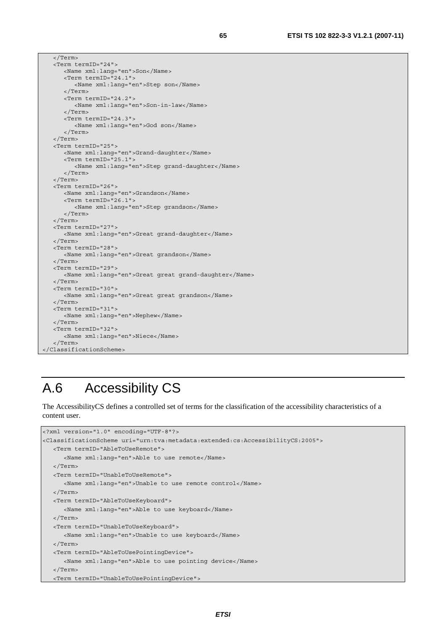```
 </Term> 
    <Term termID="24"> 
       <Name xml:lang="en">Son</Name> 
       <Term termID="24.1"> 
          <Name xml:lang="en">Step son</Name> 
       </Term> 
       <Term termID="24.2"> 
          <Name xml:lang="en">Son-in-law</Name> 
       </Term> 
       <Term termID="24.3"> 
          <Name xml:lang="en">God son</Name> 
       </Term> 
    </Term> 
    <Term termID="25"> 
       <Name xml:lang="en">Grand-daughter</Name> 
       <Term termID="25.1"> 
          <Name xml:lang="en">Step grand-daughter</Name> 
       </Term> 
    </Term> 
    <Term termID="26"> 
       <Name xml:lang="en">Grandson</Name> 
       <Term termID="26.1"> 
          <Name xml:lang="en">Step grandson</Name> 
       </Term> 
    </Term> 
    <Term termID="27"> 
       <Name xml:lang="en">Great grand-daughter</Name> 
    </Term> 
    <Term termID="28"> 
       <Name xml:lang="en">Great grandson</Name> 
    </Term> 
    <Term termID="29"> 
       <Name xml:lang="en">Great great grand-daughter</Name> 
    </Term> 
    <Term termID="30"> 
       <Name xml:lang="en">Great great grandson</Name> 
    </Term> 
    <Term termID="31"> 
       <Name xml:lang="en">Nephew</Name> 
    </Term> 
    <Term termID="32"> 
       <Name xml:lang="en">Niece</Name> 
    </Term> 
</ClassificationScheme>
```
## A.6 Accessibility CS

The AccessibilityCS defines a controlled set of terms for the classification of the accessibility characteristics of a content user.

```
<?xml version="1.0" encoding="UTF-8"?> 
<ClassificationScheme uri="urn:tva:metadata:extended:cs:AccessibilityCS:2005"> 
    <Term termID="AbleToUseRemote"> 
       <Name xml:lang="en">Able to use remote</Name> 
   </Term> 
    <Term termID="UnableToUseRemote"> 
       <Name xml:lang="en">Unable to use remote control</Name> 
   </Term> 
   <Term termID="AbleToUseKeyboard"> 
      <Name xml:lang="en">Able to use keyboard</Name> 
   </Term> 
   <Term termID="UnableToUseKeyboard"> 
      <Name xml:lang="en">Unable to use keyboard</Name> 
   </Term> 
   <Term termID="AbleToUsePointingDevice"> 
      <Name xml:lang="en">Able to use pointing device</Name> 
   </Term> 
   <Term termID="UnableToUsePointingDevice">
```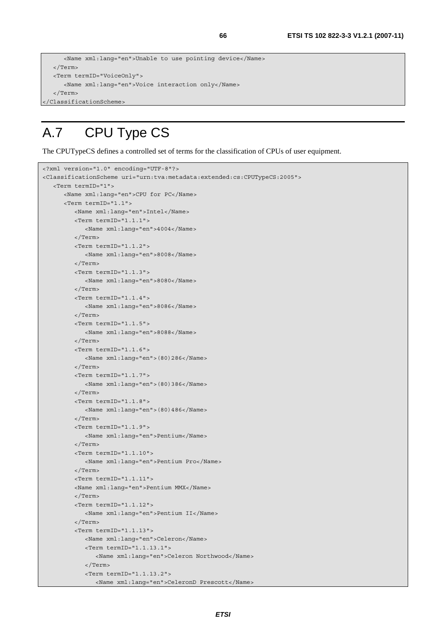```
 <Name xml:lang="en">Unable to use pointing device</Name> 
   </Term> 
   <Term termID="VoiceOnly"> 
      <Name xml:lang="en">Voice interaction only</Name> 
   </Term> 
</ClassificationScheme>
```
## A.7 CPU Type CS

The CPUTypeCS defines a controlled set of terms for the classification of CPUs of user equipment.

```
<?xml version="1.0" encoding="UTF-8"?> 
<ClassificationScheme uri="urn:tva:metadata:extended:cs:CPUTypeCS:2005"> 
   <Term termID="1"> 
       <Name xml:lang="en">CPU for PC</Name> 
       <Term termID="1.1"> 
          <Name xml:lang="en">Intel</Name> 
          <Term termID="1.1.1"> 
             <Name xml:lang="en">4004</Name> 
          </Term> 
          <Term termID="1.1.2"> 
             <Name xml:lang="en">8008</Name> 
          </Term> 
          <Term termID="1.1.3"> 
             <Name xml:lang="en">8080</Name> 
          </Term> 
          <Term termID="1.1.4"> 
             <Name xml:lang="en">8086</Name> 
          </Term> 
          <Term termID="1.1.5"> 
             <Name xml:lang="en">8088</Name> 
          </Term> 
          <Term termID="1.1.6"> 
             <Name xml:lang="en">(80)286</Name> 
          </Term> 
          <Term termID="1.1.7"> 
             <Name xml:lang="en">(80)386</Name> 
          </Term> 
          <Term termID="1.1.8"> 
             <Name xml:lang="en">(80)486</Name> 
          </Term> 
          <Term termID="1.1.9"> 
             <Name xml:lang="en">Pentium</Name> 
          </Term> 
          <Term termID="1.1.10"> 
             <Name xml:lang="en">Pentium Pro</Name> 
          </Term> 
          <Term termID="1.1.11"> 
          <Name xml:lang="en">Pentium MMX</Name> 
          </Term> 
          <Term termID="1.1.12"> 
             <Name xml:lang="en">Pentium II</Name> 
          </Term> 
          <Term termID="1.1.13"> 
             <Name xml:lang="en">Celeron</Name> 
             <Term termID="1.1.13.1"> 
                 <Name xml:lang="en">Celeron Northwood</Name> 
             </Term> 
             <Term termID="1.1.13.2"> 
                <Name xml:lang="en">CeleronD Prescott</Name>
```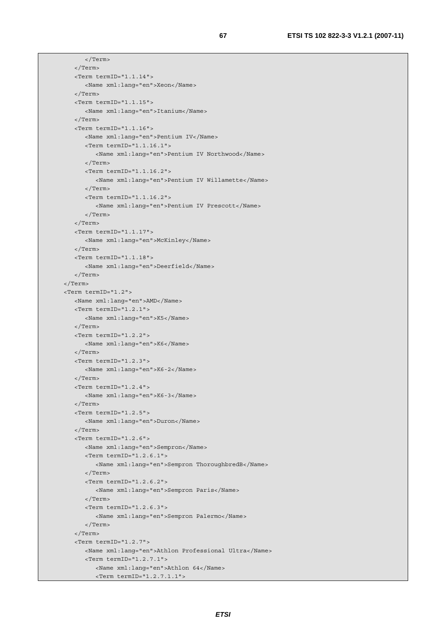```
 </Term> 
    </Term> 
    <Term termID="1.1.14"> 
       <Name xml:lang="en">Xeon</Name> 
    </Term> 
    <Term termID="1.1.15"> 
       <Name xml:lang="en">Itanium</Name> 
    </Term> 
    <Term termID="1.1.16"> 
       <Name xml:lang="en">Pentium IV</Name> 
       <Term termID="1.1.16.1"> 
          <Name xml:lang="en">Pentium IV Northwood</Name> 
       </Term> 
       <Term termID="1.1.16.2"> 
          <Name xml:lang="en">Pentium IV Willamette</Name> 
       </Term> 
       <Term termID="1.1.16.2"> 
          <Name xml:lang="en">Pentium IV Prescott</Name> 
       </Term> 
    </Term> 
    <Term termID="1.1.17"> 
       <Name xml:lang="en">McKinley</Name> 
    </Term> 
    <Term termID="1.1.18"> 
       <Name xml:lang="en">Deerfield</Name> 
    </Term> 
 </Term> 
 <Term termID="1.2"> 
    <Name xml:lang="en">AMD</Name> 
    <Term termID="1.2.1"> 
       <Name xml:lang="en">K5</Name> 
    </Term> 
    <Term termID="1.2.2"> 
       <Name xml:lang="en">K6</Name> 
    </Term> 
    <Term termID="1.2.3"> 
       <Name xml:lang="en">K6-2</Name> 
    </Term> 
    <Term termID="1.2.4"> 
       <Name xml:lang="en">K6-3</Name> 
    </Term> 
    <Term termID="1.2.5"> 
       <Name xml:lang="en">Duron</Name> 
    </Term> 
    <Term termID="1.2.6"> 
       <Name xml:lang="en">Sempron</Name> 
       <Term termID="1.2.6.1"> 
          <Name xml:lang="en">Sempron ThoroughbredB</Name> 
       </Term> 
       <Term termID="1.2.6.2"> 
          <Name xml:lang="en">Sempron Paris</Name> 
       </Term> 
       <Term termID="1.2.6.3"> 
          <Name xml:lang="en">Sempron Palermo</Name> 
       </Term> 
    </Term> 
    <Term termID="1.2.7"> 
       <Name xml:lang="en">Athlon Professional Ultra</Name> 
       <Term termID="1.2.7.1"> 
          <Name xml:lang="en">Athlon 64</Name> 
          <Term termID="1.2.7.1.1">
```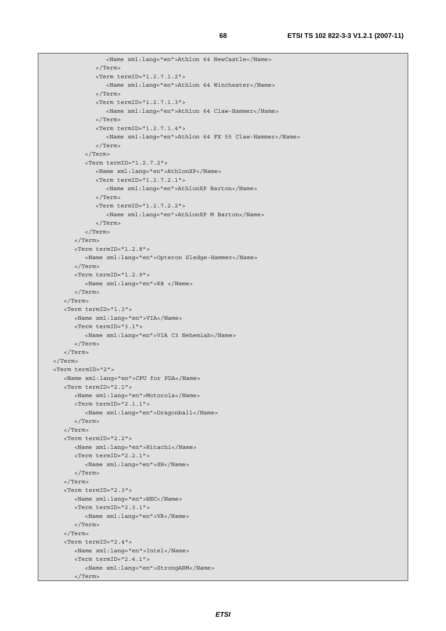```
 <Name xml:lang="en">Athlon 64 NewCastle</Name> 
              </Term> 
              <Term termID="1.2.7.1.2"> 
                 <Name xml:lang="en">Athlon 64 Winchester</Name> 
              </Term> 
              <Term termID="1.2.7.1.3"> 
                 <Name xml:lang="en">Athlon 64 Claw-Hammer</Name> 
              </Term> 
              <Term termID="1.2.7.1.4"> 
                 <Name xml:lang="en">Athlon 64 FX 55 Claw-Hammer</Name> 
              </Term> 
          </Term> 
          <Term termID="1.2.7.2"> 
              <Name xml:lang="en">AthlonXP</Name> 
              <Term termID="1.2.7.2.1"> 
                 <Name xml:lang="en">AthlonXP Barton</Name> 
              </Term> 
              <Term termID="1.2.7.2.2"> 
                 <Name xml:lang="en">AthlonXP M Barton</Name> 
              </Term> 
          </Term> 
       </Term> 
       <Term termID="1.2.8"> 
          <Name xml:lang="en">Opteron Sledge-Hammer</Name> 
       </Term> 
       <Term termID="1.2.9"> 
          <Name xml:lang="en">K8 </Name> 
       </Term> 
    </Term> 
    <Term termID="1.3"> 
       <Name xml:lang="en">VIA</Name> 
       <Term termID="3.1"> 
          <Name xml:lang="en">VIA C3 Nehemiah</Name> 
       </Term> 
   \sim/Term\sim </Term> 
 <Term termID="2"> 
    <Name xml:lang="en">CPU for PDA</Name> 
    <Term termID="2.1"> 
       <Name xml:lang="en">Motorola</Name> 
       <Term termID="2.1.1"> 
          <Name xml:lang="en">Dragonball</Name> 
       </Term> 
    </Term> 
    <Term termID="2.2"> 
       <Name xml:lang="en">Hitachi</Name> 
       <Term termID="2.2.1"> 
          <Name xml:lang="en">SH</Name> 
       </Term> 
    </Term> 
    <Term termID="2.3"> 
       <Name xml:lang="en">NEC</Name> 
       <Term termID="2.3.1"> 
          <Name xml:lang="en">VR</Name> 
       </Term> 
    </Term> 
    <Term termID="2.4"> 
       <Name xml:lang="en">Intel</Name> 
       <Term termID="2.4.1"> 
          <Name xml:lang="en">StrongARM</Name> 
       </Term>
```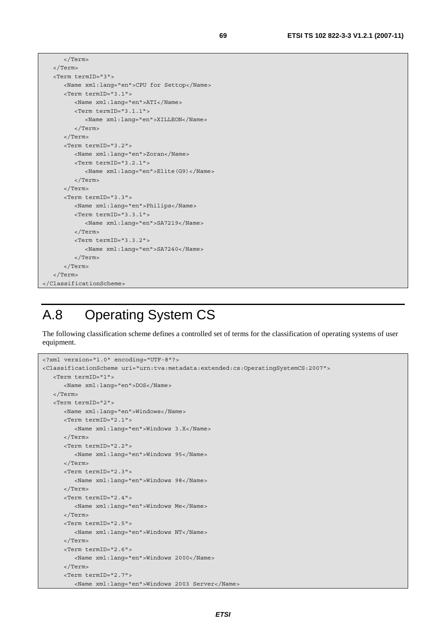```
 </Term> 
    </Term> 
    <Term termID="3"> 
       <Name xml:lang="en">CPU for Settop</Name> 
       <Term termID="3.1"> 
          <Name xml:lang="en">ATI</Name> 
          <Term termID="3.1.1"> 
             <Name xml:lang="en">XILLEON</Name> 
          </Term> 
       </Term> 
       <Term termID="3.2"> 
          <Name xml:lang="en">Zoran</Name> 
          <Term termID="3.2.1"> 
             <Name xml:lang="en">Elite(G9)</Name> 
          </Term> 
       </Term> 
       <Term termID="3.3"> 
          <Name xml:lang="en">Philips</Name> 
          <Term termID="3.3.1"> 
              <Name xml:lang="en">SA7219</Name> 
          </Term> 
          <Term termID="3.3.2"> 
              <Name xml:lang="en">SA7240</Name> 
          </Term> 
       </Term> 
    </Term> 
</ClassificationScheme>
```
### A.8 Operating System CS

The following classification scheme defines a controlled set of terms for the classification of operating systems of user equipment.

```
<?xml version="1.0" encoding="UTF-8"?> 
<ClassificationScheme uri="urn:tva:metadata:extended:cs:OperatingSystemCS:2007"> 
    <Term termID="1"> 
       <Name xml:lang="en">DOS</Name> 
    </Term> 
    <Term termID="2"> 
       <Name xml:lang="en">Windows</Name> 
       <Term termID="2.1"> 
          <Name xml:lang="en">Windows 3.X</Name> 
       </Term> 
       <Term termID="2.2"> 
          <Name xml:lang="en">Windows 95</Name> 
       </Term> 
       <Term termID="2.3"> 
          <Name xml:lang="en">Windows 98</Name> 
       </Term> 
       <Term termID="2.4"> 
          <Name xml:lang="en">Windows Me</Name> 
       </Term> 
       <Term termID="2.5"> 
          <Name xml:lang="en">Windows NT</Name> 
       </Term> 
       <Term termID="2.6"> 
          <Name xml:lang="en">Windows 2000</Name> 
       </Term> 
       <Term termID="2.7"> 
          <Name xml:lang="en">Windows 2003 Server</Name>
```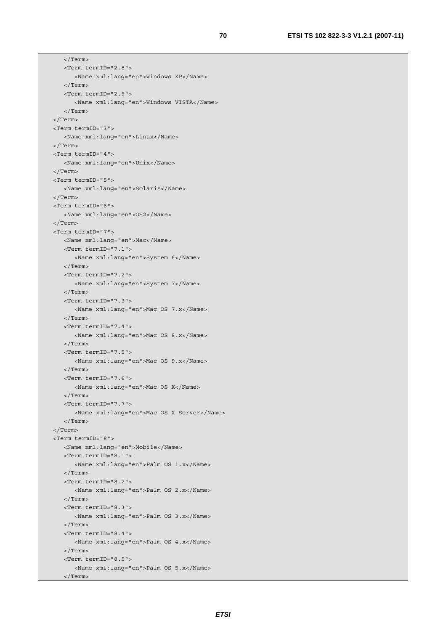```
 </Term> 
    <Term termID="2.8"> 
       <Name xml:lang="en">Windows XP</Name> 
    </Term> 
    <Term termID="2.9"> 
       <Name xml:lang="en">Windows VISTA</Name> 
    </Term> 
 </Term> 
 <Term termID="3"> 
   <Name xml:lang="en">Linux</Name> 
 </Term> 
 <Term termID="4"> 
   <Name xml:lang="en">Unix</Name> 
\sim/Term\sim <Term termID="5"> 
   <Name xml:lang="en">Solaris</Name> 
 </Term> 
 <Term termID="6"> 
    <Name xml:lang="en">OS2</Name> 
 </Term> 
 <Term termID="7"> 
    <Name xml:lang="en">Mac</Name> 
    <Term termID="7.1"> 
       <Name xml:lang="en">System 6</Name> 
    </Term> 
    <Term termID="7.2"> 
       <Name xml:lang="en">System 7</Name> 
    </Term> 
    <Term termID="7.3"> 
       <Name xml:lang="en">Mac OS 7.x</Name> 
    </Term> 
    <Term termID="7.4"> 
       <Name xml:lang="en">Mac OS 8.x</Name> 
    </Term> 
    <Term termID="7.5"> 
       <Name xml:lang="en">Mac OS 9.x</Name> 
    </Term> 
    <Term termID="7.6"> 
       <Name xml:lang="en">Mac OS X</Name> 
    </Term> 
    <Term termID="7.7"> 
       <Name xml:lang="en">Mac OS X Server</Name> 
    </Term> 
 </Term> 
 <Term termID="8"> 
   <Name xml:lang="en">Mobile</Name> 
    <Term termID="8.1"> 
       <Name xml:lang="en">Palm OS 1.x</Name> 
    </Term> 
    <Term termID="8.2"> 
       <Name xml:lang="en">Palm OS 2.x</Name> 
    </Term> 
    <Term termID="8.3"> 
       <Name xml:lang="en">Palm OS 3.x</Name> 
    </Term> 
    <Term termID="8.4"> 
       <Name xml:lang="en">Palm OS 4.x</Name> 
    </Term> 
    <Term termID="8.5"> 
       <Name xml:lang="en">Palm OS 5.x</Name> 
    </Term>
```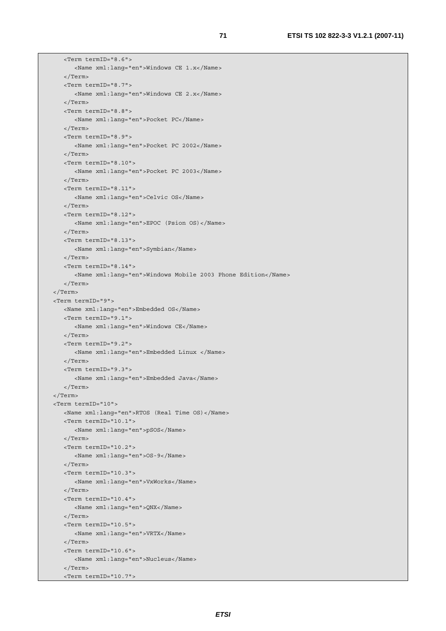```
 <Term termID="8.6"> 
       <Name xml:lang="en">Windows CE 1.x</Name> 
    </Term> 
    <Term termID="8.7"> 
       <Name xml:lang="en">Windows CE 2.x</Name> 
    </Term> 
    <Term termID="8.8"> 
       <Name xml:lang="en">Pocket PC</Name> 
    </Term> 
    <Term termID="8.9"> 
       <Name xml:lang="en">Pocket PC 2002</Name> 
    </Term> 
    <Term termID="8.10"> 
       <Name xml:lang="en">Pocket PC 2003</Name> 
    </Term> 
    <Term termID="8.11"> 
       <Name xml:lang="en">Celvic OS</Name> 
    </Term> 
    <Term termID="8.12"> 
       <Name xml:lang="en">EPOC (Psion OS)</Name> 
    </Term> 
    <Term termID="8.13"> 
       <Name xml:lang="en">Symbian</Name> 
    </Term> 
    <Term termID="8.14"> 
       <Name xml:lang="en">Windows Mobile 2003 Phone Edition</Name> 
    </Term> 
 </Term> 
 <Term termID="9"> 
   <Name xml:lang="en">Embedded OS</Name> 
   <Term termID="9.1"> 
       <Name xml:lang="en">Windows CE</Name> 
    </Term> 
    <Term termID="9.2"> 
       <Name xml:lang="en">Embedded Linux </Name> 
    </Term> 
    <Term termID="9.3"> 
       <Name xml:lang="en">Embedded Java</Name> 
   </Term> 
 </Term> 
 <Term termID="10"> 
   <Name xml:lang="en">RTOS (Real Time OS)</Name> 
   <Term termID="10.1"> 
       <Name xml:lang="en">pSOS</Name> 
    </Term> 
   <Term termID="10.2"> 
       <Name xml:lang="en">OS-9</Name> 
    </Term> 
    <Term termID="10.3"> 
       <Name xml:lang="en">VxWorks</Name> 
    </Term> 
    <Term termID="10.4"> 
       <Name xml:lang="en">QNX</Name> 
    </Term> 
    <Term termID="10.5"> 
       <Name xml:lang="en">VRTX</Name> 
    </Term> 
    <Term termID="10.6"> 
       <Name xml:lang="en">Nucleus</Name> 
    </Term> 
    <Term termID="10.7">
```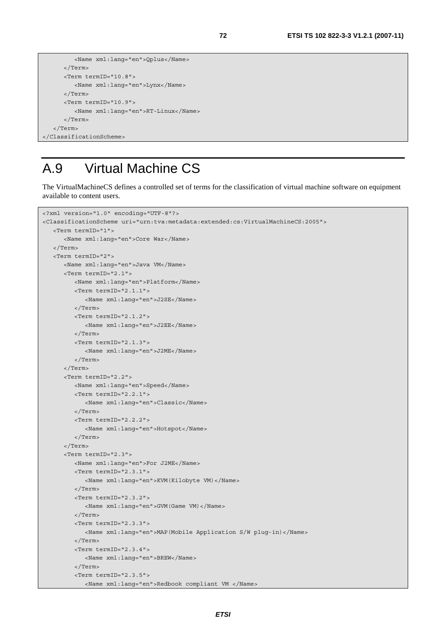```
 <Name xml:lang="en">Qplus</Name> 
       </Term> 
       <Term termID="10.8"> 
          <Name xml:lang="en">Lynx</Name> 
       </Term> 
       <Term termID="10.9"> 
          <Name xml:lang="en">RT-Linux</Name> 
       </Term> 
    </Term> 
</ClassificationScheme>
```
### A.9 Virtual Machine CS

The VirtualMachineCS defines a controlled set of terms for the classification of virtual machine software on equipment available to content users.

```
<?xml version="1.0" encoding="UTF-8"?> 
<ClassificationScheme uri="urn:tva:metadata:extended:cs:VirtualMachineCS:2005"> 
    <Term termID="1"> 
       <Name xml:lang="en">Core War</Name> 
    </Term> 
    <Term termID="2"> 
       <Name xml:lang="en">Java VM</Name> 
       <Term termID="2.1"> 
          <Name xml:lang="en">Platform</Name> 
          <Term termID="2.1.1"> 
             <Name xml:lang="en">J2SE</Name> 
          </Term> 
          <Term termID="2.1.2"> 
             <Name xml:lang="en">J2EE</Name> 
          </Term> 
          <Term termID="2.1.3"> 
             <Name xml:lang="en">J2ME</Name> 
          </Term> 
       </Term> 
       <Term termID="2.2"> 
          <Name xml:lang="en">Speed</Name> 
          <Term termID="2.2.1"> 
             <Name xml:lang="en">Classic</Name> 
          </Term> 
          <Term termID="2.2.2"> 
             <Name xml:lang="en">Hotspot</Name> 
          </Term> 
       </Term> 
       <Term termID="2.3"> 
          <Name xml:lang="en">For J2ME</Name> 
          <Term termID="2.3.1"> 
             <Name xml:lang="en">KVM(Kilobyte VM)</Name> 
          </Term> 
          <Term termID="2.3.2"> 
             <Name xml:lang="en">GVM(Game VM)</Name> 
          </Term> 
          <Term termID="2.3.3"> 
             <Name xml:lang="en">MAP(Mobile Application S/W plug-in)</Name> 
          </Term> 
          <Term termID="2.3.4"> 
             <Name xml:lang="en">BREW</Name> 
          </Term> 
          <Term termID="2.3.5"> 
              <Name xml:lang="en">Redbook compliant VM </Name>
```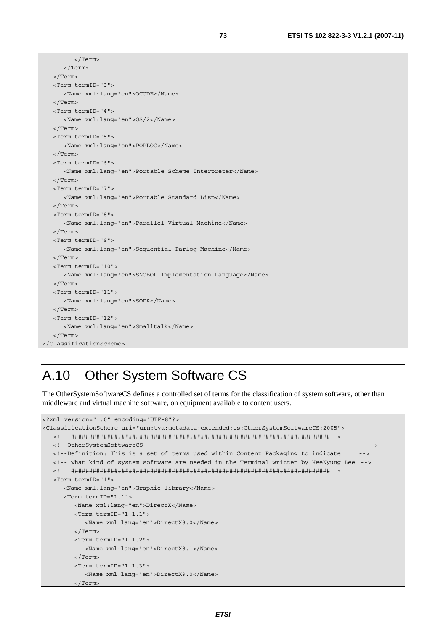```
 </Term> 
       </Term> 
   </Term> 
   <Term termID="3"> 
      <Name xml:lang="en">OCODE</Name> 
   </Term> 
   <Term termID="4"> 
      <Name xml:lang="en">OS/2</Name> 
   </Term> 
   <Term termID="5"> 
      <Name xml:lang="en">POPLOG</Name> 
   </Term> 
   <Term termID="6"> 
      <Name xml:lang="en">Portable Scheme Interpreter</Name> 
   </Term> 
   <Term termID="7"> 
       <Name xml:lang="en">Portable Standard Lisp</Name> 
   </Term> 
   <Term termID="8"> 
      <Name xml:lang="en">Parallel Virtual Machine</Name> 
   </Term> 
   <Term termID="9"> 
      <Name xml:lang="en">Sequential Parlog Machine</Name> 
   </Term> 
   <Term termID="10"> 
      <Name xml:lang="en">SNOBOL Implementation Language</Name> 
   </Term> 
   <Term termID="11"> 
      <Name xml:lang="en">SODA</Name> 
   </Term> 
   <Term termID="12"> 
      <Name xml:lang="en">Smalltalk</Name> 
   </Term> 
</ClassificationScheme>
```
# A.10 Other System Software CS

The OtherSystemSoftwareCS defines a controlled set of terms for the classification of system software, other than middleware and virtual machine software, on equipment available to content users.

```
<?xml version="1.0" encoding="UTF-8"?> 
<ClassificationScheme uri="urn:tva:metadata:extended:cs:OtherSystemSoftwareCS:2005"> 
   <!-- ########################################################################--> 
   <!--OtherSystemSoftwareCS --> 
   <!--Definition: This is a set of terms used within Content Packaging to indicate --> 
   <!-- what kind of system software are needed in the Terminal written by HeeKyung Lee --> 
   <!-- ########################################################################--> 
   <Term termID="1"> 
      <Name xml:lang="en">Graphic library</Name> 
      <Term termID="1.1"> 
         <Name xml:lang="en">DirectX</Name> 
         <Term termID="1.1.1"> 
           <Name xml:lang="en">DirectX8.0</Name> 
         </Term> 
         <Term termID="1.1.2"> 
           <Name xml:lang="en">DirectX8.1</Name> 
         </Term> 
         <Term termID="1.1.3"> 
           <Name xml:lang="en">DirectX9.0</Name> 
         </Term>
```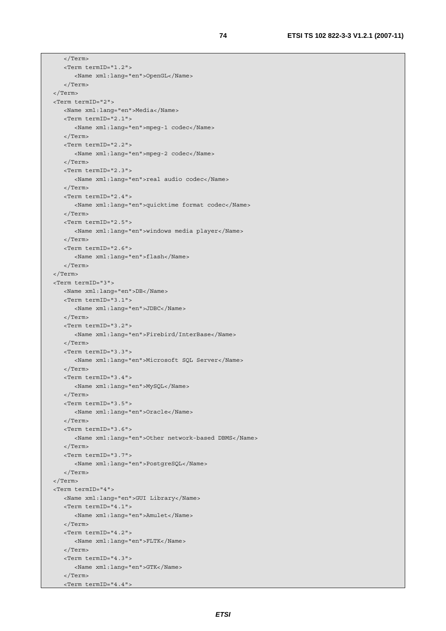```
 </Term> 
    <Term termID="1.2"> 
       <Name xml:lang="en">OpenGL</Name> 
    </Term> 
 </Term> 
 <Term termID="2"> 
    <Name xml:lang="en">Media</Name> 
    <Term termID="2.1"> 
       <Name xml:lang="en">mpeg-1 codec</Name> 
    </Term> 
    <Term termID="2.2"> 
       <Name xml:lang="en">mpeg-2 codec</Name> 
    </Term> 
    <Term termID="2.3"> 
       <Name xml:lang="en">real audio codec</Name> 
    </Term> 
    <Term termID="2.4"> 
       <Name xml:lang="en">quicktime format codec</Name> 
    </Term> 
    <Term termID="2.5"> 
       <Name xml:lang="en">windows media player</Name> 
    </Term> 
    <Term termID="2.6"> 
       <Name xml:lang="en">flash</Name> 
    </Term> 
 </Term> 
 <Term termID="3"> 
    <Name xml:lang="en">DB</Name> 
    <Term termID="3.1"> 
       <Name xml:lang="en">JDBC</Name> 
    </Term> 
    <Term termID="3.2"> 
       <Name xml:lang="en">Firebird/InterBase</Name> 
    </Term> 
    <Term termID="3.3"> 
       <Name xml:lang="en">Microsoft SQL Server</Name> 
    </Term> 
    <Term termID="3.4"> 
       <Name xml:lang="en">MySQL</Name> 
    </Term> 
    <Term termID="3.5"> 
       <Name xml:lang="en">Oracle</Name> 
    </Term> 
    <Term termID="3.6"> 
       <Name xml:lang="en">Other network-based DBMS</Name> 
    </Term> 
    <Term termID="3.7"> 
       <Name xml:lang="en">PostgreSQL</Name> 
    </Term> 
 </Term> 
 <Term termID="4"> 
   <Name xml:lang="en">GUI Library</Name> 
    <Term termID="4.1"> 
       <Name xml:lang="en">Amulet</Name> 
    </Term> 
    <Term termID="4.2"> 
       <Name xml:lang="en">FLTK</Name> 
    </Term> 
    <Term termID="4.3"> 
       <Name xml:lang="en">GTK</Name> 
    </Term> 
    <Term termID="4.4">
```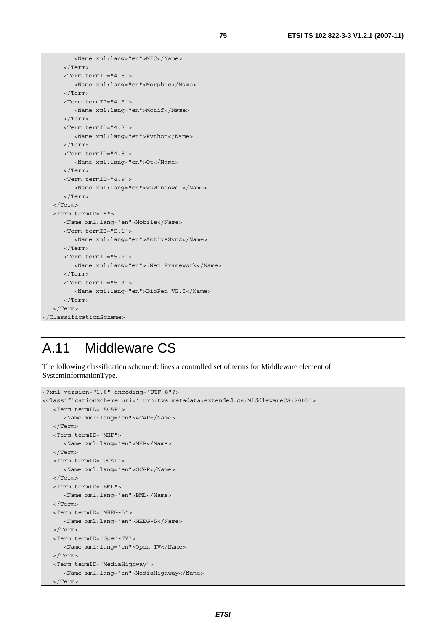```
 <Name xml:lang="en">MFC</Name> 
       </Term> 
       <Term termID="4.5"> 
          <Name xml:lang="en">Morphic</Name> 
       </Term> 
       <Term termID="4.6"> 
          <Name xml:lang="en">Motif</Name> 
       </Term> 
       <Term termID="4.7"> 
          <Name xml:lang="en">Python</Name> 
       </Term> 
       <Term termID="4.8"> 
          <Name xml:lang="en">Qt</Name> 
       </Term> 
       <Term termID="4.9"> 
          <Name xml:lang="en">wxWindows </Name> 
       </Term> 
    </Term> 
    <Term termID="5"> 
       <Name xml:lang="en">Mobile</Name> 
       <Term termID="5.1"> 
          <Name xml:lang="en">ActiveSync</Name> 
       </Term> 
       <Term termID="5.2"> 
          <Name xml:lang="en">.Net Framework</Name> 
       </Term> 
       <Term termID="5.3"> 
          <Name xml:lang="en">DioPen V5.0</Name> 
       </Term> 
    </Term> 
</ClassificationScheme>
```
# A.11 Middleware CS

The following classification scheme defines a controlled set of terms for Middleware element of SystemInformationType.

```
<?xml version="1.0" encoding="UTF-8"?> 
<ClassificationScheme uri=" urn:tva:metadata:extended:cs:MiddlewareCS:2005"> 
   <Term termID="ACAP"> 
      <Name xml:lang="en">ACAP</Name> 
   </Term> 
   <Term termID="MHP"> 
      <Name xml:lang="en">MHP</Name> 
   </Term> 
   <Term termID="OCAP"> 
      <Name xml:lang="en">OCAP</Name> 
   </Term> 
   <Term termID="BML"> 
      <Name xml:lang="en">BML</Name> 
   </Term> 
   <Term termID="MHEG-5"> 
      <Name xml:lang="en">MHEG-5</Name> 
   </Term> 
   <Term termID="Open-TV"> 
      <Name xml:lang="en">Open-TV</Name> 
   </Term> 
   <Term termID="MediaHighway"> 
      <Name xml:lang="en">MediaHighway</Name> 
   </Term>
```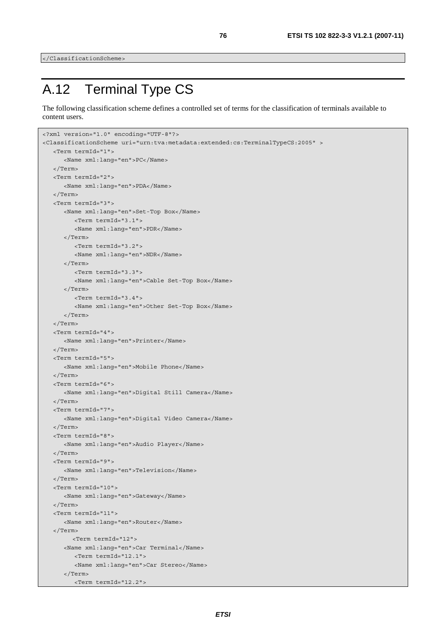</ClassificationScheme>

# A.12 Terminal Type CS

The following classification scheme defines a controlled set of terms for the classification of terminals available to content users.

```
<?xml version="1.0" encoding="UTF-8"?> 
<ClassificationScheme uri="urn:tva:metadata:extended:cs:TerminalTypeCS:2005" > 
    <Term termId="1"> 
       <Name xml:lang="en">PC</Name> 
    </Term> 
    <Term termId="2"> 
       <Name xml:lang="en">PDA</Name> 
   </Term> 
    <Term termId="3"> 
       <Name xml:lang="en">Set-Top Box</Name> 
         <Term termId="3.1"> 
          <Name xml:lang="en">PDR</Name> 
       </Term> 
         <Term termId="3.2"> 
          <Name xml:lang="en">NDR</Name> 
       </Term> 
         <Term termId="3.3"> 
          <Name xml:lang="en">Cable Set-Top Box</Name> 
       </Term> 
         <Term termId="3.4"> 
          <Name xml:lang="en">Other Set-Top Box</Name> 
       </Term> 
    </Term> 
    <Term termId="4"> 
       <Name xml:lang="en">Printer</Name> 
    </Term> 
    <Term termId="5"> 
       <Name xml:lang="en">Mobile Phone</Name> 
    </Term> 
    <Term termId="6"> 
       <Name xml:lang="en">Digital Still Camera</Name> 
    </Term> 
    <Term termId="7"> 
       <Name xml:lang="en">Digital Video Camera</Name> 
    </Term> 
    <Term termId="8"> 
       <Name xml:lang="en">Audio Player</Name> 
    </Term> 
    <Term termId="9"> 
       <Name xml:lang="en">Television</Name> 
    </Term> 
    <Term termId="10"> 
       <Name xml:lang="en">Gateway</Name> 
    </Term> 
    <Term termId="11"> 
       <Name xml:lang="en">Router</Name> 
    </Term> 
        <Term termId="12"> 
       <Name xml:lang="en">Car Terminal</Name> 
         <Term termId="12.1"> 
          <Name xml:lang="en">Car Stereo</Name> 
       </Term> 
         <Term termId="12.2">
```
*ETSI*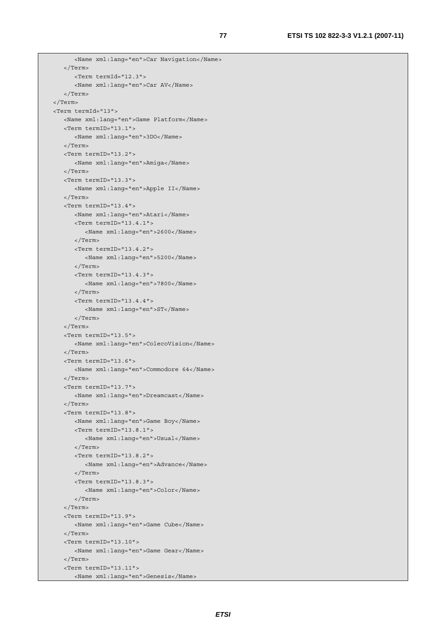```
 <Name xml:lang="en">Car Navigation</Name> 
    </Term> 
      <Term termId="12.3"> 
       <Name xml:lang="en">Car AV</Name> 
    </Term> 
 </Term> 
 <Term termId="13"> 
   <Name xml:lang="en">Game Platform</Name> 
   <Term termID="13.1"> 
       <Name xml:lang="en">3DO</Name> 
    </Term> 
    <Term termID="13.2"> 
       <Name xml:lang="en">Amiga</Name> 
   \sim/Term\sim <Term termID="13.3"> 
       <Name xml:lang="en">Apple II</Name> 
    </Term> 
    <Term termID="13.4"> 
       <Name xml:lang="en">Atari</Name> 
       <Term termID="13.4.1"> 
          <Name xml:lang="en">2600</Name> 
       </Term> 
       <Term termID="13.4.2"> 
          <Name xml:lang="en">5200</Name> 
       </Term> 
       <Term termID="13.4.3"> 
          <Name xml:lang="en">7800</Name> 
       </Term> 
       <Term termID="13.4.4"> 
          <Name xml:lang="en">ST</Name> 
       </Term> 
    </Term> 
    <Term termID="13.5"> 
       <Name xml:lang="en">ColecoVision</Name> 
    </Term> 
    <Term termID="13.6"> 
       <Name xml:lang="en">Commodore 64</Name> 
    </Term> 
    <Term termID="13.7"> 
       <Name xml:lang="en">Dreamcast</Name> 
    </Term> 
    <Term termID="13.8"> 
       <Name xml:lang="en">Game Boy</Name> 
       <Term termID="13.8.1"> 
          <Name xml:lang="en">Usual</Name> 
       </Term> 
       <Term termID="13.8.2"> 
          <Name xml:lang="en">Advance</Name> 
       </Term> 
       <Term termID="13.8.3"> 
          <Name xml:lang="en">Color</Name> 
       </Term> 
    </Term> 
    <Term termID="13.9"> 
       <Name xml:lang="en">Game Cube</Name> 
    </Term> 
    <Term termID="13.10"> 
       <Name xml:lang="en">Game Gear</Name> 
    </Term> 
    <Term termID="13.11"> 
       <Name xml:lang="en">Genesis</Name>
```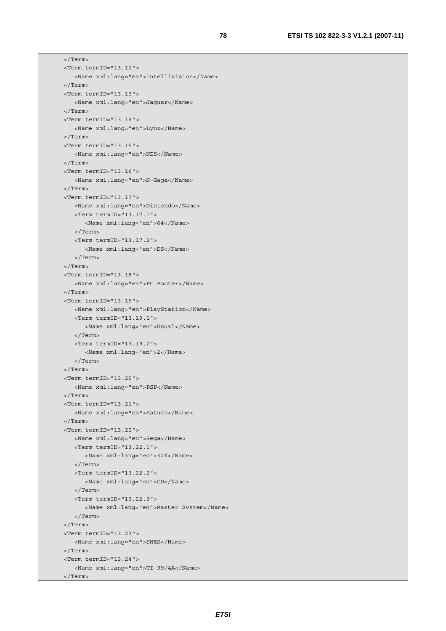```
 </Term> 
 <Term termID="13.12"> 
    <Name xml:lang="en">Intellivision</Name> 
 </Term> 
 <Term termID="13.13"> 
    <Name xml:lang="en">Jaguar</Name> 
 </Term> 
 <Term termID="13.14"> 
    <Name xml:lang="en">Lynx</Name> 
 </Term> 
 <Term termID="13.15"> 
    <Name xml:lang="en">NES</Name> 
 </Term> 
 <Term termID="13.16"> 
    <Name xml:lang="en">N-Gage</Name> 
 </Term> 
 <Term termID="13.17"> 
    <Name xml:lang="en">Nintendo</Name> 
    <Term termID="13.17.1"> 
       <Name xml:lang="en">64</Name> 
    </Term> 
    <Term termID="13.17.2"> 
       <Name xml:lang="en">DS</Name> 
    </Term> 
 </Term> 
 <Term termID="13.18"> 
    <Name xml:lang="en">PC Booter</Name> 
 </Term> 
 <Term termID="13.19"> 
    <Name xml:lang="en">PlayStation</Name> 
    <Term termID="13.19.1"> 
       <Name xml:lang="en">Usual</Name> 
    </Term> 
    <Term termID="13.19.2"> 
       <Name xml:lang="en">2</Name> 
    </Term> 
 </Term> 
 <Term termID="13.20"> 
    <Name xml:lang="en">PSP</Name> 
 </Term> 
 <Term termID="13.21"> 
    <Name xml:lang="en">Saturn</Name> 
 </Term> 
 <Term termID="13.22"> 
    <Name xml:lang="en">Sega</Name> 
    <Term termID="13.22.1"> 
       <Name xml:lang="en">32X</Name> 
    </Term> 
    <Term termID="13.22.2"> 
       <Name xml:lang="en">CD</Name> 
    </Term> 
    <Term termID="13.22.3"> 
       <Name xml:lang="en">Master System</Name> 
    </Term> 
 </Term> 
 <Term termID="13.23"> 
    <Name xml:lang="en">SNES</Name> 
 </Term> 
 <Term termID="13.24"> 
    <Name xml:lang="en">TI-99/4A</Name> 
 </Term>
```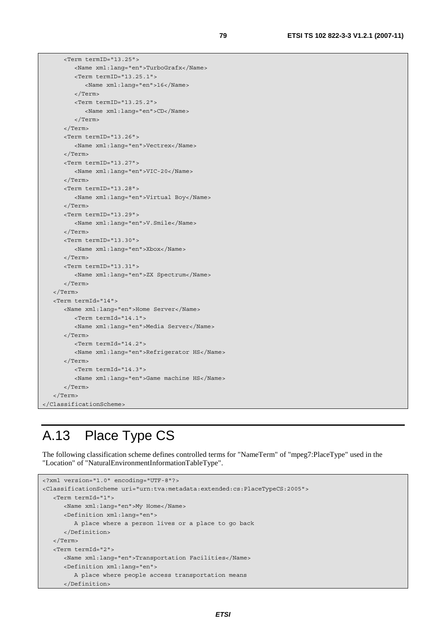```
 <Term termID="13.25"> 
          <Name xml:lang="en">TurboGrafx</Name> 
          <Term termID="13.25.1"> 
             <Name xml:lang="en">16</Name> 
          </Term> 
          <Term termID="13.25.2"> 
             <Name xml:lang="en">CD</Name> 
          </Term> 
       </Term> 
       <Term termID="13.26"> 
          <Name xml:lang="en">Vectrex</Name> 
       </Term> 
       <Term termID="13.27"> 
          <Name xml:lang="en">VIC-20</Name> 
       </Term> 
       <Term termID="13.28"> 
          <Name xml:lang="en">Virtual Boy</Name> 
       </Term> 
       <Term termID="13.29"> 
          <Name xml:lang="en">V.Smile</Name> 
       </Term> 
       <Term termID="13.30"> 
          <Name xml:lang="en">Xbox</Name> 
       </Term> 
       <Term termID="13.31"> 
          <Name xml:lang="en">ZX Spectrum</Name> 
       </Term> 
    </Term> 
    <Term termId="14"> 
       <Name xml:lang="en">Home Server</Name> 
         <Term termId="14.1"> 
          <Name xml:lang="en">Media Server</Name> 
       </Term> 
         <Term termId="14.2"> 
          <Name xml:lang="en">Refrigerator HS</Name> 
       </Term> 
         <Term termId="14.3"> 
          <Name xml:lang="en">Game machine HS</Name> 
       </Term> 
    </Term> 
</ClassificationScheme>
```
## A.13 Place Type CS

The following classification scheme defines controlled terms for "NameTerm" of "mpeg7:PlaceType" used in the "Location" of "NaturalEnvironmentInformationTableType".

```
<?xml version="1.0" encoding="UTF-8"?> 
<ClassificationScheme uri="urn:tva:metadata:extended:cs:PlaceTypeCS:2005"> 
    <Term termId="1"> 
      <Name xml:lang="en">My Home</Name> 
       <Definition xml:lang="en"> 
          A place where a person lives or a place to go back 
       </Definition> 
    </Term> 
    <Term termId="2"> 
       <Name xml:lang="en">Transportation Facilities</Name> 
       <Definition xml:lang="en"> 
          A place where people access transportation means 
       </Definition>
```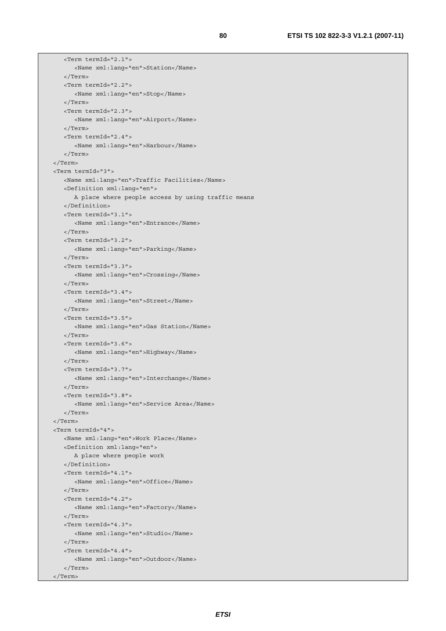```
 <Term termId="2.1"> 
       <Name xml:lang="en">Station</Name> 
    </Term> 
    <Term termId="2.2"> 
       <Name xml:lang="en">Stop</Name> 
    </Term> 
    <Term termId="2.3"> 
       <Name xml:lang="en">Airport</Name> 
    </Term> 
    <Term termId="2.4"> 
       <Name xml:lang="en">Harbour</Name> 
    </Term> 
 </Term> 
 <Term termId="3"> 
    <Name xml:lang="en">Traffic Facilities</Name> 
    <Definition xml:lang="en"> 
       A place where people access by using traffic means 
    </Definition> 
    <Term termId="3.1"> 
       <Name xml:lang="en">Entrance</Name> 
    </Term> 
    <Term termId="3.2"> 
       <Name xml:lang="en">Parking</Name> 
    </Term> 
    <Term termId="3.3"> 
       <Name xml:lang="en">Crossing</Name> 
    </Term> 
    <Term termId="3.4"> 
       <Name xml:lang="en">Street</Name> 
    </Term> 
    <Term termId="3.5"> 
       <Name xml:lang="en">Gas Station</Name> 
    </Term> 
    <Term termId="3.6"> 
       <Name xml:lang="en">Highway</Name> 
    </Term> 
    <Term termId="3.7"> 
       <Name xml:lang="en">Interchange</Name> 
    </Term> 
    <Term termId="3.8"> 
       <Name xml:lang="en">Service Area</Name> 
    </Term> 
 </Term> 
 <Term termId="4"> 
    <Name xml:lang="en">Work Place</Name> 
    <Definition xml:lang="en"> 
       A place where people work 
    </Definition> 
    <Term termId="4.1"> 
       <Name xml:lang="en">Office</Name> 
    </Term> 
    <Term termId="4.2"> 
       <Name xml:lang="en">Factory</Name> 
    </Term> 
    <Term termId="4.3"> 
       <Name xml:lang="en">Studio</Name> 
    </Term> 
    <Term termId="4.4"> 
       <Name xml:lang="en">Outdoor</Name> 
    </Term> 
 </Term>
```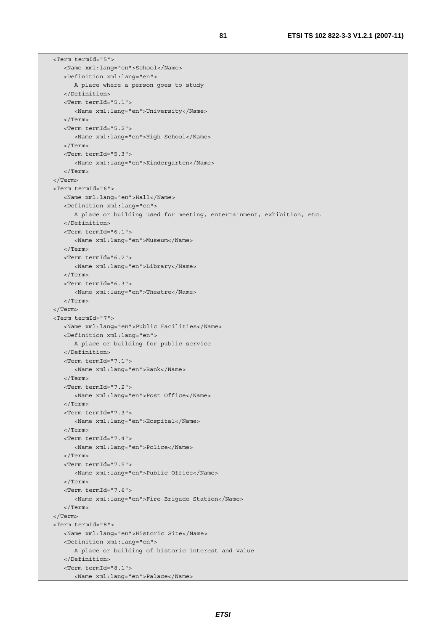```
 <Term termId="5"> 
    <Name xml:lang="en">School</Name> 
    <Definition xml:lang="en"> 
       A place where a person goes to study 
    </Definition> 
    <Term termId="5.1"> 
       <Name xml:lang="en">University</Name> 
    </Term> 
    <Term termId="5.2"> 
       <Name xml:lang="en">High School</Name> 
    </Term> 
    <Term termId="5.3"> 
       <Name xml:lang="en">Kindergarten</Name> 
    </Term> 
 </Term> 
 <Term termId="6"> 
    <Name xml:lang="en">Hall</Name> 
    <Definition xml:lang="en"> 
       A place or building used for meeting, entertainment, exhibition, etc. 
    </Definition> 
    <Term termId="6.1"> 
       <Name xml:lang="en">Museum</Name> 
    </Term> 
    <Term termId="6.2"> 
       <Name xml:lang="en">Library</Name> 
    </Term> 
    <Term termId="6.3"> 
       <Name xml:lang="en">Theatre</Name> 
    </Term> 
 </Term> 
 <Term termId="7"> 
    <Name xml:lang="en">Public Facilities</Name> 
    <Definition xml:lang="en"> 
      A place or building for public service 
    </Definition> 
    <Term termId="7.1"> 
       <Name xml:lang="en">Bank</Name> 
    </Term> 
    <Term termId="7.2"> 
       <Name xml:lang="en">Post Office</Name> 
    </Term> 
    <Term termId="7.3"> 
       <Name xml:lang="en">Hospital</Name> 
    </Term> 
    <Term termId="7.4"> 
       <Name xml:lang="en">Police</Name> 
    </Term> 
    <Term termId="7.5"> 
       <Name xml:lang="en">Public Office</Name> 
    </Term> 
    <Term termId="7.6"> 
       <Name xml:lang="en">Fire-Brigade Station</Name> 
    </Term> 
 </Term> 
 <Term termId="8"> 
    <Name xml:lang="en">Historic Site</Name> 
    <Definition xml:lang="en"> 
       A place or building of historic interest and value 
    </Definition> 
    <Term termId="8.1"> 
       <Name xml:lang="en">Palace</Name>
```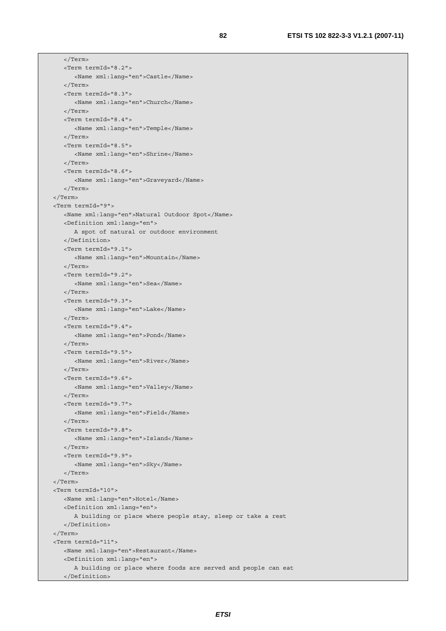</Term> <Term termId="8.2"> <Name xml:lang="en">Castle</Name> </Term> <Term termId="8.3"> <Name xml:lang="en">Church</Name> </Term> <Term termId="8.4"> <Name xml:lang="en">Temple</Name> </Term> <Term termId="8.5"> <Name xml:lang="en">Shrine</Name> </Term> <Term termId="8.6"> <Name xml:lang="en">Graveyard</Name> </Term> </Term> <Term termId="9"> <Name xml:lang="en">Natural Outdoor Spot</Name> <Definition xml:lang="en"> A spot of natural or outdoor environment </Definition> <Term termId="9.1"> <Name xml:lang="en">Mountain</Name> </Term> <Term termId="9.2"> <Name xml:lang="en">Sea</Name> </Term> <Term termId="9.3"> <Name xml:lang="en">Lake</Name> </Term> <Term termId="9.4"> <Name xml:lang="en">Pond</Name> </Term> <Term termId="9.5"> <Name xml:lang="en">River</Name> </Term> <Term termId="9.6"> <Name xml:lang="en">Valley</Name> </Term> <Term termId="9.7"> <Name xml:lang="en">Field</Name> </Term> <Term termId="9.8"> <Name xml:lang="en">Island</Name> </Term> <Term termId="9.9"> <Name xml:lang="en">Sky</Name> </Term> </Term> <Term termId="10"> <Name xml:lang="en">Hotel</Name> <Definition xml:lang="en"> A building or place where people stay, sleep or take a rest </Definition> </Term> <Term termId="11"> <Name xml:lang="en">Restaurant</Name> <Definition xml:lang="en"> A building or place where foods are served and people can eat </Definition>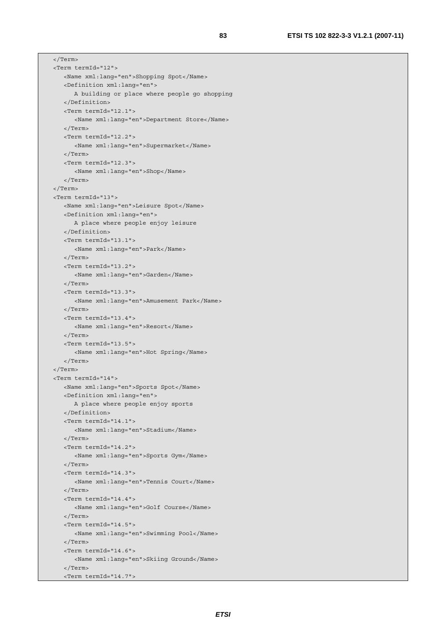</Term> <Term termId="12"> <Name xml:lang="en">Shopping Spot</Name> <Definition xml:lang="en"> A building or place where people go shopping </Definition> <Term termId="12.1"> <Name xml:lang="en">Department Store</Name> </Term> <Term termId="12.2"> <Name xml:lang="en">Supermarket</Name> </Term> <Term termId="12.3"> <Name xml:lang="en">Shop</Name> </Term> </Term> <Term termId="13"> <Name xml:lang="en">Leisure Spot</Name> <Definition xml:lang="en"> A place where people enjoy leisure </Definition> <Term termId="13.1"> <Name xml:lang="en">Park</Name> </Term> <Term termId="13.2"> <Name xml:lang="en">Garden</Name> </Term> <Term termId="13.3"> <Name xml:lang="en">Amusement Park</Name> </Term> <Term termId="13.4"> <Name xml:lang="en">Resort</Name> </Term> <Term termId="13.5"> <Name xml:lang="en">Hot Spring</Name> </Term> </Term> <Term termId="14"> <Name xml:lang="en">Sports Spot</Name> <Definition xml:lang="en"> A place where people enjoy sports </Definition> <Term termId="14.1"> <Name xml:lang="en">Stadium</Name> </Term> <Term termId="14.2"> <Name xml:lang="en">Sports Gym</Name> </Term> <Term termId="14.3"> <Name xml:lang="en">Tennis Court</Name> </Term> <Term termId="14.4"> <Name xml:lang="en">Golf Course</Name> </Term> <Term termId="14.5"> <Name xml:lang="en">Swimming Pool</Name> </Term> <Term termId="14.6"> <Name xml:lang="en">Skiing Ground</Name> </Term> <Term termId="14.7">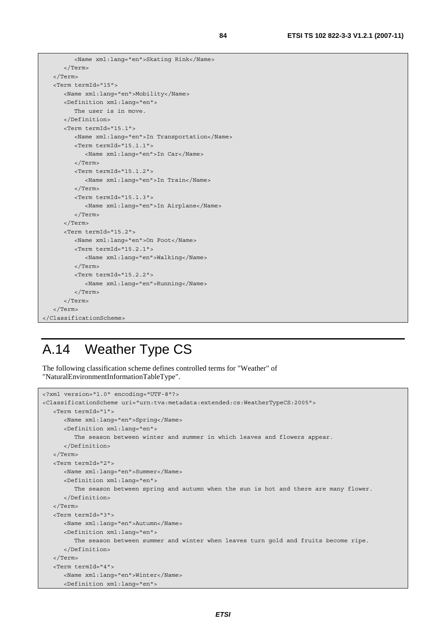```
 <Name xml:lang="en">Skating Rink</Name> 
       </Term> 
    </Term> 
    <Term termId="15"> 
       <Name xml:lang="en">Mobility</Name> 
       <Definition xml:lang="en"> 
          The user is in move. 
       </Definition> 
       <Term termId="15.1"> 
          <Name xml:lang="en">In Transportation</Name> 
          <Term termId="15.1.1"> 
             <Name xml:lang="en">In Car</Name> 
          </Term> 
         \epsilonTerm termId="15.1.2">
              <Name xml:lang="en">In Train</Name> 
          </Term> 
          <Term termId="15.1.3"> 
             <Name xml:lang="en">In Airplane</Name> 
          </Term> 
       </Term> 
       <Term termId="15.2"> 
          <Name xml:lang="en">On Foot</Name> 
          <Term termId="15.2.1"> 
             <Name xml:lang="en">Walking</Name> 
          </Term> 
          <Term termId="15.2.2"> 
             <Name xml:lang="en">Running</Name> 
          </Term> 
       </Term> 
    </Term> 
</ClassificationScheme>
```
## A.14 Weather Type CS

The following classification scheme defines controlled terms for "Weather" of "NaturalEnvironmentInformationTableType".

```
<?xml version="1.0" encoding="UTF-8"?> 
<ClassificationScheme uri="urn:tva:metadata:extended:cs:WeatherTypeCS:2005"> 
    <Term termId="1"> 
       <Name xml:lang="en">Spring</Name> 
       <Definition xml:lang="en"> 
          The season between winter and summer in which leaves and flowers appear. 
       </Definition> 
    </Term> 
    <Term termId="2"> 
       <Name xml:lang="en">Summer</Name> 
       <Definition xml:lang="en"> 
          The season between spring and autumn when the sun is hot and there are many flower. 
       </Definition> 
    </Term> 
    <Term termId="3"> 
      <Name xml:lang="en">Autumn</Name> 
       <Definition xml:lang="en"> 
          The season between summer and winter when leaves turn gold and fruits become ripe. 
       </Definition> 
    </Term> 
    <Term termId="4"> 
       <Name xml:lang="en">Winter</Name> 
       <Definition xml:lang="en">
```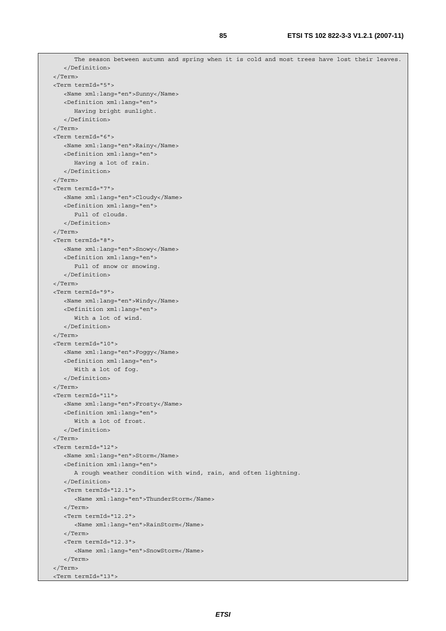```
 The season between autumn and spring when it is cold and most trees have lost their leaves. 
    </Definition> 
 </Term> 
 <Term termId="5"> 
    <Name xml:lang="en">Sunny</Name> 
    <Definition xml:lang="en"> 
       Having bright sunlight. 
    </Definition> 
 </Term> 
 <Term termId="6"> 
    <Name xml:lang="en">Rainy</Name> 
    <Definition xml:lang="en"> 
       Having a lot of rain. 
    </Definition> 
 </Term> 
 <Term termId="7"> 
    <Name xml:lang="en">Cloudy</Name> 
    <Definition xml:lang="en"> 
       Full of clouds. 
    </Definition> 
 </Term> 
 <Term termId="8"> 
    <Name xml:lang="en">Snowy</Name> 
    <Definition xml:lang="en"> 
      Full of snow or snowing.
    </Definition> 
 </Term> 
 <Term termId="9"> 
    <Name xml:lang="en">Windy</Name> 
    <Definition xml:lang="en"> 
       With a lot of wind. 
    </Definition> 
 </Term> 
 <Term termId="10"> 
    <Name xml:lang="en">Foggy</Name> 
    <Definition xml:lang="en"> 
       With a lot of fog. 
    </Definition> 
 </Term> 
 <Term termId="11"> 
    <Name xml:lang="en">Frosty</Name> 
    <Definition xml:lang="en"> 
       With a lot of frost. 
    </Definition> 
 </Term> 
 <Term termId="12"> 
    <Name xml:lang="en">Storm</Name> 
    <Definition xml:lang="en"> 
       A rough weather condition with wind, rain, and often lightning. 
    </Definition> 
    <Term termId="12.1"> 
       <Name xml:lang="en">ThunderStorm</Name> 
    </Term> 
    <Term termId="12.2"> 
       <Name xml:lang="en">RainStorm</Name> 
    </Term> 
    <Term termId="12.3"> 
       <Name xml:lang="en">SnowStorm</Name> 
    </Term> 
 </Term> 
 <Term termId="13">
```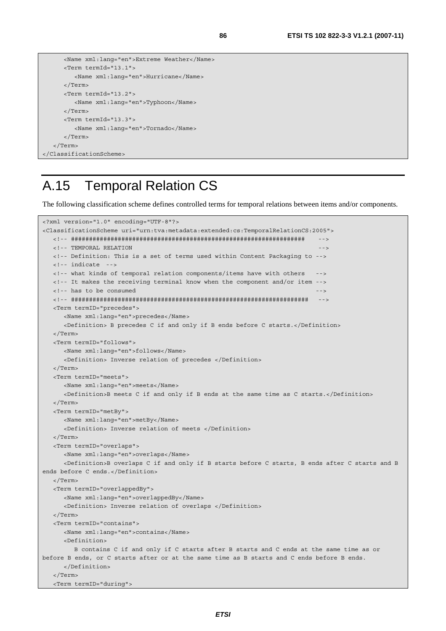```
 <Name xml:lang="en">Extreme Weather</Name> 
       <Term termId="13.1"> 
          <Name xml:lang="en">Hurricane</Name> 
       </Term> 
       <Term termId="13.2"> 
          <Name xml:lang="en">Typhoon</Name> 
       </Term> 
       <Term termId="13.3"> 
          <Name xml:lang="en">Tornado</Name> 
       </Term> 
    </Term> 
</ClassificationScheme>
```
### A.15 Temporal Relation CS

The following classification scheme defines controlled terms for temporal relations between items and/or components.

```
<?xml version="1.0" encoding="UTF-8"?> 
<ClassificationScheme uri="urn:tva:metadata:extended:cs:TemporalRelationCS:2005"> 
    <!-- ################################################################# --> 
   <!-- TEMPORAL RELATION
    <!-- Definition: This is a set of terms used within Content Packaging to --> 
   <!-- indicate --> 
    <!-- what kinds of temporal relation components/items have with others --> 
    <!-- It makes the receiving terminal know when the component and/or item --> 
   <!-- has to be consumed
    <!-- ################################################################## --> 
    <Term termID="precedes"> 
       <Name xml:lang="en">precedes</Name> 
       <Definition> B precedes C if and only if B ends before C starts.</Definition> 
    </Term> 
    <Term termID="follows"> 
       <Name xml:lang="en">follows</Name> 
       <Definition> Inverse relation of precedes </Definition> 
    </Term> 
    <Term termID="meets"> 
       <Name xml:lang="en">meets</Name> 
       <Definition>B meets C if and only if B ends at the same time as C starts.</Definition> 
    </Term> 
    <Term termID="metBy"> 
       <Name xml:lang="en">metBy</Name> 
       <Definition> Inverse relation of meets </Definition> 
    </Term> 
    <Term termID="overlaps"> 
       <Name xml:lang="en">overlaps</Name> 
       <Definition>B overlaps C if and only if B starts before C starts, B ends after C starts and B 
ends before C ends.</Definition>
   </Term> 
    <Term termID="overlappedBy"> 
      <Name xml:lang="en">overlappedBy</Name> 
       <Definition> Inverse relation of overlaps </Definition> 
    </Term> 
    <Term termID="contains"> 
       <Name xml:lang="en">contains</Name> 
       <Definition> 
         B contains C if and only if C starts after B starts and C ends at the same time as or 
before B ends, or C starts after or at the same time as B starts and C ends before B ends. 
       </Definition> 
    </Term> 
    <Term termID="during">
```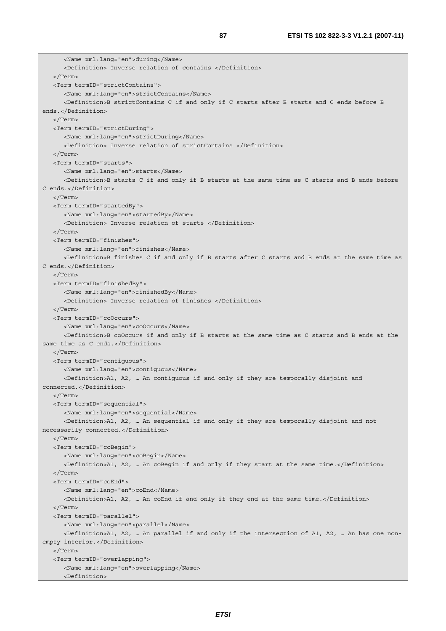<Name xml:lang="en">during</Name> <Definition> Inverse relation of contains </Definition> </Term> <Term termID="strictContains"> <Name xml:lang="en">strictContains</Name> <Definition>B strictContains C if and only if C starts after B starts and C ends before B ends.</Definition> </Term> <Term termID="strictDuring"> <Name xml:lang="en">strictDuring</Name> <Definition> Inverse relation of strictContains </Definition> </Term> <Term termID="starts"> <Name xml:lang="en">starts</Name> <Definition>B starts C if and only if B starts at the same time as C starts and B ends before C ends.</Definition>  $\langle$ Term $\sim$  <Term termID="startedBy"> <Name xml:lang="en">startedBy</Name> <Definition> Inverse relation of starts </Definition> </Term> <Term termID="finishes"> <Name xml:lang="en">finishes</Name> <Definition>B finishes C if and only if B starts after C starts and B ends at the same time as C ends.</Definition> </Term> <Term termID="finishedBy"> <Name xml:lang="en">finishedBy</Name> <Definition> Inverse relation of finishes </Definition> </Term> <Term termID="coOccurs"> <Name xml:lang="en">coOccurs</Name> <Definition>B coOccurs if and only if B starts at the same time as C starts and B ends at the same time as C ends.</Definition>  $\sim$ /Term $\sim$  <Term termID="contiguous"> <Name xml:lang="en">contiguous</Name> <Definition>A1, A2, … An contiguous if and only if they are temporally disjoint and connected.</Definition> </Term> <Term termID="sequential"> <Name xml:lang="en">sequential</Name> <Definition>A1, A2, … An sequential if and only if they are temporally disjoint and not necessarily connected.</Definition> </Term> <Term termID="coBegin"> <Name xml:lang="en">coBegin</Name> <Definition>A1, A2, … An coBegin if and only if they start at the same time.</Definition> </Term> <Term termID="coEnd"> <Name xml:lang="en">coEnd</Name> <Definition>A1, A2, … An coEnd if and only if they end at the same time.</Definition> </Term> <Term termID="parallel"> <Name xml:lang="en">parallel</Name> <Definition>A1, A2, … An parallel if and only if the intersection of A1, A2, … An has one nonempty interior.</Definition> </Term> <Term termID="overlapping"> <Name xml:lang="en">overlapping</Name> <Definition>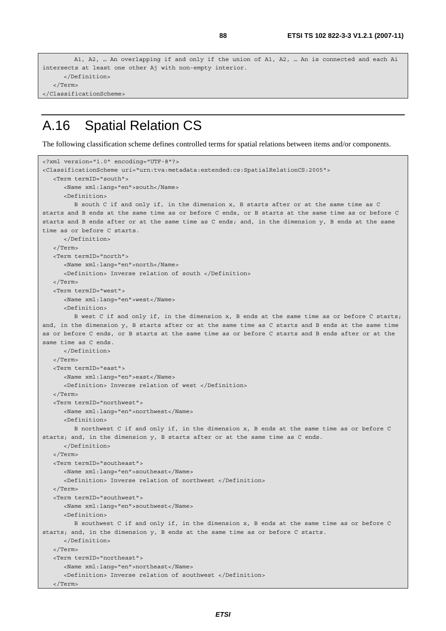```
 A1, A2, … An overlapping if and only if the union of A1, A2, … An is connected and each Ai 
intersects at least one other Aj with non-empty interior. 
       </Definition> 
    </Term> 
</ClassificationScheme>
```
#### A.16 Spatial Relation CS

The following classification scheme defines controlled terms for spatial relations between items and/or components.

```
<?xml version="1.0" encoding="UTF-8"?> 
<ClassificationScheme uri="urn:tva:metadata:extended:cs:SpatialRelationCS:2005"> 
    <Term termID="south"> 
       <Name xml:lang="en">south</Name> 
       <Definition> 
          B south C if and only if, in the dimension x, B starts after or at the same time as C 
starts and B ends at the same time as or before C ends, or B starts at the same time as or before C 
starts and B ends after or at the same time as C ends; and, in the dimension y, B ends at the same 
time as or before C starts. 
       </Definition> 
    </Term> 
    <Term termID="north"> 
       <Name xml:lang="en">north</Name> 
       <Definition> Inverse relation of south </Definition> 
    </Term> 
    <Term termID="west"> 
       <Name xml:lang="en">west</Name> 
       <Definition> 
          B west C if and only if, in the dimension x, B ends at the same time as or before C starts; 
and, in the dimension y, B starts after or at the same time as C starts and B ends at the same time 
as or before C ends, or B starts at the same time as or before C starts and B ends after or at the 
same time as C ends. 
       </Definition> 
    </Term> 
    <Term termID="east"> 
       <Name xml:lang="en">east</Name> 
       <Definition> Inverse relation of west </Definition> 
    </Term> 
    <Term termID="northwest"> 
       <Name xml:lang="en">northwest</Name> 
       <Definition> 
          B northwest C if and only if, in the dimension x, B ends at the same time as or before C 
starts; and, in the dimension y, B starts after or at the same time as C ends. 
       </Definition> 
    </Term> 
    <Term termID="southeast"> 
       <Name xml:lang="en">southeast</Name> 
       <Definition> Inverse relation of northwest </Definition> 
   </Term> 
    <Term termID="southwest"> 
       <Name xml:lang="en">southwest</Name> 
       <Definition> 
         B southwest C if and only if, in the dimension x, B ends at the same time as or before C 
starts; and, in the dimension y, B ends at the same time as or before C starts. 
       </Definition> 
    </Term> 
    <Term termID="northeast"> 
       <Name xml:lang="en">northeast</Name> 
       <Definition> Inverse relation of southwest </Definition> 
    </Term>
```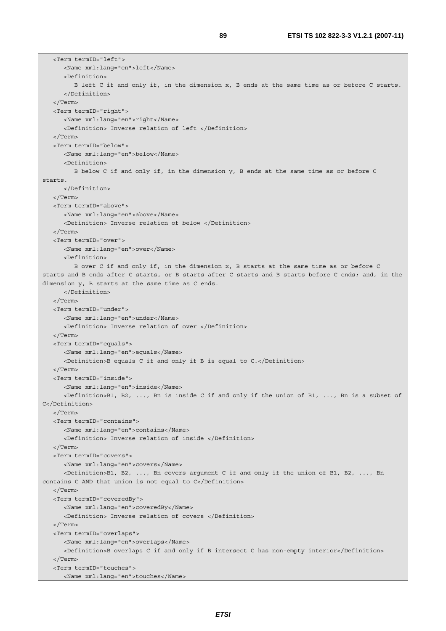<Term termID="left"> <Name xml:lang="en">left</Name> <Definition> B left C if and only if, in the dimension x, B ends at the same time as or before C starts. </Definition> </Term> <Term termID="right"> <Name xml:lang="en">right</Name> <Definition> Inverse relation of left </Definition> </Term> <Term termID="below"> <Name xml:lang="en">below</Name> <Definition> B below C if and only if, in the dimension y, B ends at the same time as or before C starts. </Definition> </Term> <Term termID="above"> <Name xml:lang="en">above</Name> <Definition> Inverse relation of below </Definition> </Term> <Term termID="over"> <Name xml:lang="en">over</Name> <Definition> B over C if and only if, in the dimension x, B starts at the same time as or before C starts and B ends after C starts, or B starts after C starts and B starts before C ends; and, in the dimension y, B starts at the same time as C ends. </Definition> </Term> <Term termID="under"> <Name xml:lang="en">under</Name> <Definition> Inverse relation of over </Definition> </Term> <Term termID="equals"> <Name xml:lang="en">equals</Name> <Definition>B equals C if and only if B is equal to C.</Definition> </Term> <Term termID="inside"> <Name xml:lang="en">inside</Name> <Definition>B1, B2, ..., Bn is inside C if and only if the union of B1, ..., Bn is a subset of C</Definition> </Term> <Term termID="contains"> <Name xml:lang="en">contains</Name> <Definition> Inverse relation of inside </Definition> </Term> <Term termID="covers"> <Name xml:lang="en">covers</Name> <Definition>B1, B2, ..., Bn covers argument C if and only if the union of B1, B2, ..., Bn contains C AND that union is not equal to C</Definition> </Term> <Term termID="coveredBy"> <Name xml:lang="en">coveredBy</Name> <Definition> Inverse relation of covers </Definition> </Term> <Term termID="overlaps"> <Name xml:lang="en">overlaps</Name> <Definition>B overlaps C if and only if B intersect C has non-empty interior</Definition> </Term> <Term termID="touches"> <Name xml:lang="en">touches</Name>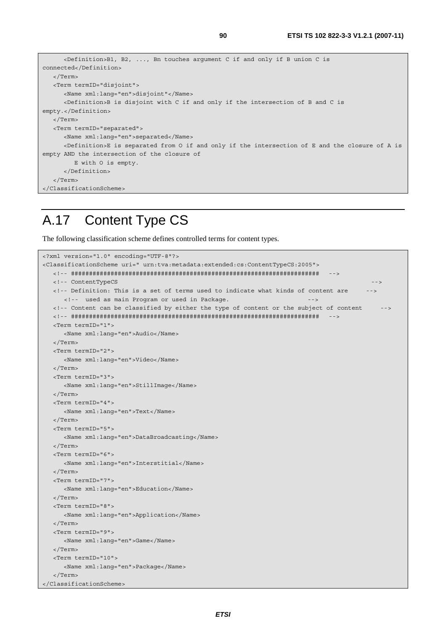```
 <Definition>B1, B2, ..., Bn touches argument C if and only if B union C is 
connected</Definition> 
   </Term> 
    <Term termID="disjoint"> 
      <Name xml:lang="en">disjoint"</Name> 
      <Definition>B is disjoint with C if and only if the intersection of B and C is 
empty.</Definition> 
   </Term> 
    <Term termID="separated"> 
      <Name xml:lang="en">separated</Name> 
      <Definition>E is separated from O if and only if the intersection of E and the closure of A is 
empty AND the intersection of the closure of 
          E with O is empty. 
       </Definition> 
    </Term> 
</ClassificationScheme>
```
### A.17 Content Type CS

The following classification scheme defines controlled terms for content types.

```
<?xml version="1.0" encoding="UTF-8"?> 
<ClassificationScheme uri=" urn:tva:metadata:extended:cs:ContentTypeCS:2005"> 
   <!-- ##################################################################### --> 
   <!-- ContentTypeCS --> 
   <!-- Definition: This is a set of terms used to indicate what kinds of content are --> 
     <!-- used as main Program or used in Package. - <!-- Content can be classified by either the type of content or the subject of content --> 
   <!-- ##################################################################### --> 
   <Term termID="1"> 
      <Name xml:lang="en">Audio</Name> 
   </Term> 
   <Term termID="2"> 
      <Name xml:lang="en">Video</Name> 
   </Term> 
   <Term termID="3"> 
      <Name xml:lang="en">StillImage</Name> 
   </Term> 
   <Term termID="4"> 
      <Name xml:lang="en">Text</Name> 
    </Term> 
   <Term termID="5"> 
      <Name xml:lang="en">DataBroadcasting</Name> 
   </Term> 
   <Term termID="6"> 
      <Name xml:lang="en">Interstitial</Name> 
   </Term> 
   <Term termID="7"> 
      <Name xml:lang="en">Education</Name> 
   </Term> 
   <Term termID="8"> 
      <Name xml:lang="en">Application</Name> 
   </Term> 
   <Term termID="9"> 
      <Name xml:lang="en">Game</Name> 
   </Term> 
   <Term termID="10"> 
      <Name xml:lang="en">Package</Name> 
    </Term> 
</ClassificationScheme>
```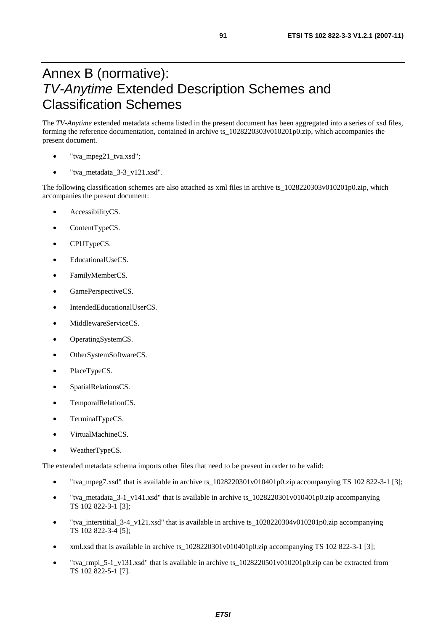## Annex B (normative): *TV-Anytime* Extended Description Schemes and Classification Schemes

The *TV-Anytime* extended metadata schema listed in the present document has been aggregated into a series of xsd files, forming the reference documentation, contained in archive ts\_1028220303v010201p0.zip, which accompanies the present document.

- "tva\_mpeg21\_tva.xsd";
- "tva\_metadata\_3-3\_v121.xsd".

The following classification schemes are also attached as xml files in archive ts  $1028220303v010201p0.$ zip, which accompanies the present document:

- AccessibilityCS.
- ContentTypeCS.
- CPUTypeCS.
- EducationalUseCS.
- FamilyMemberCS.
- GamePerspectiveCS.
- IntendedEducationalUserCS.
- MiddlewareServiceCS.
- OperatingSystemCS.
- OtherSystemSoftwareCS.
- PlaceTypeCS.
- SpatialRelationsCS.
- TemporalRelationCS.
- TerminalTypeCS.
- VirtualMachineCS.
- WeatherTypeCS.

The extended metadata schema imports other files that need to be present in order to be valid:

- "tva\_mpeg7.xsd" that is available in archive ts\_1028220301v010401p0.zip accompanying TS 102 822-3-1 [3];
- "tva\_metadata\_3-1\_v141.xsd" that is available in archive ts\_1028220301v010401p0.zip accompanying TS 102 822-3-1 [3];
- "tva\_interstitial\_3-4\_v121.xsd" that is available in archive ts\_1028220304v010201p0.zip accompanying TS 102 822-3-4 [5];
- xml.xsd that is available in archive ts  $1028220301v010401p0$ .zip accompanying TS 102 822-3-1 [3];
- "tva\_rmpi\_5-1\_v131.xsd" that is available in archive ts\_1028220501v010201p0.zip can be extracted from TS 102 822-5-1 [7].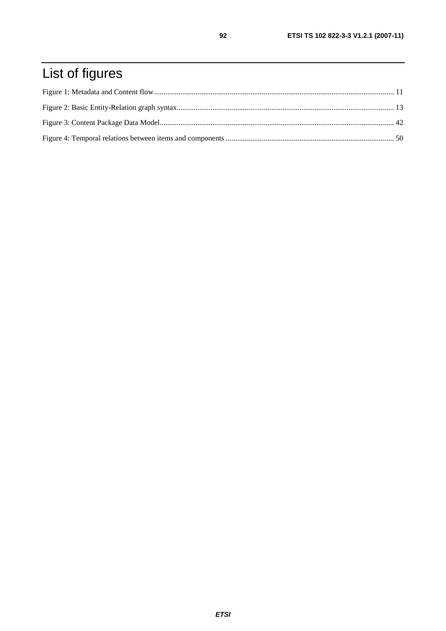# List of figures

 $92$